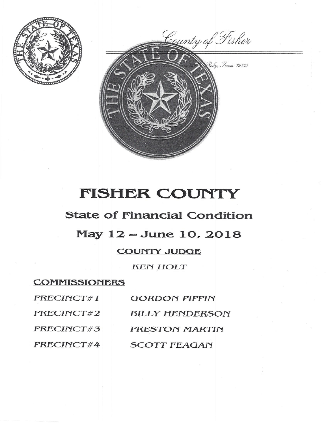

County of Fisher by, Texas 79549

# FISHER COUNTY

## **State of Financial Condition**

### May 12 - June 10, 2018

### **COUNTY JUDGE**

**KEN HOLT** 

#### **COMMISSIONERS**

| PRECINCT#1 | <b>GORDON PIPPIN</b>   |
|------------|------------------------|
| PRECINCT#2 | <b>BILLY HENDERSON</b> |
| PRECINCT#3 | PRESTON MARTIN         |
| PRECINCT#4 | <b>SCOTT FEAGAN</b>    |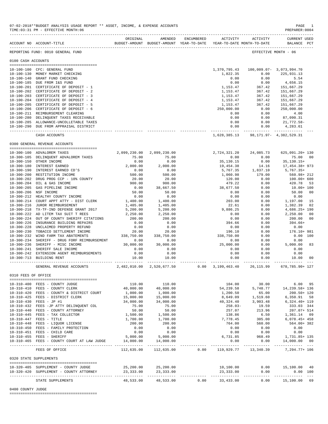|                     | ACCOUNT NO ACCOUNT-TITLE                    | ORIGINAL                  | AMENDED<br>BUDGET-AMOUNT BUDGET-AMOUNT YEAR-TO-DATE YEAR-TO-DATE MONTH-TO-DATE | ENCUMBERED ACTIVITY       |                         | ACTIVITY                             | <b>CURRENT USED</b><br>BALANCE PCT |     |
|---------------------|---------------------------------------------|---------------------------|--------------------------------------------------------------------------------|---------------------------|-------------------------|--------------------------------------|------------------------------------|-----|
|                     | REPORTING FUND: 0010 GENERAL FUND           |                           |                                                                                |                           |                         |                                      | EFFECTIVE MONTH - 06               |     |
| 0100 CASH ACCOUNTS  |                                             |                           |                                                                                |                           |                         |                                      |                                    |     |
|                     |                                             |                           |                                                                                |                           |                         |                                      |                                    |     |
|                     | 10-100-100 CFC: GENERAL FUND                |                           |                                                                                |                           | 1,370,795.43            |                                      | 100,009.07- 3,073,994.70           |     |
|                     | 10-100-130 MONEY MARKET CHECKING            |                           |                                                                                |                           | 1,822.35                | 0.00                                 | 225,931.13                         |     |
| $10 - 100 - 140$    | GRANT FUND CHECKING                         |                           |                                                                                |                           | 0.00                    | 0.00                                 | 5.54                               |     |
|                     | 10-100-185 DUE FROM I&S FUND                |                           |                                                                                |                           | 0.00                    | 0.00                                 | 4,656.15                           |     |
| $10 - 100 - 201$    | CERTIFICATE OF DEPOSIT - 1                  |                           |                                                                                |                           | 1,153.47                | 367.42                               | 151,667.29                         |     |
|                     | 10-100-202 CERTIFICATE OF DEPOSIT - 2       |                           |                                                                                |                           | 1,153.47                | 367.42                               | 151,667.29                         |     |
|                     | 10-100-203 CERTIFICATE OF DEPOSIT - 3       |                           |                                                                                |                           | 1,153.47                | 367.42                               | 151,667.29                         |     |
|                     | 10-100-204 CERTIFICATE OF DEPOSIT - 4       |                           |                                                                                |                           | 1,153.47                | 367.42                               | 151,667.29                         |     |
| $10 - 100 - 205$    | CERTIFICATE OF DEPOSIT - 5                  |                           |                                                                                |                           | 1,153.47                | 367.42                               | 151,667.29                         |     |
| $10 - 100 - 206$    | CERTIFICATE OF DEPOSIT - 6                  |                           |                                                                                |                           | 250,000.00              | 0.00                                 | 250,000.00                         |     |
|                     | 10-100-211 REIMBURSEMENT CLEARING           |                           |                                                                                |                           | 0.00                    | 0.00                                 | 4.00                               |     |
|                     | 10-100-280 DELINQUENT TAXES RECEIVABLE      |                           |                                                                                |                           | 0.00                    | 0.00                                 | 87,090.31                          |     |
|                     | 10-100-285 ALLOWANCE-UNCOLLETABLE TAXES     |                           |                                                                                |                           | 0.00                    | 0.00                                 | 21,772.58-                         |     |
|                     | 10-100-290 DUE FROM APPRAISAL DISTRICT      |                           |                                                                                |                           | 0.00<br>--------------- | 0.00<br>.                            | 4,283.61                           |     |
|                     | CASH ACCOUNTS                               |                           |                                                                                |                           |                         | 1,628,385.13 98,171.97- 4,382,529.31 |                                    |     |
|                     | 0300 GENERAL REVENUE ACCOUNTS               |                           |                                                                                |                           |                         |                                      |                                    |     |
|                     | 10-300-100 ADVALOREM TAXES                  | 2,099,230.00              | 2,099,230.00                                                                   |                           | 2,724,321.20            | 24,085.73                            | 625,091.20+ 130                    |     |
|                     | 10-300-105 DELINQUENT ADVALOREM TAXES       | 75.00                     | 75.00                                                                          |                           | 0.00                    | 0.00                                 | 75.00                              | 00  |
|                     | 10-300-150 OTHER INCOME                     | 0.00                      | 0.00                                                                           |                           | 35,130.15               | 0.00                                 | $35, 130.15+$                      |     |
|                     | 10-300-180 INTEREST EARNED                  | 2,000.00                  | 2,000.00                                                                       |                           | 19,454.38               | 14.16                                | 17,454.38+ 973                     |     |
|                     | 10-300-190 INTEREST EARNED CD'S             | 0.00                      | 0.00                                                                           |                           | 5,767.35                | 1,837.10                             | $5,767.35+$                        |     |
| $10 - 300 - 200$    | RESTITUTION INCOME                          | 500.00                    | 500.00                                                                         |                           | 1,060.98                | 179.00                               | 560.98+ 212                        |     |
|                     | 10-300-202 DRUG PROG CCP - 10% COUNTY       | 20.00                     | 20.00                                                                          |                           | 120.00                  | 0.00                                 | 100.00+ 600                        |     |
| $10 - 300 - 204$    | OIL & GAS INCOME                            | 900.00                    | 900.00                                                                         |                           | 479.22                  | 0.00                                 | 420.78                             | 53  |
| $10 - 300 - 205$    | GAS PIPELINE INCOME                         | 0.00                      | 38,667.50                                                                      |                           | 38,677.50               | 0.00                                 | 10.00+ 100                         |     |
| $10 - 300 - 206$    | NSF INCOME                                  | 50.00                     | 50.00                                                                          |                           | 0.00                    | 0.00                                 | 50.00                              | 00  |
| $10 - 300 - 212$    | HEALTHY COUNTY INCOME                       | 0.00                      | 0.00                                                                           |                           | 0.00                    | 0.00                                 | 0.00                               |     |
| $10 - 300 - 214$    | COURT APPT ATTY - DIST CLERK                | 1,400.00                  | 1,400.00                                                                       |                           | 203.00                  | 0.00                                 | 1,197.00                           | 15  |
| $10 - 300 - 216$    | JUROR REIMBURSEMENT                         | 1,405.00                  | 1,405.00                                                                       |                           | 22.61                   | 0.00                                 | 1,382.39                           | 02  |
| $10 - 300 - 218$    | TX-TF-IND DEFENSE GRANT 2017                | 5,200.00                  | 5,200.00                                                                       |                           | 9,886.25                | 0.00                                 | 4,686.25+ 190                      |     |
|                     | 10-300-222 AD LITEM TAX SUIT T REES         | 2,250.00                  | 2,250.00                                                                       |                           | 0.00                    | 0.00                                 | 2,250.00                           | 00  |
| $10 - 300 - 224$    | OUT OF COUNTY SHERIFF CITATIONS             | 200.00                    | 200.00                                                                         |                           | 0.00                    | 0.00                                 | 200.00                             | 00  |
| $10 - 300 - 226$    | INSURANCE BUILDING REPAIRS                  | 0.00                      | 0.00                                                                           |                           | 394.66                  | 0.00                                 | 394.66+                            |     |
| $10 - 300 - 228$    | UNCLAIMED PROPERTY REFUND                   | 0.00                      | 0.00                                                                           |                           | 0.00                    | 0.00                                 | 0.00                               |     |
| $10 - 300 - 230$    | TOBACCO SETTLEMENT INCOME                   | 20.00                     | 20.00                                                                          |                           | 196.10                  | 0.00                                 | 176.10+ 981                        |     |
| $10 - 300 - 232$    | WIND FARM TAX ABATEMENTS                    | 338,750.00                | 338,750.00                                                                     |                           | 338,750.00              | 0.00                                 | 0.00                               | 100 |
| $10 - 300 - 234$    | SHERIFF - DRUG FORF REIMBURSEMENT           | 0.00                      | 0.00                                                                           |                           | 0.00                    | 0.00                                 | 0.00                               |     |
|                     | 10-300-236 SHERIFF - MISC INCOME            | 30,000.00                 | 30,000.00                                                                      |                           | 25,000.00               | 0.00                                 | 5,000.00                           | 83  |
|                     | 10-300-241 SHERIFF SALE INCOME              | 0.00                      | 0.00                                                                           |                           | 0.00                    | 0.00                                 | 0.00                               |     |
|                     | 10-300-242 EXTENSION AGENT REIMBURSEMENTS   | 0.00                      | 0.00                                                                           |                           | 0.00                    | 0.00                                 | 0.00                               |     |
|                     | 10-300-713 BUILDING RENT                    | 10.00                     | 10.00                                                                          |                           | 0.00                    | 0.00                                 | 10.00                              | 00  |
|                     | GENERAL REVENUE ACCOUNTS                    | 2,482,010.00 2,520,677.50 |                                                                                | $0.00 \quad 3,199,463.40$ |                         | ----------<br>26,115.99              | 678,785.90+ 127                    |     |
| 0310 FEES OF OFFICE |                                             |                           |                                                                                |                           |                         |                                      |                                    |     |
|                     |                                             |                           |                                                                                |                           |                         |                                      |                                    |     |
|                     | 10-310-400 FEES - COUNTY JUDGE              | 110.00                    | 110.00                                                                         |                           | 104.00                  | 30.00                                | $6.00$ 95                          |     |
|                     | 10-310-410 FEES - COUNTY CLERK              | 40,000.00                 | 40,000.00                                                                      |                           | 54,239.58               | 5,748.77                             | 14,239.58+136                      |     |
|                     | 10-310-420 FEES - COUNTY & DISTRICT COURT   | 1,000.00                  | 1,000.00                                                                       |                           | 1,200.50                | 65.00                                | $200.50 + 120$                     |     |
|                     | 10-310-425 FEES - DISTRICT CLERK            | 15,000.00                 | 15,000.00                                                                      |                           | 8,649.09                | 1,519.60                             | 6,350.91 58                        |     |
|                     | 10-310-430 FEES - JP #1                     | 34,000.00                 | 34,000.00                                                                      |                           | 40,324.40               | 3,903.48                             | $6,324.40+119$                     |     |
|                     | 10-310-432 FEES -JP ATTY DELINQUENT COL     | 75.00                     | 75.00                                                                          |                           | $258.03 -$              | 19.59                                | 333.03 344                         |     |
|                     | 10-310-440 FEES - COUNTY ATTORNEY           | 50.00                     | 50.00                                                                          |                           | 257.07                  | 213.96                               | 207.07+ 514                        |     |
|                     | 10-310-445 FEES - TAX COLLECTOR             | 1,500.00                  | 1,500.00                                                                       |                           | 138.86                  | 6.50                                 | 1,361.14 09                        |     |
|                     | 10-310-447 FEES - TITLE                     | 1,700.00                  | 1,700.00                                                                       |                           | 7,778.45                | 305.00                               | 6,078.45+ 458                      |     |
|                     | 10-310-448 FEES - LIQUOR LICENSE            | 200.00                    | 200.00                                                                         |                           | 764.00                  | 560.00                               | 564.00+382                         |     |
|                     | 10-310-450 FEES - FAMILY PROTECTION         | 0.00                      | 0.00                                                                           |                           | 0.00                    | 0.00                                 | 0.00                               |     |
|                     | 10-310-451 FEES - CHILD CARE                | 0.00                      | 0.00                                                                           |                           | 0.00                    | 0.00                                 | 0.00                               |     |
|                     | 10-310-455 FEES - SHERIFF                   | 5,000.00                  | 5,000.00                                                                       |                           | 6,731.85                | 968.49                               | 1,731.85+ 135                      |     |
|                     | 10-310-465 FEES - COUNTY COURT AT LAW JUDGE | 14,000.00                 | 14,000.00                                                                      | -------------             | 0.00                    | 0.00                                 | 14,000.00 00                       |     |
|                     | FEES OF OFFICE                              |                           | 112,635.00 112,635.00                                                          |                           |                         | $0.00$ 119,929.77 13,340.39          | 7,294.77+ 106                      |     |
|                     | 0320 STATE SUPPLEMENTS                      |                           |                                                                                |                           |                         |                                      |                                    |     |
|                     | 10-320-405 SUPPLEMENT - COUNTY JUDGE        |                           |                                                                                |                           |                         |                                      |                                    |     |
|                     | 10-320-420 SUPPLEMENT - COUNTY ATTORNEY     | 25,200.00<br>23,333.00    | 25,200.00<br>23,333.00                                                         |                           | 10,100.00<br>23,333.00  | 0.00                                 | $0.00$ 15,100.00 40<br>0.00 100    |     |
|                     | STATE SUPPLEMENTS                           | 48,533.00                 | 48,533.00                                                                      | 0.00                      | 33,433.00               | 0.00                                 | 15,100.00 69                       |     |
|                     |                                             |                           |                                                                                |                           |                         |                                      |                                    |     |

0400 COUNTY JUDGE

========================================

07-02-2018\*\*BUDGET ANALYSIS USAGE REPORT \*\* ASSET, INCOME, & EXPENSE ACCOUNTS PAGE 1<br>TIME:03:31 PM - EFFECTIVE MONTH:06 TIME:03:31 PM - EFFECTIVE MONTH:06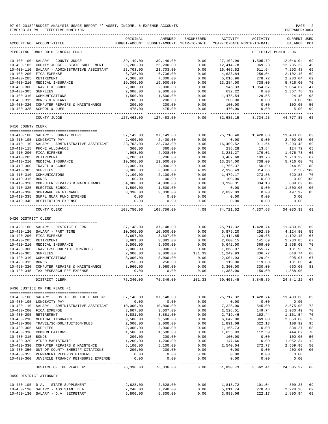|                     | 07-02-2018**BUDGET ANALYSIS USAGE REPORT ** ASSET, INCOME, & EXPENSE ACCOUNTS<br>TIME: 03:31 PM - EFFECTIVE MONTH: 06 |                          |                                                     |                     |                          |                                        | PAGE<br>PREPARER: 0004         |               |
|---------------------|-----------------------------------------------------------------------------------------------------------------------|--------------------------|-----------------------------------------------------|---------------------|--------------------------|----------------------------------------|--------------------------------|---------------|
|                     | ACCOUNT NO ACCOUNT-TITLE                                                                                              | ORIGINAL                 | AMENDED<br>BUDGET-AMOUNT BUDGET-AMOUNT YEAR-TO-DATE | ENCUMBERED          | ACTIVITY                 | ACTIVITY<br>YEAR-TO-DATE MONTH-TO-DATE | <b>CURRENT USED</b><br>BALANCE | PCT           |
|                     | REPORTING FUND: 0010 GENERAL FUND                                                                                     |                          |                                                     |                     |                          |                                        | EFFECTIVE MONTH - 06           |               |
|                     | 10-400-100 SALARY - COUNTY JUDGE                                                                                      | 39,149.00                | 39,149.00                                           | 0.00                | 27,102.96                | 1,505.72                               | 12,046.04                      | 69            |
| $10 - 400 - 105$    | COUNTY JUDGE - STATE SUPPLEMENT                                                                                       | 25,200.00                | 25,200.00                                           | 0.00                | 12, 414.78               | 969.23                                 | 12,785.22                      | 49            |
| 10-400-110          | SALARY - ADMINISTRATIVE ASSISTANT                                                                                     | 23,703.00                | 23,703.00                                           | 0.00                | 16,409.52                | 911.64                                 | 7,293.48                       | 69            |
|                     | 10-400-200 FICA EXPENSE                                                                                               | 6,736.00                 | 6,736.00                                            | 0.00                | 4,633.84                 | 256.04                                 | 2,102.16                       | 69            |
|                     | 10-400-205 RETIREMENT                                                                                                 | 7,300.00                 | 7,300.00                                            | 0.00                | 5,016.96                 | 278.72                                 | 2,283.04                       | 69            |
| $10 - 400 - 210$    | MEDICAL INSURANCE                                                                                                     | 19,000.00                | 19,000.00                                           | 0.00                | 13,284.00                | 738.00                                 | 5,716.00                       | 70            |
|                     | 10-400-300 TRAVEL & SCHOOL                                                                                            | 2,000.00                 | 2,000.00                                            | 0.00                | 945.33                   | $1,054.67-$                            | 1,054.67                       | 47            |
| 10-400-305 SUPPLIES |                                                                                                                       | 2,000.00                 | 2,000.00                                            | 0.00                | 632.22                   | 0.00                                   | 1,367.78                       | 32            |
|                     | 10-400-310 COMMUNICATIONS                                                                                             | 1,500.00                 | 1,500.00                                            | 0.00                | 1,475.54                 | 129.55                                 | 24.46                          | 98            |
|                     | 10-400-315 BONDS & NOTARY                                                                                             | 200.00                   | 200.00                                              | 0.00                | 200.00                   | 0.00                                   | 0.00                           | 100           |
|                     | 10-400-320 COMPUTER REPAIRS & MAINTENANCE<br>10-400-325 SCHOOL & DUES                                                 | 200.00<br>475.00         | 200.00<br>475.00                                    | 0.00<br>0.00        | 100.00<br>470.00         | 0.00<br>0.00                           | 100.00<br>5.00                 | 50<br>99      |
|                     | COUNTY JUDGE                                                                                                          | 127,463.00               | 127,463.00                                          | $- - - -$<br>0.00   | 82,685.15                | 3,734.23                               | 44,777.85                      | $- - -$<br>65 |
| 0410 COUNTY CLERK   |                                                                                                                       |                          |                                                     |                     |                          |                                        |                                |               |
|                     |                                                                                                                       |                          |                                                     |                     |                          |                                        |                                |               |
|                     | 10-410-100 SALARY - COUNTY CLERK                                                                                      | 37,149.00                | 37,149.00                                           | 0.00                | 25,718.40                | 1,428.80                               | 11,430.60<br>2,400.00          | 69            |
|                     | 10-410-105 LONGEVITY PAY                                                                                              | 2,400.00                 | 2,400.00                                            | 0.00                | 0.00                     | 0.00<br>911.64                         |                                | 00            |
|                     | 10-410-110 SALARY - ADMINISTRATIVE ASSISTANT<br>10-410-115 PHONE ALLOWANCE                                            | 23,703.00<br>360.00      | 23,703.00<br>360.00                                 | 0.00<br>0.00        | 16,409.52<br>235.28      | 13.84                                  | 7,293.48<br>124.72             | 69<br>65      |
|                     | 10-410-200 FICA EXPENSE                                                                                               | 4,908.00                 | 4,908.00                                            | 0.00                | 3, 231.27                | 179.01                                 | 1,676.73                       | 66            |
|                     | 10-410-205 RETIREMENT                                                                                                 | 5,206.00                 | 5,206.00                                            | 0.00                | 3,487.68                 | 193.76                                 | 1,718.32                       | 67            |
|                     | 10-410-210 MEDICAL INSURANCE                                                                                          | 19,000.00                | 19,000.00                                           | 0.00                | 13,284.00                | 738.00                                 | 5,716.00                       | 70            |
| $10 - 410 - 300$    | TRAVEL & SCHOOL                                                                                                       | 2,000.00                 | 2,000.00                                            | 0.00                | 1,755.37                 | $50.00 -$                              | 244.63                         | 88            |
| $10 - 410 - 305$    | SUPPLIES                                                                                                              | 3,000.00                 | 3,000.00                                            | 4.09                | 2,998.49                 | 314.65                                 | $2.58 - 100$                   |               |
|                     | 10-410-310 COMMUNICATONS                                                                                              | 2,100.00                 | 2,100.00                                            | 0.00                | 1,479.17                 | 273.88                                 | 620.83                         | 70            |
| $10 - 410 - 315$    | <b>BONDS</b>                                                                                                          | 100.00                   | 100.00                                              | 0.00                | 100.00                   | 0.00                                   | 0.00                           | 100           |
|                     | 10-410-320 COMPUTER REPAIRS & MAINTENANCE                                                                             | 4,000.00                 | 4,000.00                                            | 0.00                | 3,190.31                 | 334.10                                 | 809.69                         | 80            |
|                     | 10-410-325 ELECTION SCHOOL                                                                                            | 1,500.00                 | 1,500.00                                            | 0.00                | 0.00                     | 0.00                                   | 1,500.00                       | 00            |
|                     | 10-410-330 SOFTWARE MAINTENANCE                                                                                       | 3,330.00                 | 3,330.00                                            | 0.00                | 2,832.03                 | 0.00                                   | 497.97                         | 85            |
| $10 - 410 - 340$    | 10-410-335 SUPPL GUAR FUND EXPENSE<br>RESTITUTION EXPENSE                                                             | 0.00<br>0.00             | 0.00<br>0.00                                        | 0.00<br>0.00        | 0.00<br>0.00             | 0.00<br>0.00                           | 0.00<br>0.00                   |               |
|                     | COUNTY CLERK                                                                                                          | 108,756.00               | 108,756.00                                          | $- - - - -$<br>4.09 | -----------<br>74,721.52 | -----------<br>4,337.68                | 34,030.39                      | 69            |
| 0420 DISTRICT CLERK |                                                                                                                       |                          |                                                     |                     |                          |                                        |                                |               |
|                     |                                                                                                                       |                          |                                                     |                     |                          |                                        |                                |               |
|                     | 10-420-100 SALARY - DISTRICT CLERK                                                                                    | 37,148.00                | 37,148.00                                           | 0.00                | 25,717.32                | 1,428.74                               | 11,430.68                      | 69            |
|                     | 10-420-120 SALARY - PART TIME                                                                                         | 10,000.00                | 10,000.00                                           | 0.00                | 5,875.20                 | 292.80                                 | 4,124.80                       | 59            |
|                     | 10-420-200 FICA EXPENSE<br>10-420-205 RETIREMENT                                                                      | 3,607.00<br>3,881.00     | 3,607.00<br>3,881.00                                | 0.00<br>0.00        | 2,414.85<br>2,600.15     | 129.68<br>141.69                       | 1,192.15<br>1,280.85           | 67<br>67      |
|                     | 10-420-210 MEDICAL INSURANCE                                                                                          | 9,500.00                 | 9,500.00                                            | 0.00                | 6,642.00                 | 369.00                                 | 2,858.00                       | 70            |
| $10 - 420 - 300$    | TRAVEL/SCHOOL/TUITION/DUES                                                                                            | 2,000.00                 | 2,000.00                                            | 0.00                | 1,868.07                 | 955.77                                 | 131.93                         | 93            |
| $10 - 420 - 305$    | SUPPLIES                                                                                                              | 2,000.00                 | 2,000.00                                            | 101.33              | 1,249.93                 | 336.77                                 | 648.74                         | 68            |
| $10 - 420 - 310$    | COMMUNICATIONS                                                                                                        | 3,000.00                 | 3,000.00                                            | 0.00                | 2,004.93                 | 129.94                                 | 995.07                         | 67            |
| $10 - 420 - 315$    | <b>BONDS</b>                                                                                                          | 250.00                   | 250.00                                              | 0.00                | 119.00                   | $119.00 -$                             | 131.00                         | 48            |
|                     | 10-420-320 COMPUTER REPAIRS & MAINTENANCE $3,960.00$                                                                  |                          | 3,960.00                                            | 0.00                |                          | 3,300.00 330.00 660.00 83              |                                |               |
|                     | 10-420-345 TAX RESEARCH FEE EXPENSE                                                                                   | 0.00<br>----------       | 0.00                                                | 0.00<br>.           | 1,388.00-                | 150.00-                                | 1,388.00                       |               |
|                     | DISTRICT CLERK                                                                                                        | 75,346.00                | 75,346.00                                           | 101.33              |                          | 50.403.45 3.845.39                     | 24.841.22 67                   |               |
|                     | 0430 JUSTICE OF THE PEACE #1                                                                                          |                          |                                                     |                     |                          |                                        |                                |               |
|                     | 10-430-100 SALARY - JUSTICE OF THE PEACE #1                                                                           | 37,148.00                | 37,148.00                                           | 0.00                | 25,717.32                | 1,428.74                               | 11,430.68                      | 69            |
|                     | 10-430-105 LONGEVITY PAY                                                                                              | 0.00                     | 0.00                                                | 0.00                | 0.00                     | 0.00                                   | 0.00                           |               |
|                     | 10-430-110 SALARY - ADMINISTRATIVE ASSISTANT                                                                          | 10,000.00                | 10,000.00                                           | 0.00                | 7,325.00                 | 545.00                                 | 2,675.00                       | 73            |
|                     | 10-430-200 FICA EXPENSE                                                                                               | 3,607.00                 | 3,607.00                                            | 0.00                | 2,526.51                 | 149.74                                 | 1,080.49                       | 70            |
|                     | 10-430-205 RETIREMENT                                                                                                 | 3,881.00                 | 3,881.00                                            | 0.00                | 2,719.46                 | 162.44                                 | 1,161.54                       | 70            |
|                     | 10-430-210 MEDICAL INSURANCE                                                                                          | 9,500.00                 | 9,500.00                                            | 0.00                | 6,642.00                 | 369.00                                 | 2,858.00                       | 70            |
|                     | 10-430-300 TRAVEL/SCHOOL/TUITION/DUES                                                                                 | 2,000.00                 | 2,000.00                                            | 0.00                | 1,891.08                 | 622.13                                 | 108.92 95                      |               |
| 10-430-305 SUPPLIES |                                                                                                                       | 2,000.00                 | 2,000.00                                            | 0.00                | 1,165.73                 | 0.00                                   | 834.27                         | 58            |
|                     | 10-430-310 COMMUNICATIONS                                                                                             | 1,500.00                 | 1,500.00                                            | 0.00                | 1,055.93                 | 112.59                                 | 444.07                         | 70            |
| 10-430-315 BONDS    |                                                                                                                       | 200.00                   | 200.00                                              | 0.00                | 100.00                   | 0.00                                   | 100.00                         | 50            |
|                     | 10-430-320 VIDEO MAGISTRATE<br>10-430-330 COMPUTER REPAIRS & MAINTENCE                                                | 1,200.00<br>5,100.00     | 1,200.00<br>5,100.00                                | 0.00<br>0.00        | 147.66<br>2,540.04       | 0.00<br>272.77                         | 1,052.34 12<br>2,559.96        | 50            |
|                     | 10-430-350 OUT OF COUNTY SHERIFF CITATIONS                                                                            | 200.00                   | 200.00                                              | 0.00                | 0.00                     | 0.00                                   | 200.00                         | 00            |
|                     | 10-430-355 PERMANENT RECORDS BINDERS                                                                                  | 0.00                     | 0.00                                                | 0.00                | 0.00                     | 0.00                                   | 0.00                           |               |
|                     | 10-430-360 JUVENILE TRUANCY REINBURSE EXPENSE                                                                         | 0.00                     | 0.00                                                | 0.00                | 0.00                     | 0.00                                   | 0.00                           |               |
|                     | JUSTICE OF THE PEACE #1                                                                                               | -----------<br>76,336.00 | ------------<br>76,336.00                           | __________<br>0.00  | .                        | 51,830.73 3,662.41 24,505.27 68        | ----------- -------------      |               |
|                     | 0450 DISTRICT ATTORNEY                                                                                                |                          |                                                     |                     |                          |                                        |                                |               |
|                     | --------------------------------------                                                                                |                          |                                                     |                     |                          |                                        |                                |               |
|                     | 10-450-105 D.A. - STATE SUPPLEMENT                                                                                    | 2,628.00                 | 2,628.00                                            | 0.00                | 1,818.72                 | 101.04                                 | 809.28                         | 69            |
|                     | 10-450-110 SALARY - ASSISTANT D.A.<br>10-450-130 SALARY - D.A. SECRETARY                                              | 7,240.00<br>5,800.00     | 7,240.00<br>5,800.00                                | 0.00<br>0.00        | 5,011.74<br>3,999.06     | 278.43<br>222.17                       | 2,228.26<br>1,800.94           | 69<br>69      |
|                     |                                                                                                                       |                          |                                                     |                     |                          |                                        |                                |               |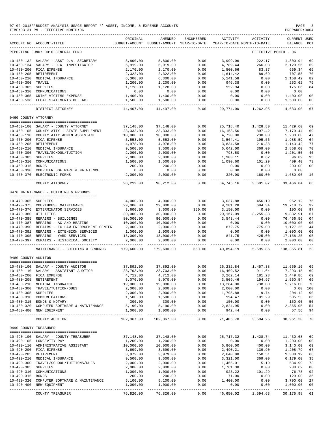#### 07-02-2018\*\*BUDGET ANALYSIS USAGE REPORT \*\* ASSET, INCOME, & EXPENSE ACCOUNTS PAGE 3<br>TIME:03:31 PM - EFFECTIVE MONTH:06  $TIME:03:31 PM - EFFECTIVE MOMTH:06$

|                       | ACCOUNT NO ACCOUNT-TITLE                       | ORIGINAL   | AMENDED<br>BUDGET-AMOUNT BUDGET-AMOUNT YEAR-TO-DATE | ENCUMBERED            | ACTIVITY     | ACTIVITY<br>YEAR-TO-DATE MONTH-TO-DATE | CURRENT USED<br>BALANCE PCT      |                |
|-----------------------|------------------------------------------------|------------|-----------------------------------------------------|-----------------------|--------------|----------------------------------------|----------------------------------|----------------|
|                       | REPORTING FUND: 0010 GENERAL FUND              |            |                                                     |                       |              |                                        | EFFECTIVE MONTH - 06             |                |
| $10 - 450 - 132$      | SALARY - ASST D.A. SECRETARY                   | 5,800.00   | 5,800.00                                            | 0.00                  | 3,999,06     | 222.17                                 | 1,800.94                         | 69             |
| $10 - 450 - 134$      | SALARY - D.A. INVESTIGATOR                     | 6,919.00   | 6,919.00                                            | 0.00                  | 4,789.44     | 266.08                                 | 2,129.56                         | 69             |
|                       |                                                |            |                                                     |                       |              |                                        |                                  |                |
| $10 - 450 - 200$      | FICA EXPENSE                                   | 2,170.00   | 2,170.00                                            | 0.00                  | 1,500.66     | 83.37                                  | 669.34                           | 69             |
| $10 - 450 - 205$      | RETIREMENT                                     | 2,322.00   | 2,322.00                                            | 0.00                  | 1,614.42     | 89.69                                  | 707.58                           | 70             |
| $10 - 450 - 210$      | MEDICAL INSURANCE                              | 6,300.00   | 6,300.00                                            | 0.00                  | 5, 141.58    | 0.00                                   | 1,158.42                         | 82             |
| 10-450-300 TRAVEL     |                                                | 1,200.00   | 1,200.00                                            | 0.00                  | 946.38       | 0.00                                   | 253.62                           | 79             |
| $10 - 450 - 305$      | SUPPLIES                                       | 1,128.00   | 1,128.00                                            | 0.00                  | 952.94       | 0.00                                   | 175.06                           | 84             |
| 10-450-310            | COMMUNICATIONS                                 | 0.00       | 0.00                                                | 0.00                  | 0.00         | 0.00                                   | 0.00                             |                |
|                       |                                                |            |                                                     |                       |              |                                        |                                  |                |
|                       | 10-450-365 CRIME VICTIMS EXPENSE               | 1,400.00   | 1,400.00                                            | 0.00                  | 0.00         | 0.00                                   | 1,400.00                         | 00             |
|                       | 10-450-538 LEGAL STATEMENTS OF FACT            | 1,500.00   | 1,500.00                                            | 0.00<br>$- - - -$     | 0.00         | 0.00<br>- - - - - - - - - -            | 1,500.00<br><u>_____________</u> | 00<br>$- - -$  |
|                       | DISTRICT ATTORNEY                              | 44,407.00  | 44,407.00                                           | 0.00                  | 29,774.00    | 1,262.95                               | 14,633.00                        | 67             |
| 0460 COUNTY ATTORNEY  |                                                |            |                                                     |                       |              |                                        |                                  |                |
|                       | 10-460-100 SALARY - COUNTY ATTORNEY            | 37,148.00  | 37,148.00                                           | 0.00                  | 25,718.40    | 1,428.80                               | 11,429.60                        | 69             |
|                       | 10-460-105 COUNTY ATTY - STATE SUPPLEMENT      | 23, 333.00 | 23, 333.00                                          | 0.00                  | 16, 153.56   | 897.42                                 | 7,179.44                         | 69             |
|                       |                                                |            |                                                     |                       |              |                                        |                                  |                |
|                       | 10-460-110 COUNTY ATTY ADMIN ASSISTANT         | 10,000.00  | 10,000.00                                           | 0.00                  | 4,720.00     | 230.00                                 | 5,280.00                         | 47             |
| $10 - 460 - 200$      | FICA EXPENSE                                   | 5,553.00   | 5,553.00                                            | 0.00                  | 3,564.41     | 195.56                                 | 1,988.59                         | 64             |
| 10-460-205 RETIREMENT |                                                | 4,978.00   | 4,978.00                                            | 0.00                  | 3,834.58     | 210.38                                 | 1,143.42                         | 77             |
| $10 - 460 - 210$      | MEDICAL INSURANCE                              | 9,500.00   | 9,500.00                                            | 0.00                  | 6,642.00     | 369.00                                 | 2,858.00                         | 70             |
|                       | 10-460-300 TRAVEL/SCHOOL/TUITION               | 2,000.00   | 2,000.00                                            | 0.00                  | 798.50       | 0.00                                   | 1,201.50                         | 40             |
|                       |                                                |            |                                                     |                       |              |                                        |                                  |                |
| $10 - 460 - 305$      | SUPPLIES                                       | 2,000.00   | 2,000.00                                            | 0.00                  | 1,903.11     | 8.62                                   | 96.89                            | 95             |
| $10 - 460 - 310$      | COMMUNICATIONS                                 | 1,500.00   | 1,500.00                                            | 0.00                  | 1,090.60     | 101.29                                 | 409.40                           | 73             |
| $10 - 460 - 315$      | <b>BONDS</b>                                   | 200.00     | 200.00                                              | 0.00                  | 0.00         | 0.00                                   | 200.00                           | 00             |
| $10 - 460 - 330$      | COMPUTER SOFTWARE & MAINTENCE                  | 0.00       | 0.00                                                | 0.00                  | 0.00         | 0.00                                   | 0.00                             |                |
| $10 - 460 - 370$      | ELECTRONIC FORMS                               | 2,000.00   | 2,000.00                                            | 0.00                  | 320.00       | 160.00                                 | 1,680.00                         | 16             |
|                       | COUNTY ATTORNEY                                | 98,212.00  | 98,212.00                                           | 0.00                  | 64,745.16    | 3,601.07                               | 33, 466.84                       | 66             |
|                       | 0470 MAINTENANCE - BUILDING & GROUNDS          |            |                                                     |                       |              |                                        |                                  |                |
|                       |                                                |            |                                                     |                       |              |                                        |                                  |                |
| 10-470-305 SUPPLIES   |                                                | 4,000.00   | 4,000.00                                            | 0.00                  | 3,037.88     | 456.19                                 | 962.12                           | 76             |
|                       | 10-470-375 COURTHOUSE MAINTENANCE              | 29,000.00  | 29,000.00                                           | 0.00                  | 9,281.28     | 684.34                                 | 19,718.72                        | 32             |
|                       | 10-470-376 EXTERMINATOR SERVICES               | 3,600.00   | 3,600.00                                            | 350.00                | 3,150.00     | 0.00                                   | 100.00                           | 97             |
| 10-470-380 UTILITIES  |                                                | 30,000.00  | 30,000.00                                           | 0.00                  | 20,167.09    | 3, 255.33                              | 9,832.91                         | 67             |
|                       |                                                |            |                                                     |                       |              |                                        |                                  |                |
|                       | 10-470-385 REPAIRS - BUILDINGS                 | 80,000.00  | 80,000.00                                           | 0.00                  | 3,543.44     | 0.00                                   | 76,456.56                        | 04             |
|                       | 10-470-387 REPAIRS - AC AND HEATING            | 10,000.00  | 10,000.00                                           | 0.00                  | 0.00         | 0.00                                   | 10,000.00                        | 0 <sub>0</sub> |
|                       | 10-470-390 REPAIRS - FC LAW ENFORCEMENT CENTER | 2,000.00   | 2,000.00                                            | 0.00                  | 872.75       | 775.00                                 | 1,127.25                         | 44             |
|                       | 10-470-392 REPAIRS - EXTENSION SERVICES        | 1,000.00   | 1,000.00                                            | 0.00                  | 0.00         | 0.00                                   | 1,000.00                         | 00             |
| $10 - 470 - 395$      | REPAIRS - YARD SERVICES                        | 18,000.00  | 18,000.00                                           | 0.00                  | 841.75       | 425.00                                 | 17, 158.25                       | 05             |
|                       |                                                |            |                                                     |                       |              |                                        |                                  |                |
|                       | 10-470-397 REPAIRS - HISTORICAL SOCIETY        | 2,000.00   | 2,000.00                                            | 0.00                  | 0.00         | 0.00                                   | 2,000.00                         | 00<br>$- - -$  |
|                       | MAINTENANCE - BUILDING & GROUNDS               | 179,600.00 | 179,600.00                                          | 350.00                | 40,894.19    | 5,595.86                               | 138, 355.81                      | 23             |
| 0480 COUNTY AUDITOR   |                                                |            |                                                     |                       |              |                                        |                                  |                |
|                       |                                                |            |                                                     |                       |              |                                        |                                  |                |
|                       | 10-480-100 SALARY - COUNTY AUDITOR             | 37,892.00  | 37,892.00                                           | 0.00                  | 26, 232.84   | 1,457.38                               | 11,659.16                        | 69             |
| $10 - 480 - 110$      | SALARY - ASSISTANT AUDITOR                     | 23,703.00  | 23,703.00                                           | 0.00                  | 16,409.52    | 911.64                                 | 7,293.48                         | 69             |
|                       | 10-480-200 FICA EXPENSE                        | 4,712.00   | 4,712.00                                            | 0.00                  | 3,262.14     | 181.23                                 | 1,449.86                         | - 69           |
| 10-480-205 RETIREMENT |                                                | 5,070.00   | 5,070.00                                            | 0.00                  | 3,509.46     | 194.97                                 | 1,560.54                         | 69             |
|                       |                                                |            |                                                     |                       |              |                                        |                                  |                |
|                       | 10-480-210 MEDICAL INSURANCE                   | 19,000.00  | 19,000.00                                           | 0.00                  | 13,284.00    | 738.00                                 | 5,716.00                         | 70             |
|                       | 10-480-300 TRAVEL/TUITION/DUES                 | 2,000.00   | 2,000.00                                            | 0.00                  | 2,000.00     | 0.00                                   | 0.00 100                         |                |
| 10-480-305 SUPPLIES   |                                                | 2,000.00   | 2,000.00                                            | 0.00                  | 1,795.88     | 9.74                                   | 204.12                           | 90             |
|                       | 10-480-310 COMMUNICATIONS                      | 1,500.00   | 1,500.00                                            | 0.00                  | 994.47       | 101.29                                 | 505.53                           | 66             |
|                       | 10-480-315 BONDS & NOTARY                      | 300.00     | 300.00                                              | 0.00                  | 150.00       | 0.00                                   | 150.00                           | 50             |
|                       | 10-480-320 COMPUTER SOFTWARE & MAINTENANCE     | 5,190.00   |                                                     | 0.00                  |              | 0.00                                   | 2,365.05 54                      |                |
|                       | 10-480-400 NEW EQUIPMENT                       |            | 5,190.00<br>1,000.00                                |                       | 2,824.95     |                                        |                                  |                |
|                       |                                                | 1,000.00   | ______________                                      | 0.00<br>------------- | 942.44       | 0.00<br>---------- ------------        | 57.56 94<br>.                    |                |
|                       | COUNTY AUDITOR                                 | 102,367.00 | 102,367.00                                          | 0.00                  | 71,405.70    | 3,594.25                               | 30,961.30                        | 70             |
| 0490 COUNTY TREASURER | --------------------------------------         |            |                                                     |                       |              |                                        |                                  |                |
|                       | 10-490-100 SALARY - COUNTY TREASURER           | 37,148.00  | 37,148.00                                           | 0.00                  | 25,717.32    | 1,428.74                               | 11,430.68                        | 69             |
|                       | 10-490-105 LONGEVITY PAY                       | 1,200.00   | 1,200.00                                            | 0.00                  | 0.00         | 0.00                                   | 1,200.00                         | 00             |
|                       |                                                |            |                                                     |                       |              |                                        |                                  |                |
|                       | 10-490-110 ADMINISTRATIVE ASSISTANT            | 10,000.00  | 10,000.00                                           | 0.00                  | 6,860.00     | 400.00                                 | 3,140.00                         | 69             |
|                       | 10-490-200 FICA EXPENSE                        | 3,699.00   | 3,699.00                                            | 0.00                  | 2,490.21     | 139.90                                 | 1,208.79                         | 67             |
| 10-490-205 RETIREMENT |                                                | 3,979.00   | 3,979.00                                            | 0.00                  | 2,640.88     | 150.51                                 | 1,338.12                         | 66             |
|                       | 10-490-210 MEDICAL INSURANCE                   | 9,500.00   | 9,500.00                                            | 0.00                  | 3,321.00     | 369.00                                 | 6, 179.00                        | 35             |
|                       | 10-490-300 TRAVEL/SCHOOL/TUITIONS/DUES         | 2,000.00   | 2,000.00                                            | 0.00                  | 1,465.01     | 5.19                                   | 534.99                           | 73             |
| 10-490-305 SUPPLIES   |                                                | 2,000.00   | 2,000.00                                            | 0.00                  | 1,761.38     | 0.00                                   | 238.62                           | 88             |
|                       |                                                |            |                                                     |                       |              |                                        |                                  |                |
|                       | 10-490-310 COMMUNICATIONS                      | 1,000.00   | 1,000.00                                            | 0.00                  | 923.22       | 101.29                                 | 76.78                            | 92             |
| 10-490-315 BONDS      |                                                | 200.00     | 200.00                                              | 0.00                  | 71.00        | 0.00                                   | 129.00                           | 36             |
|                       | 10-490-320 COMPUTER SOFTWARE & MAINTENANCE     | 5,100.00   | 5,100.00                                            | 0.00                  | 1,400.00     | 0.00                                   | 3,700.00                         | 27             |
|                       | 10-490-400 NEW EQUIPMENT                       | 1,000.00   | 1,000.00                                            | 0.00                  | 0.00         | 0.00                                   | 1,000.00                         | 00             |
|                       |                                                |            | --------------                                      | -------               | ------------ |                                        | ------------- ------------- ---  |                |
|                       | COUNTY TREASURER                               | 76,826.00  | 76,826.00                                           | 0.00                  | 46,650.02    | 2,594.63                               | 30,175.98 61                     |                |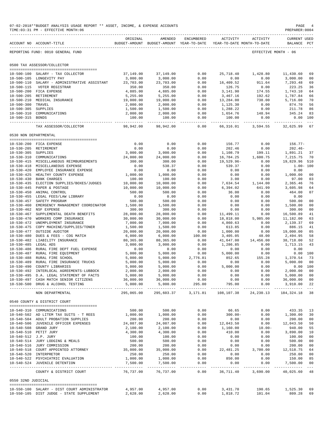|                                      | 07-02-2018**BUDGET ANALYSIS USAGE REPORT ** ASSET, INCOME, & EXPENSE ACCOUNTS<br>TIME: 03:31 PM - EFFECTIVE MONTH: 06 |                             |                                                     |                 |                         |                                        | PAGE<br>PREPARER: 0004             |                      |
|--------------------------------------|-----------------------------------------------------------------------------------------------------------------------|-----------------------------|-----------------------------------------------------|-----------------|-------------------------|----------------------------------------|------------------------------------|----------------------|
|                                      | ACCOUNT NO ACCOUNT-TITLE                                                                                              | ORIGINAL                    | AMENDED<br>BUDGET-AMOUNT BUDGET-AMOUNT YEAR-TO-DATE | ENCUMBERED      | ACTIVITY                | ACTIVITY<br>YEAR-TO-DATE MONTH-TO-DATE | <b>CURRENT USED</b><br>BALANCE PCT |                      |
|                                      | REPORTING FUND: 0010 GENERAL FUND                                                                                     |                             |                                                     |                 |                         |                                        | EFFECTIVE MONTH - 06               |                      |
|                                      | 0500 TAX ASSESSOR/COLLECTOR                                                                                           |                             |                                                     |                 |                         |                                        |                                    |                      |
|                                      |                                                                                                                       |                             |                                                     |                 |                         |                                        |                                    |                      |
|                                      | 10-500-100 SALARY - TAX COLLECTOR                                                                                     | 37,149.00                   | 37,149.00                                           | 0.00            | 25,718.40               | 1,428.80                               | 11,430.60                          | 69                   |
|                                      | 10-500-105 LONGEVITY PAY<br>10-500-110 SALARY - ADMINISTRATIVE ASSISTANT                                              | 3,000.00<br>23,703.00       | 3,000.00<br>23,703.00                               | 0.00<br>0.00    | 0.00<br>16,409.52       | 0.00<br>911.64                         | 3,000.00<br>7,293.48               | 00<br>69             |
| $10 - 500 - 115$                     | VOTER REGISTRAR                                                                                                       | 350.00                      | 350.00                                              | 0.00            | 126.75                  | 0.00                                   | 223.25                             | 36                   |
|                                      | 10-500-200 FICA EXPENSE                                                                                               | 4,885.00                    | 4,885.00                                            | 0.00            | 3,141.90                | 174.55                                 | 1,743.10                           | 64                   |
|                                      | 10-500-205 RETIREMENT                                                                                                 | 5,255.00                    | 5,255.00                                            | 0.00            | 3,467.16                | 192.62                                 | 1,787.84                           | 66                   |
|                                      | 10-500-210 MEDICAL INSURANCE                                                                                          | 19,000.00                   | 19,000.00                                           | 0.00            | 13,284.00               | 738.00                                 | 5,716.00                           | 70                   |
| $10 - 500 - 300$                     | TRAVEL                                                                                                                | 2,000.00                    | 2,000.00                                            | 0.00            | 1,125.30                | 0.00                                   | 874.70                             | 56                   |
| 10-500-305 SUPPLIES                  | 10-500-310 COMMUNICATIONS                                                                                             | 1,500.00                    | 1,500.00<br>2,000.00                                | 0.00<br>0.00    | 1,288.22<br>1,654.76    | 0.00<br>148.94                         | 211.78<br>345.24                   | 86<br>83             |
| 10-500-315 BONDS                     |                                                                                                                       | 2,000.00<br>100.00          | 100.00                                              | 0.00            | 100.00                  | 0.00                                   | 0.00 100                           |                      |
|                                      | TAX ASSESSOR/COLLECTOR                                                                                                | ______________<br>98,942.00 | ------------<br>98,942.00                           | -------<br>0.00 | 66,316.01               | 3,594.55                               | 32,625.99                          | $---$<br>67          |
| 0530 NON DEPARTMENTAL                |                                                                                                                       |                             |                                                     |                 |                         |                                        |                                    |                      |
|                                      |                                                                                                                       |                             |                                                     |                 |                         |                                        |                                    |                      |
|                                      | 10-530-200 FICA EXPENSE                                                                                               | 0.00                        | 0.00                                                | 0.00            | 156.77                  | 0.00                                   | $156.77-$                          |                      |
|                                      | 10-530-205 RETIREMENT                                                                                                 | 0.00                        | 0.00                                                | 0.00            | 202.46                  | 0.00                                   | $202.46-$                          |                      |
| $10 - 530 - 305$                     | SUPPLIES<br>10-530-310 COMMUNICATIONS                                                                                 | 3,000.00<br>24,000.00       | 3,000.00<br>24,000.00                               | 0.00<br>0.00    | 1,108.79<br>16,784.25   | 199.11<br>1,600.75                     | 1,891.21<br>7,215.75               | 37<br>70             |
|                                      | 10-530-415 MISCELLANEOUS REIMBURSEMENTS                                                                               | 300.00                      | 300.00                                              | 0.00            | $19,529.96 -$           | 0.00                                   | 19,829.96 510                      |                      |
|                                      | 10-530-418 MISCELLANEOUS EXPENSE                                                                                      | 0.00                        | 538.37                                              | 0.00            | 539.37                  | 0.00                                   | $1.00 - 100$                       |                      |
| $10 - 530 - 420$                     | EMPLOYEE INSURANCE EXPENSE                                                                                            | 0.00                        | 0.00                                                | 0.00            | 0.00                    | 0.00                                   | 0.00                               |                      |
|                                      | 10-530-425 HEALTHY COUNTY EXPENSE                                                                                     | 1,000.00                    | 1,000.00                                            | 0.00            | 0.00                    | 0.00                                   | 1,000.00                           | 00                   |
| $10 - 530 - 430$                     | <b>BANK CHARGES</b>                                                                                                   | 100.00                      | 100.00                                              | 0.00            | 3.00                    | 0.00                                   | 97.00                              | 03                   |
| $10 - 530 - 435$                     | ELECTION SUPPLIES/BOXES/JUDGES<br>10-530-445 PAPER & POSTAGE                                                          | 10,000.00<br>10,000.00      | 10,000.00<br>10,000.00                              | 0.00<br>0.00    | 7,634.54<br>6,394.02    | 1,144.00<br>641.99                     | 2,365.46<br>3,605.98               | 76<br>64             |
| $10 - 530 - 450$                     | ANIMAL CONTROL                                                                                                        | 500.00                      | 500.00                                              | 0.00            | 36.00                   | 0.00                                   | 464.00                             | 07                   |
|                                      | 10-530-455 LEGAL FEES/LAW LIBRARY                                                                                     | 0.00                        | 0.00                                                | 0.00            | 0.00                    | 0.00                                   | 0.00                               |                      |
| $10 - 530 - 457$                     | SAFETY PROGRAM                                                                                                        | 500.00                      | 500.00                                              | 0.00            | 0.00                    | 0.00                                   | 500.00                             | 0 <sub>0</sub>       |
| $10 - 530 - 460$                     | EMERGENCY MANAGEMENT COORDINATOR                                                                                      | 1,500.00                    | 1,500.00                                            | 0.00            | 0.00                    | 0.00                                   | 1,500.00                           | 00                   |
| $10 - 530 - 462$                     | NSF EXPENSE                                                                                                           | 300.00                      | 300.00                                              | 0.00            | 0.00                    | 0.00                                   | 300.00                             | 00                   |
| $10 - 530 - 467$                     | SUPPLEMENTAL DEATH BENEFITS                                                                                           | 28,000.00                   | 28,000.00                                           | 0.00            | 11,499.11               | 0.00                                   | 16,500.89                          | 41                   |
| $10 - 530 - 470$<br>$10 - 530 - 472$ | WORKERS COMP INSURANCE<br>UNEMPLOYMENT INSURANCE                                                                      | 30,000.00<br>7,000.00       | 30,000.00<br>7,000.00                               | 0.00<br>0.00    | 18,818.00<br>4,860.63   | 5,985.00<br>0.00                       | 11,182.00<br>2,139.37              | 63<br>69             |
| $10 - 530 - 475$                     | COPY MACHINE/SUPPLIES/TONER                                                                                           | 1,500.00                    | 1,500.00                                            | 0.00            | 613.85                  | 0.00                                   | 886.15                             | 41                   |
| $10 - 530 - 477$                     | OUTSIDE AUDITOR                                                                                                       | 20,000.00                   | 20,000.00                                           | 0.00            | 1,000.00                | 0.00                                   | 19,000.00                          | 05                   |
| $10 - 530 - 480$                     | DUES & FEES - COG MATCH                                                                                               | 6,000.00                    | 6,000.00                                            | 100.00          | 3,405.05                | 48.00                                  | 2,494.95                           | 58                   |
|                                      | 10-530-482 LIABILITY INSURANCE                                                                                        | 80,365.00                   | 80,365.00                                           | 0.00            | 41,647.00               | 14,456.00                              | 38,718.00                          | 52                   |
| 10-530-485 LEGAL ADS                 |                                                                                                                       | 3,000.00                    | 3,000.00                                            | 0.00            | 1,286.85                | 0.00                                   | 1,713.15                           | 43                   |
| $10 - 530 - 486$<br>$10 - 530 - 487$ | RURAL FIRE DEPT FUEL EXPENSE<br>RURAL FIRE EQUIPMENT                                                                  | 0.00<br>5,000.00            | 0.00<br>5,000.00                                    | 0.00<br>0.00    | 0.00<br>5,000.00        | 0.00<br>0.00                           | 0.00                               | 0.00 100             |
| $10 - 530 - 488$                     | RURAL FIRE SCHOOL                                                                                                     | 5,000.00                    | 5,000.00                                            | 2,776.81        | 852.65                  | 155.28                                 | 1,370.54                           | 73                   |
| $10 - 530 - 489$                     | RURAL FIRE INSURANCE TRUCKS                                                                                           | 5,000.00                    | 5,000.00                                            | 0.00            | 0.00                    | 0.00                                   | 5,000.00                           | 00                   |
|                                      | 10-530-490 COUNTY LIBRARIES                                                                                           | 5,000.00                    | 5,000.00                                            | 0.00            | 5,000.00                | 0.00                                   | 0.00 100                           |                      |
|                                      | 10-530-492 INTERLOCAL AGREEMENTS-LUBBOCK                                                                              | 2,000.00                    | 2,000.00                                            | 0.00            | 0.00                    | 0.00                                   | 2,000.00 00                        |                      |
|                                      | 10-530-495 D.A. LEGAL STATEMENT OF FACTS                                                                              | 5,000.00                    | 5,000.00                                            | 0.00            | 0.00                    | 0.00                                   | 5,000.00                           | 00                   |
|                                      | 10-530-497 CASH MATCH SENIOR CITIZENS<br>10-530-500 DRUG & ALCOHOL TESTING                                            | 36,000.00<br>5,000.00       | 36,000.00<br>5,000.00                               | 0.00<br>295.00  | 0.00<br>795.00          | 0.00<br>0.00                           | 36,000.00<br>3,910.00              | 00<br>22             |
|                                      | NON DEPARTMENTAL                                                                                                      | ----------<br>295,065.00    | -----------<br>295,603.37                           | 3,171.81        | 108,107.38              | 24, 230.13                             | .<br>184,324.18                    | 38                   |
|                                      | 0540 COUNTY & DISTRICT COURT                                                                                          |                             |                                                     |                 |                         |                                        |                                    |                      |
|                                      |                                                                                                                       |                             |                                                     |                 |                         |                                        |                                    |                      |
|                                      | 10-540-310 COMMUNICATIONS                                                                                             | 500.00                      | 500.00                                              | 0.00            | 66.65                   | 0.00                                   | 433.35                             | 13                   |
|                                      | 10-540-502 AD LITEM TAX SUITS - T REES                                                                                | 1,000.00                    | 1,000.00                                            | 0.00            | $300.00 -$              | 0.00                                   | 1,300.00                           | 30                   |
|                                      | 10-540-504 ADULT PROBATION SUPPLIES<br>10-540-506 JUVENILE OFFICER EXPENSES                                           | 200.00                      | 200.00                                              | 0.00<br>0.00    | 0.00                    | 0.00<br>0.00                           | 200.00                             | 0 <sub>0</sub><br>50 |
|                                      | 10-540-508 GRAND JURY                                                                                                 | 24,087.00<br>2,100.00       | 24,087.00<br>2,100.00                               | 0.00            | 12,043.50<br>1,160.00   | $10.00 -$                              | 12,043.50<br>940.00                | 55                   |
|                                      | 10-540-510 PETIT JURY                                                                                                 | 4,300.00                    | 4,300.00                                            | 0.00            | 410.00                  | 0.00                                   | 3,890.00                           | 10                   |
| 10-540-512 J.P. JURY                 |                                                                                                                       | 100.00                      | 100.00                                              | 0.00            | 0.00                    | 0.00                                   | 100.00                             | 0 <sub>0</sub>       |
|                                      | 10-540-514 JURY LODGING & MEALS                                                                                       | 500.00                      | 500.00                                              | 0.00            | 0.00                    | 0.00                                   | 500.00                             | 00                   |
|                                      | 10-540-516 JURY COMMISSION                                                                                            | 200.00                      | 200.00                                              | 0.00            | 0.00                    | 0.00                                   | 200.00                             | 00                   |
|                                      | 10-540-518 COURT APPOINTED ATTORNEY                                                                                   | 35,000.00                   | 35,000.00                                           | 0.00            | 22, 481.25              | 3,700.00                               | 12,518.75                          | 64                   |
|                                      | 10-540-520 INTERPRETOR<br>10-540-522 PSYCHIATRIC EVALUATION                                                           | 250.00<br>1,000.00          | 250.00<br>1,000.00                                  | 0.00<br>0.00    | 0.00<br>850.00          | 0.00<br>0.00                           | 250.00<br>150.00                   | 00<br>85             |
|                                      | 10-540-524 JUVENILE DETENTION                                                                                         | 7,500.00                    | 7,500.00                                            | 0.00            | 0.00                    | 0.00                                   | 7,500.00                           | 00                   |
|                                      | COUNTY & DISTRICT COURT                                                                                               | 76,737.00                   | --------------<br>76,737.00                         | -------<br>0.00 | ----------<br>36,711.40 | ----------<br>3,690.00                 | 40,025.60                          | 48                   |
| 0550 32ND JUDICIAL                   |                                                                                                                       |                             |                                                     |                 |                         |                                        |                                    |                      |
|                                      |                                                                                                                       |                             |                                                     | 0.00            | 3,431.70                |                                        |                                    |                      |
|                                      | 10-550-100 SALARY - DIST COURT ADMINISTRATOR<br>10-550-105 DIST JUDGE - STATE SUPPLEMENT                              | 4,957.00<br>2,628.00        | 4,957.00<br>2,628.00                                | 0.00            | 1,818.72                | 190.65<br>101.04                       | 1,525.30<br>809.28                 | 69<br>69             |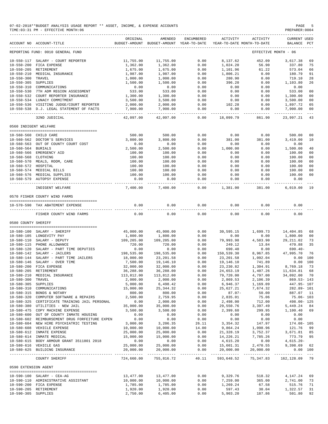|                       | 07-02-2018**BUDGET ANALYSIS USAGE REPORT ** ASSET, INCOME, & EXPENSE ACCOUNTS<br>TIME: 03:31 PM - EFFECTIVE MONTH: 06 |                         |                                                     |               |                        |                                        | PAGE<br>PREPARER: 0004             |                      |
|-----------------------|-----------------------------------------------------------------------------------------------------------------------|-------------------------|-----------------------------------------------------|---------------|------------------------|----------------------------------------|------------------------------------|----------------------|
|                       | ACCOUNT NO ACCOUNT-TITLE                                                                                              | ORIGINAL                | AMENDED<br>BUDGET-AMOUNT BUDGET-AMOUNT YEAR-TO-DATE | ENCUMBERED    | <b>ACTIVITY</b>        | ACTIVITY<br>YEAR-TO-DATE MONTH-TO-DATE | <b>CURRENT USED</b><br>BALANCE PCT |                      |
|                       | REPORTING FUND: 0010 GENERAL FUND                                                                                     |                         |                                                     |               |                        |                                        | EFFECTIVE MONTH - 06               |                      |
|                       | 10-550-117 SALARY - COURT REPORTER                                                                                    | 11,755.00               | 11,755.00                                           | 0.00          | 8,137.62               | 452.09                                 | 3,617.38                           | 69                   |
|                       | 10-550-200 FICA EXPENSE                                                                                               | 1,362.00                | 1,362.00                                            | 0.00          | 1,024.20               | 56.90                                  | 337.80                             | 75                   |
|                       | 10-550-205 RETIREMENT                                                                                                 | 1,675.00                | 1,675.00                                            | 0.00          | 1,101.96               | 61.22                                  | 573.04                             | 66                   |
|                       | 10-550-210 MEDICAL INSURANCE                                                                                          | 1,987.00                | 1,987.00                                            | 0.00          | 1,806.21               | 0.00                                   | 180.79                             | 91                   |
| 10-550-300 TRAVEL     |                                                                                                                       | 1,000.00                | 1,000.00                                            | 0.00          | 280.90                 | 0.00                                   | 719.10                             | 28                   |
| 10-550-305 SUPPLIES   |                                                                                                                       | 1,500.00                | 1,500.00                                            | 0.00          | 396.20                 | 0.00                                   | 1,103.80                           | 26                   |
|                       | 10-550-310 COMMUNICATIONS                                                                                             | 0.00                    | 0.00                                                | 0.00          | 0.00                   | 0.00                                   | 0.00                               |                      |
|                       | 10-550-530 7TH ADM REGION ASSESSMENT<br>10-550-532 COURT REPORTER INSURANCE                                           | 533.00<br>1,300.00      | 533.00<br>1,300.00                                  | 0.00<br>0.00  | 0.00<br>0.00           | 0.00<br>0.00                           | 533.00<br>1,300.00                 | 0 <sub>0</sub><br>00 |
|                       | 10-550-534 LUNACY COMMITMENT                                                                                          | 3,500.00                | 3,500.00                                            | 0.00          | 0.00                   | 0.00                                   | 3,500.00                           | 0 <sub>0</sub>       |
|                       | 10-550-536 VISITING JUDGE/COURT REPORTER                                                                              | 2,000.00                | 2,000.00                                            | 0.00          | 102.28                 | 0.00                                   | 1,897.72                           | 05                   |
|                       | 10-550-538 D.J. LEGAL STATEMENT OF FACTS                                                                              | 7,900.00                | 7,900.00                                            | 0.00<br>$---$ | 0.00                   | 0.00                                   | 7,900.00                           | 00                   |
|                       | 32ND JUDICIAL                                                                                                         | 42,097.00               | 42,097.00                                           | 0.00          | 18,099.79              | 861.90                                 | 23,997.21                          | 43                   |
| 0560 INDIGENT WELFARE |                                                                                                                       |                         |                                                     |               |                        |                                        |                                    |                      |
|                       | 10-560-560 CHILD CARE                                                                                                 | 500.00                  | 500.00                                              | 0.00          | 0.00                   | 0.00                                   | 500.00                             | 00                   |
|                       | 10-560-562 DOCTOR'S SERVICES                                                                                          | 3,800.00                | 3,800.00                                            | 0.00          | 381.00                 | 381.00                                 | 3,419.00                           | 10                   |
|                       | 10-560-563 OUT OF COUNTY COURT COST                                                                                   | 0.00                    | 0.00                                                | 0.00          | 0.00                   | 0.00                                   | 0.00                               |                      |
| 10-560-564 BURIALS    |                                                                                                                       | 2,500.00                | 2,500.00                                            | 0.00          | 1,000.00               | 0.00                                   | 1,500.00                           | 40                   |
|                       | 10-560-566 EMERGENCY AID                                                                                              | 100.00                  | 100.00                                              | 0.00          | 0.00                   | 0.00                                   | 100.00                             | 00                   |
| 10-560-568 CLOTHING   |                                                                                                                       | 100.00                  | 100.00                                              | 0.00          | 0.00                   | 0.00                                   | 100.00                             | 0 <sub>0</sub>       |
|                       | 10-560-570 MEALS, ROOM, CARE                                                                                          | 100.00                  | 100.00                                              | 0.00          | 0.00                   | 0.00                                   | 100.00                             | 00                   |
| 10-560-572 HOSPITAL   |                                                                                                                       | 100.00                  | 100.00                                              | 0.00          | 0.00                   | 0.00                                   | 100.00                             | 00                   |
|                       | 10-560-574 MEDICAL BILLS                                                                                              | 100.00                  | 100.00                                              | 0.00          | 0.00                   | 0.00                                   | 100.00                             | 0 <sub>0</sub>       |
|                       | 10-560-576 MEDICAL SUPPLIES<br>10-560-579 AUTOPSY EXPENSE                                                             | 100.00<br>0.00          | 100.00<br>0.00                                      | 0.00<br>0.00  | 0.00<br>0.00           | 0.00<br>0.00                           | 100.00<br>0.00                     | 0 <sub>0</sub>       |
|                       | INDIGENT WELFARE                                                                                                      | --------<br>7,400.00    | 7,400.00                                            | -----<br>0.00 | -------<br>1,381.00    | 381.00                                 | -------<br>6,019.00                | 19                   |
|                       | 0570 FISHER COUNTY WIND FARMS                                                                                         |                         |                                                     |               |                        |                                        |                                    |                      |
|                       | 10-570-590 TAX ABATEMENT EXPENSE                                                                                      | 0.00                    | 0.00                                                | 0.00          | 0.00                   | 0.00                                   | 0.00                               |                      |
|                       | ------------------                                                                                                    |                         |                                                     |               | $\frac{1}{2}$          |                                        |                                    |                      |
|                       | FISHER COUNTY WIND FARMS                                                                                              | 0.00                    | 0.00                                                | 0.00          | 0.00                   | 0.00                                   | 0.00                               |                      |
| 0580 COUNTY SHERIFF   |                                                                                                                       |                         |                                                     |               |                        |                                        |                                    |                      |
|                       | 10-580-100 SALARY - SHERIFF                                                                                           | 45,000.00               | 45,000.00                                           | 0.00          | 30,595.15              | 1,699.73                               | 14,404.85                          | 68                   |
|                       | 10-580-105 LONGEVITY PAY                                                                                              | 1,800.00                | 1,800.00                                            | 0.00          | 0.00                   | 0.00                                   | 1,800.00                           | 0 <sub>0</sub>       |
|                       | 10-580-110 SALARY - DEPUTY                                                                                            | 109,205.00              | 109,205.00                                          | 0.00          | 79,993.98              | 4,583.90                               | 29, 211.02                         | 73                   |
|                       | 10-580-115 PHONE ALLOWANCE                                                                                            | 720.00                  | 720.00                                              | 0.00          | 249.12                 | 13.84                                  | 470.88                             | 35                   |
|                       | 10-580-120 SALARY - PART TIME DEPUTIES                                                                                | 0.00                    | 0.00                                                | 0.00          | 690.40                 | 0.00                                   | $690.40 -$                         |                      |
|                       | 10-580-142 SALARY - JAILERS                                                                                           | 198,535.00              | 198,535.00                                          | 0.00          | 150,539.30             | 8,967.85                               | 47,995.70                          | 76                   |
|                       | 10-580-144 SALARY - PART TIME JAILERS                                                                                 | 18,000.00               | 23,201.58                                           | 0.00          | 23, 201.58             | 1,092.04                               | 0.00                               | 100                  |
|                       | 10-580-146 SALARY - OVER TIME                                                                                         | 7,500.00                | 19,146.10                                           | 0.00          | 19,146.10              | 741.89                                 | 0.00 100                           |                      |
|                       | 10-580-200 FICA EXPENSE                                                                                               | 32,000.00               | 32,000.00                                           | 0.00          | 23, 230.82             | 1,304.91                               | 8,769.18                           | 73                   |
|                       | 10-580-205 RETIREMENT<br>10-580-210 MEDICAL INSURANCE                                                                 | 36,288.00<br>113,812.00 | 36,288.00<br>113,812.00                             | 0.00<br>0.00  | 24,653.19<br>79,720.00 | 1,407.26<br>4,797.00                   | 11,634.81<br>34,092.00             | 68<br>70             |
| 10-580-300 TRAVEL     |                                                                                                                       | 2,000.00                | 2,000.00                                            | 0.00          | 2,869.53               | 2,106.39                               | $869.53 - 143$                     |                      |
| 10-580-305 SUPPLIES   |                                                                                                                       | 5,000.00                | 6,498.42                                            | 0.00          | 6,946.37               | 1,169.09                               | 447.95- 107                        |                      |
|                       | 10-580-310 COMMUNICATIONS                                                                                             | 15,000.00               | 25, 344.32                                          | 0.00          | 25,627.21              | 7,674.32                               | 282.89-101                         |                      |
|                       | 10-580-315 BONDS & NOTARY                                                                                             | 800.00                  | 800.00                                              | 0.00          | $87.07 -$              | 50.00                                  | 887.07 11                          |                      |
| $10 - 580 - 320$      | COMPUTER SOFTWARE & REPAIRS                                                                                           | 2,500.00                | 2,759.95                                            | 0.00          | 2,835.01               | 75.06                                  | $75.06 - 103$                      |                      |
|                       | 10-580-325 CERTIFICATE TRAINING JAIL PERSONAL                                                                         | 0.00                    | 2,000.00                                            | 0.00          | 2,498.00               | 712.00                                 | 498.00- 125                        |                      |
|                       | 10-580-380 UTILITIES - NEW JAIL                                                                                       | 35,000.00               | 35,000.00                                           | 0.00          | 29,550.76              | 3,397.49                               | 5,449.24                           | 84                   |
|                       | 10-580-475 COPY MACHINE EXPENSE                                                                                       | 3,500.00                | 3,500.00                                            | 0.00          | 2,399.60               | 299.95                                 | 1,100.40                           | 69                   |
|                       | 10-580-600 OUT OF COUNTY INMATE HOUSING                                                                               | 0.00                    | 0.00                                                | 0.00          | 0.00                   | 0.00                                   | 0.00                               |                      |
|                       | 10-580-602 REIMBURSEMENT DRUG FORFEITURE EXPEN                                                                        | 0.00                    | 0.00                                                | 0.00          | 0.00                   | 0.00                                   | 0.00                               |                      |
|                       | 10-580-604 NEW HIRE PSYCHIATRIC TESTING                                                                               | 3,000.00                | 3,206.35                                            | 26.11         | 3,354.32               | 147.97                                 | 174.08- 105                        |                      |
|                       | 10-580-608 VEHICLE EXPENSE                                                                                            | 10,000.00<br>25,000.00  | 10,000.00                                           | 14.00         | 9,864.24               | 1,098.96                               | 121.76                             | -99                  |
|                       | 10-580-612 INMATE EXPENSE<br>10-580-614 INMATE MEDICAL                                                                | 15,000.00               | 25,000.00<br>15,000.00                              | 0.00<br>0.00  | 21,328.19<br>14,226.21 | 3,752.37<br>7,785.26                   | 3,671.81<br>773.79                 | 85<br>95             |
|                       | 10-580-615 BODY ARMOUR GRANT 3511801 2018                                                                             | 0.00                    | 0.00                                                | 0.00          | 4,615.20               | 0.00                                   | $4,615.20-$                        |                      |
|                       | 10-580-616 VEHICLE GAS                                                                                                | 25,000.00               | 25,000.00                                           | 0.00          | 15,601.31              | 2,470.55                               | 9,398.69 62                        |                      |
|                       | 10-580-625 BUILDING INSURANCE                                                                                         | 20,000.00               | 20,000.00                                           | 0.00          | 20,000.00              | 20,000.00                              | 0.00 100                           |                      |
|                       | COUNTY SHERIFF                                                                                                        | 724,660.00              | 755,816.72                                          | 40.11         | 593,648.52             | 75,347.83                              | 162,128.09 79                      |                      |
| 0590 EXTENSION AGENT  |                                                                                                                       |                         |                                                     |               |                        |                                        |                                    |                      |
|                       | --------------------------------------<br>10-590-100 SALARY - CEA-AG                                                  | 13,477.00               | 13,477.00                                           | 0.00          | 9,329.76               | 518.32                                 | 4,147.24                           | 69                   |
|                       | 10-590-110 ADMINISTRATIVE ASSISTANT                                                                                   | 10,000.00               | 10,000.00                                           | 0.00          | 7,259.00               | 365.00                                 | 2,741.00                           | 73                   |
|                       | 10-590-200 FICA EXPENSE                                                                                               | 1,785.00                | 1,785.00                                            | 0.00          | 1,269.24               | 67.58                                  | 515.76                             | 71                   |
|                       | 10-590-205 RETIREMENT                                                                                                 | 1,920.00                | 1,920.00                                            | 0.00          | 597.43                 | 30.04                                  | 1,322.57                           | 31                   |
| 10-590-305 SUPPLIES   |                                                                                                                       | 2,750.00                | 6,405.00                                            | 0.00          | 5,903.20               | 187.86                                 | 501.80                             | 92                   |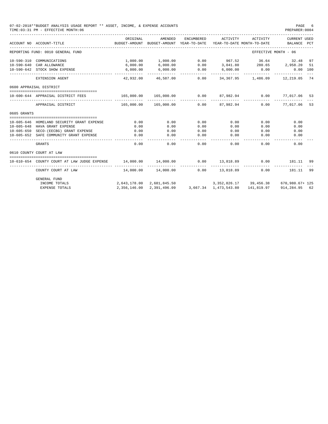|             | 07-02-2018**BUDGET ANALYSIS USAGE REPORT ** ASSET, INCOME, & EXPENSE ACCOUNTS<br>TIME: 03:31 PM - EFFECTIVE MONTH: 06 |                         |                               |                    |                                                                                 |                                          | PAGE<br>PREPARER: 0004      | - 6 |
|-------------|-----------------------------------------------------------------------------------------------------------------------|-------------------------|-------------------------------|--------------------|---------------------------------------------------------------------------------|------------------------------------------|-----------------------------|-----|
|             | ACCOUNT NO ACCOUNT-TITLE                                                                                              | ORIGINAL                | AMENDED                       | ENCUMBERED         | ACTIVITY<br>BUDGET-AMOUNT BUDGET-AMOUNT YEAR-TO-DATE YEAR-TO-DATE MONTH-TO-DATE | ACTIVITY                                 | CURRENT USED<br>BALANCE PCT |     |
|             | REPORTING FUND: 0010 GENERAL FUND                                                                                     |                         |                               |                    |                                                                                 | EFFECTIVE MONTH - 06                     |                             |     |
|             | 10-590-310 COMMUNICATIONS                                                                                             |                         | 1,000.00 1,000.00             |                    | $0.00$ 967.52 36.64                                                             |                                          | 32.48                       | 97  |
|             | 10-590-640 CAR ALLOWANCE                                                                                              | 6,000.00                | 6,000.00                      |                    | $0.00$ 3,041.80 280.65 2,958.20                                                 |                                          |                             | 51  |
|             | 10-590-642 STOCK SHOW EXPENSE                                                                                         | 6,000.00<br>----------- | 6,000.00<br>-------------     | 0.00<br>-------    | $6,000.00$ 0.00                                                                 | ----------                               | 0.00 100                    |     |
|             | EXTENSION AGENT                                                                                                       |                         | 42,932.00 46,587.00           | 0.00               |                                                                                 | 34, 367.95   1, 486.09   12, 219.05   74 |                             |     |
|             | 0600 APPRAISAL DISTRICT                                                                                               |                         |                               |                    |                                                                                 |                                          |                             |     |
|             | 10-600-644 APPRAISAL DISTRICT FEES                                                                                    | 165,000.00              | 165,000.00 0.00               |                    |                                                                                 | 87,982.94 0.00 77,017.06                 |                             | -53 |
|             | APPRAISAL DISTRICT                                                                                                    | 165,000.00              | _______________<br>165,000.00 | 0.00               | 87,982,94                                                                       | 0.00                                     | 77.017.06                   | 53  |
| 0605 GRANTS |                                                                                                                       |                         |                               |                    |                                                                                 |                                          |                             |     |
|             |                                                                                                                       |                         |                               | 0.00               | 0.00                                                                            |                                          |                             |     |
|             | 10-605-646 HOMELAND SECURITY GRANT EXPENSE                                                                            | 0.00                    | 0.00                          | 0.00               | 0.00                                                                            | 0.00                                     | 0.00                        |     |
|             | 10-605-648 HAVA GRANT EXPENSE                                                                                         | 0.00                    | 0.00                          | 0.00               |                                                                                 | 0.00                                     | 0.00                        |     |
|             | 10-605-650 SECO-(EECBG) GRANT EXPENSE<br>10-605-652 SAFE COMMUNITY GRANT EXPENSE                                      | $\sim$ 0.00<br>0.00     | 0.00<br>0.00                  | 0.00               | 0.00<br>0.00                                                                    | 0.00<br>0.00                             | 0.00<br>0.00                |     |
|             | ________________________<br>GRANTS                                                                                    | 0.00                    | 0.00                          | 0.00               | 0.00                                                                            | 0.00                                     | 0.00                        |     |
|             | 0610 COUNTY COURT AT LAW                                                                                              |                         |                               |                    |                                                                                 |                                          |                             |     |
|             | 10-610-654 COUNTY COURT AT LAW JUDGE EXPENSE                                                                          | 14,000.00               | 14,000.00                     | 0.00               | 13,818.89                                                                       | 0.00                                     | 181.11 99                   |     |
|             | ______________________<br>COUNTY COURT AT LAW                                                                         |                         | 14,000.00  14,000.00          | ----------<br>0.00 | 13,818.89                                                                       | 0.00                                     | 181.11                      | 99  |
|             | GENERAL FUND<br>INCOME TOTALS                                                                                         |                         | 2,643,178.00 2,681,845.50     |                    | 3.352.826.17 39.456.38 670.980.67+ 125                                          |                                          |                             |     |

EXPENSE TOTALS 2,356,146.00 2,391,496.09 3,667.34 1,473,543.80 141,819.97 914,284.95 62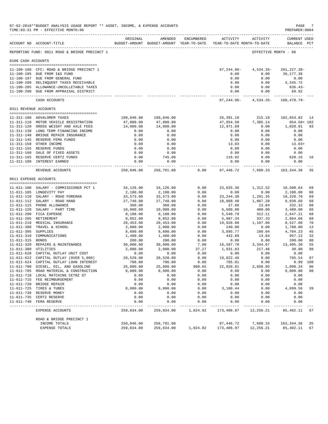|                       | 07-02-2018**BUDGET ANALYSIS USAGE REPORT ** ASSET, INCOME, & EXPENSE ACCOUNTS<br>TIME: 03:31 PM - EFFECTIVE MONTH: 06 |                          |                          |                   |                                                                                        |                           | PAGE<br>PREPARER: 0004             | -7                   |
|-----------------------|-----------------------------------------------------------------------------------------------------------------------|--------------------------|--------------------------|-------------------|----------------------------------------------------------------------------------------|---------------------------|------------------------------------|----------------------|
|                       | ACCOUNT NO ACCOUNT-TITLE                                                                                              | ORIGINAL                 | AMENDED                  | ENCUMBERED        | <b>ACTIVITY</b><br>BUDGET-AMOUNT BUDGET-AMOUNT YEAR-TO-DATE YEAR-TO-DATE MONTH-TO-DATE | ACTIVITY                  | <b>CURRENT USED</b><br>BALANCE PCT |                      |
|                       | REPORTING FUND: 0011 ROAD & BRIDGE PRECINCT 1                                                                         |                          |                          |                   |                                                                                        | EFFECTIVE MONTH - 06      |                                    |                      |
| 0100 CASH ACCOUNTS    |                                                                                                                       |                          |                          |                   |                                                                                        |                           |                                    |                      |
|                       | 11-100-100 CFC: ROAD & BRIDGE PRECINCT 1                                                                              |                          |                          |                   | $87, 244.96 -$                                                                         | $4,534.35-$               | 201, 227.38-                       |                      |
|                       | 11-100-185 DUE FROM I&S FUND                                                                                          |                          |                          |                   | 0.00                                                                                   | 0.00                      | 30,177.38                          |                      |
|                       | 11-100-197 DUE FROM GENERAL FUND                                                                                      |                          |                          |                   | 0.00                                                                                   | 0.00                      | 0.00                               |                      |
|                       | 11-100-280 DELINQUENT TAXES RECEIVABLE                                                                                |                          |                          |                   | 0.00<br>0.00                                                                           | 0.00<br>0.00              | 3,345.72                           |                      |
|                       | 11-100-285 ALLOWANCE-UNCOLLETABLE TAXES<br>11-100-290 DUE FROM APPRAISAL DISTRICT                                     |                          |                          |                   | 0.00                                                                                   | 0.00                      | $836.43-$<br>69.92                 |                      |
|                       | CASH ACCOUNTS                                                                                                         |                          |                          |                   | ------------- -<br>87,244.96-                                                          | ------------<br>4,534.35- | -------------<br>168,470.79-       |                      |
| 0311 REVENUE ACCOUNTS |                                                                                                                       |                          |                          |                   |                                                                                        |                           |                                    |                      |
|                       | 11-311-100 ADVALOREM TAXES                                                                                            | 189,046.00               |                          |                   |                                                                                        |                           |                                    |                      |
|                       | 11-311-110 MOTOR VEHICLE REGISTRATION                                                                                 | 47,000.00                | 189,046.00<br>47,000.00  |                   | 26,391.18<br>47,954.50                                                                 | 215.19<br>7,385.14        | 162,654.82 14<br>954.50+ 102       |                      |
|                       | 11-311-120 GROSS WEIGHT AND AXLE FEES                                                                                 | 14,000.00                | 14,000.00                |                   | 12,971.09                                                                              | 0.00                      | 1,028.91                           | 93                   |
|                       | 11-311-130 LONG TERM FINANCING INCOME                                                                                 | 0.00                     | 0.00                     |                   | 0.00                                                                                   | 0.00                      | 0.00                               |                      |
|                       | 11-311-140 BRIDGE REPAIR INSURANCE                                                                                    | 0.00                     | 0.00                     |                   | 0.00                                                                                   | 0.00                      | 0.00                               |                      |
|                       | 11-311-145 RESERVE FEMA FUNDS                                                                                         | 0.00                     | 0.00                     |                   | 0.00                                                                                   | 0.00                      | 0.00                               |                      |
|                       | 11-311-150 OTHER INCOME                                                                                               | 0.00                     | 0.00                     |                   | 13.03                                                                                  | 0.00                      | $13.03+$                           |                      |
|                       | 11-311-155 RESERVE FUNDS                                                                                              | 0.00                     | 0.00                     |                   | 0.00                                                                                   | 0.00                      | 0.00                               |                      |
|                       | 11-311-160 SALE OF FIXED ASSETS                                                                                       | 0.00                     | 0.00                     |                   | 0.00                                                                                   | 0.00                      | 0.00                               |                      |
|                       | 11-311-165 RESERVE CERTZ FUNDS<br>11-311-180 INTEREST EARNED                                                          | 0.00<br>0.00             | 745.08<br>0.00           |                   | 116.92<br>0.00                                                                         | 0.00<br>0.00              | 628.16<br>0.00                     | 16                   |
|                       |                                                                                                                       |                          | ------------             |                   |                                                                                        |                           | -------------                      |                      |
|                       | REVENUE ACCOUNTS                                                                                                      | 250,046.00               | 250,791.08               | 0.00              | 87,446.72                                                                              | 7,600.33                  | 163, 344.36                        | 35                   |
| 0611 EXPENSE ACCOUNTS | --------------------------------------                                                                                |                          |                          |                   |                                                                                        |                           |                                    |                      |
|                       | 11-611-100 SALARY - COMMISSIONER PCT 1                                                                                | 34,126.00                | 34,126.00                | 0.00              | 23,625.36                                                                              | 1,312.52                  | 10,500.64                          | 69                   |
|                       | 11-611-105 LONGEVITY PAY                                                                                              | 2,100.00                 | 2,100.00                 | 0.00              | 0.00                                                                                   | 0.00                      | 2,100.00                           | 0 <sub>0</sub>       |
|                       | 11-611-110 SALARY - ROAD FOREMAN                                                                                      | 33,573.00                | 33,573.00                | 0.00              | 23, 244.30                                                                             | 1,291.35                  | 10,328.70                          | 69                   |
|                       | 11-611-112 SALARY - ROAD HAND                                                                                         | 27,748.00                | 27,748.00                | 0.00              | 18,809.40                                                                              | 1,067.20                  | 8,938.60                           | 68                   |
|                       | 11-611-115 PHONE ALLOWANCE                                                                                            | 360.00                   | 360.00                   | 0.00              | 27.68                                                                                  | 13.84                     | 332.32                             | 08                   |
|                       | 11-611-120 SALARY - PART TIME                                                                                         | 10,000.00                | 10,000.00                | 0.00              | 6,600.00                                                                               | 400.00                    | 3,400.00                           | 66                   |
|                       | 11-611-200 FICA EXPENSE<br>11-611-205 RETIREMENT                                                                      | 8,188.00                 | 8,188.00                 | 0.00<br>0.00      | 5,540.79                                                                               | 312.11                    | 2,647.21                           | 68<br>68             |
|                       | 11-611-210 MEDICAL INSURANCE                                                                                          | 8,852.00<br>28,453.00    | 8,852.00<br>28,453.00    | 0.00              | 5,987.34<br>19,926.00                                                                  | 337.33<br>1,107.00        | 2,864.66<br>8,527.00               | 70                   |
|                       | 11-611-300 TRAVEL & SCHOOL                                                                                            | 2,000.00                 | 2,000.00                 | 0.00              | 240.00                                                                                 | 0.00                      | 1,760.00                           | 12                   |
| 11-611-305 SUPPLIES   |                                                                                                                       | 8,600.00                 | 8,600.00                 | 0.00              | 3,895.77                                                                               | 180.04                    | 4,704.23                           | 45                   |
|                       | 11-611-310 COMMUNICATIONS                                                                                             | 1,400.00                 | 1,400.00                 | 0.00              | 442.88                                                                                 | 13.84                     | 957.12                             | 32                   |
| 11-611-315 BONDS      |                                                                                                                       | 200.00                   | 200.00                   | 0.00              | 0.00                                                                                   | 0.00                      | 200.00                             | 0 <sub>0</sub>       |
|                       | 11-611-320 REPAIRS & MAINTENANCE                                                                                      | 30,000.00                | 30,000.00                | 7.00              | 16,587.70                                                                              | 3,344.67                  | 13,405.30                          | 55                   |
| 11-611-380 UTILITIES  |                                                                                                                       | 2,000.00                 | 2,000.00                 | 37.27             | 1,931.83                                                                               | 217.46                    | 30.90                              | 98                   |
|                       | 11-611-620 CAPITAL OUTLAY UNIT COST                                                                                   | 0.00                     | 0.00                     | 0.00              | 0.00                                                                                   | 0.00                      | 0.00                               |                      |
|                       | 11-611-622 CAPITAL OUTLAY (OVER 5,000)                                                                                | 20,528.00                | 20,528.00                | 0.00              | 19,822.46                                                                              | 0.00                      | 705.54                             | 97                   |
|                       | 11-611-624 CAPITAL OUTLAY LOAN INTEREST                                                                               | 706.00                   | 706.00                   | 0.00              | 705.01                                                                                 | 0.00                      | $0.99$ 100                         |                      |
|                       | 11-611-700 DIESEL, OIL, AND GASOLINE<br>11-611-705 ROAD MATERIAL & CONSTRUCTION                                       | 25,000.00<br>8,000.00    | 25,000.00<br>8,000.00    | 980.65<br>0.00    | 22,920.01<br>0.00                                                                      | 2,658.85<br>0.00          | 1,099.34<br>8,000.00               | 96<br>0 <sub>0</sub> |
|                       | 11-611-710 LOCAL MATCHING CETRZ GT                                                                                    | 0.00                     | 0.00                     | 0.00              | 0.00                                                                                   | 0.00                      | 0.00                               |                      |
|                       | 11-611-715 FEE REIMBURSEMENT                                                                                          | 0.00                     | 0.00                     | 0.00              | 0.00                                                                                   | 0.00                      | 0.00                               |                      |
|                       | 11-611-720 BRIDGE REPAIR                                                                                              | 0.00                     | 0.00                     | 0.00              | 0.00                                                                                   | 0.00                      | 0.00                               |                      |
|                       | 11-611-725 TIRES & TUBES                                                                                              | 8,000.00                 | 8,000.00                 | 0.00              | 3,100.44                                                                               | 0.00                      | 4,899.56                           | 39                   |
|                       | 11-611-730 RESERVE MONEY                                                                                              | 0.00                     | 0.00                     | 0.00              | 0.00                                                                                   | 0.00                      | 0.00                               |                      |
|                       | 11-611-735 CERTZ RESERVE                                                                                              | 0.00                     | 0.00                     | 0.00              | 0.00                                                                                   | 0.00                      | 0.00                               |                      |
|                       | 11-611-740 FEMA RESERVE                                                                                               | 0.00<br>----------       | 0.00<br>---------        | 0.00<br>--------- | 0.00<br>----------                                                                     | 0.00                      | 0.00                               |                      |
|                       | EXPENSE ACCOUNTS                                                                                                      | 259,834.00               | 259,834.00               | 1,024.92          | 173,406.97                                                                             | 12,256.21                 | 85, 402.11                         | 67                   |
|                       | ROAD & BRIDGE PRECINCT 1                                                                                              |                          |                          |                   |                                                                                        |                           |                                    |                      |
|                       | INCOME TOTALS<br>EXPENSE TOTALS                                                                                       | 250,046.00<br>259,834.00 | 250,791.08<br>259,834.00 | 1,024.92          | 87,446.72<br>173,406.97                                                                | 7,600.33<br>12,256.21     | 163,344.36                         | 35<br>67             |
|                       |                                                                                                                       |                          |                          |                   |                                                                                        |                           | 85,402.11                          |                      |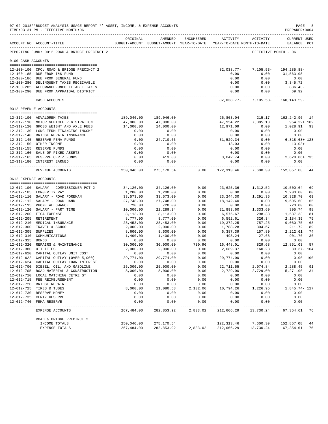|                       | 07-02-2018**BUDGET ANALYSIS USAGE REPORT ** ASSET, INCOME, & EXPENSE ACCOUNTS<br>TIME: 03:31 PM - EFFECTIVE MONTH: 06 |                          |                                                     |                       |                                               |                             | PAGE<br>PREPARER: 0004             | -8             |
|-----------------------|-----------------------------------------------------------------------------------------------------------------------|--------------------------|-----------------------------------------------------|-----------------------|-----------------------------------------------|-----------------------------|------------------------------------|----------------|
|                       | ACCOUNT NO ACCOUNT-TITLE                                                                                              | ORIGINAL                 | AMENDED<br>BUDGET-AMOUNT BUDGET-AMOUNT YEAR-TO-DATE | ENCUMBERED            | <b>ACTIVITY</b><br>YEAR-TO-DATE MONTH-TO-DATE | ACTIVITY                    | <b>CURRENT USED</b><br>BALANCE PCT |                |
|                       | REPORTING FUND: 0012 ROAD & BRIDGE PRECINCT 2                                                                         |                          |                                                     |                       |                                               | EFFECTIVE MONTH - 06        |                                    |                |
| 0100 CASH ACCOUNTS    |                                                                                                                       |                          |                                                     |                       |                                               |                             |                                    |                |
|                       | 12-100-100 CFC: ROAD & BRIDGE PRECINCT 2                                                                              |                          |                                                     |                       | 82,038.77-                                    | $7,105.53-$                 | 194,285.88-                        |                |
|                       | 12-100-185 DUE FROM I&S FUND                                                                                          |                          |                                                     |                       | 0.00                                          | 0.00                        | 31,563.08                          |                |
|                       | 12-100-186 DUE FROM GENERAL FUND                                                                                      |                          |                                                     |                       | 0.00                                          | 0.00                        | 0.00                               |                |
|                       | 12-100-280 DELINQUENT TAXES RECEIVABLE                                                                                |                          |                                                     |                       | 0.00                                          | 0.00                        | 3,345.72                           |                |
|                       | 12-100-285 ALLOWANCE-UNCOLLETABLE TAXES<br>12-100-290 DUE FROM APPRAISAL DISTRICT                                     |                          |                                                     |                       | 0.00<br>0.00                                  | 0.00<br>0.00                | $836.43-$<br>69.92                 |                |
|                       | CASH ACCOUNTS                                                                                                         |                          |                                                     |                       | ------------- -<br>$82,038.77-$               | ------------<br>$7,105.53-$ | 160,143.59-                        |                |
| 0312 REVENUE ACCOUNTS |                                                                                                                       |                          |                                                     |                       |                                               |                             |                                    |                |
|                       |                                                                                                                       |                          |                                                     |                       |                                               |                             |                                    |                |
|                       | 12-312-100 ADVALOREM TAXES                                                                                            | 189,046.00               | 189,046.00                                          |                       | 26,803.04                                     | 215.17                      | 162, 242.96 14                     |                |
|                       | 12-312-110 MOTOR VEHICLE REGISTRATION<br>12-312-120 GROSS WEIGHT AND AXLE FEES                                        | 47,000.00<br>14,000.00   | 47,000.00<br>14,000.00                              |                       | 47,954.22<br>12,971.09                        | 7,385.13<br>0.00            | 954.22+ 102<br>1,028.91            | 93             |
|                       | 12-312-130 LONG TERM FINANCING INCOME                                                                                 | 0.00                     | 0.00                                                |                       | 0.00                                          | 0.00                        | 0.00                               |                |
|                       | 12-312-140 BRIDGE REPAIR INSURANCE                                                                                    | 0.00                     | 0.00                                                |                       | 0.00                                          | 0.00                        | 0.00                               |                |
|                       | 12-312-145 RESERVE FEMA FUNDS                                                                                         | 0.00                     | 24,710.66                                           |                       | 31,529.34                                     | 0.00                        | $6,818.68+128$                     |                |
|                       | 12-312-150 OTHER INCOME                                                                                               | 0.00                     | 0.00                                                |                       | 13.03                                         | 0.00                        | $13.03+$                           |                |
|                       | 12-312-155 RESERVE FUNDS                                                                                              | 0.00                     | 0.00                                                |                       | 0.00                                          | 0.00                        | 0.00                               |                |
|                       | 12-312-160 SALE OF FIXED ASSETS                                                                                       | 0.00                     | 0.00                                                |                       | 0.00                                          | 0.00                        | 0.00                               |                |
|                       | 12-312-165 RESERVE CERTZ FUNDS                                                                                        | 0.00                     | 413.88                                              |                       | 3,042.74                                      | 0.00                        | 2,628.86+735                       |                |
|                       | 12-312-180 INTEREST EARNED                                                                                            | 0.00                     | 0.00<br>------------                                |                       | 0.00                                          | 0.00                        | 0.00<br>-------------              |                |
|                       | REVENUE ACCOUNTS                                                                                                      | 250,046.00               | 275,170.54                                          | 0.00                  | 122,313.46                                    | 7,600.30                    | 152,857.08                         | 44             |
| 0612 EXPENSE ACCOUNTS |                                                                                                                       |                          |                                                     |                       |                                               |                             |                                    |                |
|                       | 12-612-100 SALARY - COMMISSIONER PCT 2                                                                                | 34,126.00                | 34,126.00                                           | 0.00                  | 23,625.36                                     | 1,312.52                    | 10,500.64                          | 69             |
|                       | 12-612-105 LONGEVITY PAY                                                                                              | 1,200.00                 | 1,200.00                                            | 0.00                  | 0.00                                          | 0.00                        | 1,200.00                           | 0 <sub>0</sub> |
|                       | 12-612-110 SALARY - ROAD FOREMAN                                                                                      | 33,573.00                | 33,573.00                                           | 0.00                  | 23, 244.30                                    | 1,291.35                    | 10,328.70                          | 69             |
|                       | 12-612-112 SALARY - ROAD HAND                                                                                         | 27,748.00                | 27,748.00                                           | 0.00                  | 18,142.40                                     | 0.00                        | 9,605.60                           | 65             |
|                       | 12-612-115 PHONE ALLOWANCE                                                                                            | 720.00                   | 720.00                                              | 0.00                  | 0.00                                          | 0.00                        | 720.00                             | 0 <sub>0</sub> |
|                       | 12-612-120 SALARY - PART TIME                                                                                         | 10,000.00                | 22, 289.34                                          | 0.00                  | 21,893.60                                     | 1,333.60                    | 395.74                             | 98             |
|                       | 12-612-200 FICA EXPENSE                                                                                               | 8,113.00                 | 8,113.00                                            | 0.00                  | 6,575.67                                      | 298.33                      | 1,537.33                           | 81             |
|                       | 12-612-205 RETIREMENT                                                                                                 | 8,777.00                 | 8,777.00                                            | 0.00                  | 6,592.61                                      | 326.34                      | 2,184.39                           | 75             |
|                       | 12-612-210 MEDICAL INSURANCE                                                                                          | 28,453.00                | 28,453.00                                           | 0.00                  | 19,372.25                                     | 757.25                      | 9,080.75                           | 68             |
|                       | 12-612-300 TRAVEL & SCHOOL                                                                                            | 2,000.00                 | 2,000.00                                            | 0.00                  | 1,788.28                                      | 304.67                      | 211.72                             | 89             |
| 12-612-305 SUPPLIES   | 12-612-310 COMMUNICATIONS                                                                                             | 8,600.00<br>1,400.00     | 8,600.00<br>1,400.00                                | 0.00<br>0.00          | 6,387.39<br>498.24                            | 157.80<br>27.68             | 2,212.61<br>901.76                 | 74<br>36       |
| 12-612-315 BONDS      |                                                                                                                       | 0.00                     | 0.00                                                | 0.00                  | 0.00                                          | 0.00                        | 0.00                               |                |
|                       | 12-612-320 REPAIRS & MAINTENANCE                                                                                      | 30,000.00                | 30,000.00                                           | 700.96                | 16,448.01                                     | 829.68                      | 12,851.03                          | 57             |
| 12-612-380 UTILITIES  |                                                                                                                       | 2,000.00                 | 2,000.00                                            | 0.00                  | 2,089.37                                      | 160.23                      | $89.37 - 104$                      |                |
|                       | 12-612-620 CAPITAL OUTLAY UNIT COST                                                                                   | 0.00                     | 0.00                                                | 0.00                  | 0.00                                          | 0.00                        | 0.00                               |                |
|                       | 12-612-622 CAPITAL OUTLAY (OVER 5,000)                                                                                | 29,774.00                | 29,774.00                                           | 0.00                  | 29,774.00                                     | 0.00                        | 0.00 100                           |                |
|                       | 12-612-624 CAPITAL OUTLAY LOAN INTEREST                                                                               | 0.00                     | 0.00                                                | 0.00                  | 0.00                                          | 0.00                        | 0.00                               |                |
|                       | 12-612-700 DIESEL, OIL, AND GASOLINE                                                                                  | 25,000.00                | 25,000.00                                           | 0.00                  | 22,711.55                                     | 2,974.84                    | 2,288.45                           | 91             |
|                       | 12-612-705 ROAD MATERIAL & CONSTRUCTION                                                                               | 8,000.00                 | 8,000.00                                            | 0.00                  | 2,729.00                                      | 2,729.00                    | 5,271.00                           | 34             |
|                       | 12-612-710 LOCAL MATCHING CETRZ GT                                                                                    | 0.00                     | 0.00                                                | 0.00                  | 0.00                                          | 0.00                        | 0.00                               |                |
|                       | 12-612-715 FEE REIMBURSEMENT                                                                                          | 0.00                     | 0.00                                                | 0.00                  | 0.00                                          | 0.00                        | 0.00                               |                |
|                       | 12-612-720 BRIDGE REPAIR<br>12-612-725 TIRES & TUBES                                                                  | 0.00<br>8,000.00         | 0.00                                                | 0.00                  | 0.00<br>10,794.26                             | 0.00<br>1,226.95            | 0.00                               |                |
|                       | 12-612-730 RESERVE MONEY                                                                                              | 0.00                     | 11,080.58<br>0.00                                   | 2,132.06<br>0.00      | 0.00                                          | 0.00                        | 1,845.74- 117<br>0.00              |                |
|                       | 12-612-735 CERTZ RESERVE                                                                                              | 0.00                     | 0.00                                                | 0.00                  | 0.00                                          | 0.00                        | 0.00                               |                |
|                       | 12-612-740 FEMA RESERVE                                                                                               | 0.00                     | 0.00                                                | 0.00                  | 0.00                                          | 0.00                        | 0.00                               |                |
|                       | EXPENSE ACCOUNTS                                                                                                      | ----------<br>267,484.00 | -------<br>282,853.92                               | ---------<br>2,833.02 | $- - - - - -$<br>212,666.29                   | 13,730.24                   | 67,354.61                          | 76             |
|                       | ROAD & BRIDGE PRECINCT 2                                                                                              |                          |                                                     |                       |                                               |                             |                                    |                |
|                       | INCOME TOTALS                                                                                                         | 250,046.00               | 275,170.54                                          |                       | 122, 313.46                                   | 7,600.30                    | 152,857.08                         | 44             |
|                       | EXPENSE TOTALS                                                                                                        | 267,484.00               | 282,853.92                                          | 2,833.02              | 212,666.29                                    | 13,730.24                   | 67,354.61                          | 76             |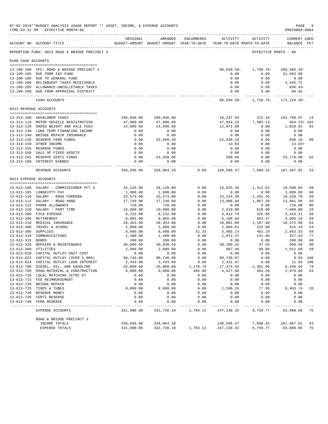|                       | 07-02-2018**BUDGET ANALYSIS USAGE REPORT ** ASSET, INCOME, & EXPENSE ACCOUNTS<br>TIME: 03:31 PM - EFFECTIVE MONTH: 06 |                        |                        |               |                                                                                        |                  | PAGE<br>PREPARER: 0004      | -9             |
|-----------------------|-----------------------------------------------------------------------------------------------------------------------|------------------------|------------------------|---------------|----------------------------------------------------------------------------------------|------------------|-----------------------------|----------------|
|                       | ACCOUNT NO ACCOUNT-TITLE                                                                                              | ORIGINAL               | AMENDED                | ENCUMBERED    | <b>ACTIVITY</b><br>BUDGET-AMOUNT BUDGET-AMOUNT YEAR-TO-DATE YEAR-TO-DATE MONTH-TO-DATE | ACTIVITY         | CURRENT USED<br>BALANCE PCT |                |
|                       | REPORTING FUND: 0013 ROAD & BRIDGE PRECINCT 3                                                                         |                        |                        |               |                                                                                        |                  | EFFECTIVE MONTH - 06        |                |
| 0100 CASH ACCOUNTS    |                                                                                                                       |                        |                        |               |                                                                                        |                  |                             |                |
|                       | 13-100-100 CFC: ROAD & BRIDGE PRECINCT 3                                                                              |                        |                        |               | $80,640.50-$                                                                           | 1,758.76-        | $206, 366.49 -$             |                |
|                       | 13-100-185 DUE FROM I&S FUND                                                                                          |                        |                        |               | 0.00                                                                                   | 0.00             | 31,563.08                   |                |
|                       | 13-100-186 DUE TO GENERAL FUND                                                                                        |                        |                        |               | 0.00                                                                                   | 0.00             | 0.00                        |                |
|                       | 13-100-280 DELINQUENT TAXES RECEIVABLE                                                                                |                        |                        |               | 0.00                                                                                   | 0.00             | 3, 345, 72                  |                |
|                       | 13-100-285 ALLOWANCE-UNCOLLETABLE TAXES<br>13-100-290 DUE FROM APPRAISAL DISTRICT                                     |                        |                        |               | 0.00<br>0.00                                                                           | 0.00<br>0.00     | 836.43-<br>69.92            |                |
|                       | CASH ACCOUNTS                                                                                                         |                        |                        |               | ------------- ------------<br>80,640.50-                                               | 1,758.76-        | 172, 224. 20-               |                |
|                       | 0313 REVENUE ACCOUNTS                                                                                                 |                        |                        |               |                                                                                        |                  |                             |                |
|                       |                                                                                                                       |                        |                        |               |                                                                                        |                  |                             |                |
|                       | 13-313-100 ADVALOREM TAXES                                                                                            | 189,046.00             | 189,046.00             |               | 26, 247.93                                                                             | 215.19           | 162,798.07                  | 14             |
|                       | 13-313-110 MOTOR VEHICLE REGISTRATION<br>13-313-120 GROSS WEIGHT AND AXLE FEES                                        | 47,000.00<br>14,000.00 | 47,000.00<br>14,000.00 |               | 47,954.25<br>12,971.08                                                                 | 7,385.13<br>0.00 | 954.25+ 102<br>1,028.92     | 93             |
|                       | 13-313-130 LONG TERM FINANCING INCOME                                                                                 | 0.00                   | 0.00                   |               | 0.00                                                                                   | 0.00             | 0.00                        |                |
|                       | 13-313-140 BRIDGE REPAIR INSURANCE                                                                                    | 0.00                   | 0.00                   |               | 0.00                                                                                   | 0.00             | 0.00                        |                |
|                       | 13-313-145 RESERVE FEMA FUNDS                                                                                         | 0.00                   | 53,660.20              |               | 52,830.10                                                                              | 0.00             | 830.10                      | 98             |
|                       | 13-313-150 OTHER INCOME                                                                                               | 0.00                   | 0.00                   |               | 13.03                                                                                  | 0.00             | $13.03+$                    |                |
|                       | 13-313-155 RESERVE FUNDS                                                                                              | 0.00                   | 0.00                   |               | 0.00                                                                                   | 0.00             | 0.00                        |                |
|                       | 13-313-160 SALE OF FIXED ASSETS                                                                                       | 0.00                   | 0.00                   |               | 0.00                                                                                   | 0.00             | 0.00                        |                |
|                       | 13-313-165 RESERVE CERTZ FUNDS                                                                                        | 0.00                   | 24, 358.08             |               | 580.08                                                                                 | 0.00             | 23,778.00                   | 02             |
|                       | 13-313-180 INTEREST EARNED                                                                                            | 0.00<br>------------   | 0.00<br>------------   |               | 0.00<br>------------ ------------                                                      | 0.00             | 0.00<br>-------------       |                |
|                       | REVENUE ACCOUNTS                                                                                                      | 250,046.00             | 328,064.28             | 0.00          | 140,596.47                                                                             | 7,600.32         | 187,467.81                  | 43             |
| 0613 EXPENSE ACCOUNTS |                                                                                                                       |                        |                        |               |                                                                                        |                  |                             |                |
|                       | 13-613-100 SALARY - COMMISSIONER PCT 3                                                                                | 34,126.00              | 34,126.00              | 0.00          | 23,625.36                                                                              | 1,312.52         | 10,500.64                   | 69             |
|                       | 13-613-105 LONGEVITY PAY                                                                                              | 1,800.00               | 1,800.00               | 0.00          | 0.00                                                                                   | 0.00             | 1,800.00                    | 0 <sub>0</sub> |
|                       | 13-613-110 SALARY - ROAD FOREMAN                                                                                      | 33,573.00              | 33,573.00              | 0.00          | 23, 244.30                                                                             | 1,291.35         | 10,328.70                   | 69             |
|                       | 13-613-112 SALARY - ROAD HAND                                                                                         | 27,748.00              | 27,748.00              | 0.00          | 13,886.94                                                                              | 1,067.20         | 13,861.06                   | 50             |
|                       | 13-613-115 PHONE ALLOWANCE                                                                                            | 720.00                 | 720.00                 | 0.00          | 0.00                                                                                   | 0.00             | 720.00                      | 0 <sub>0</sub> |
|                       | 13-613-120 SALARY - PART TIME                                                                                         | 10,000.00              | 10,000.00              | 0.00          | 2,310.00                                                                               | 610.00           | 7,690.00                    | 23             |
|                       | 13-613-200 FICA EXPENSE                                                                                               | 8,232.00               | 8,232.00               | 0.00          | 4,812.79                                                                               | 326.85           | 3,419.21                    | 58             |
|                       | 13-613-205 RETIREMENT                                                                                                 | 8,865.00               | 8,865.00               | 0.00          | 5,198.84                                                                               | 353.47           | 3,666.16                    | 59             |
|                       | 13-613-210 MEDICAL INSURANCE                                                                                          | 28,453.00              | 28,453.00              | 0.00          | 18,081.00                                                                              | 1,107.00         | 10,372.00                   | 64             |
|                       | 13-613-300 TRAVEL & SCHOOL                                                                                            | 2,000.00               | 2,000.00               | 0.00          | 1,084.81                                                                               | 225.00           | 915.19                      | 54             |
| 13-613-305 SUPPLIES   | 13-613-310 COMMUNICATIONS                                                                                             | 8,600.00<br>1,400.00   | 8,600.00<br>1,400.00   | 31.33<br>0.00 | 5,905.14<br>1,072.37                                                                   | 402.19<br>131.96 | 2,663.53<br>327.63          | 69<br>77       |
| 13-613-315 BONDS      |                                                                                                                       | 200.00                 | 200.00                 | 0.00          | 0.00                                                                                   | 0.00             | 200.00                      | 0 <sub>0</sub> |
|                       | 13-613-320 REPAIRS & MAINTENANCE                                                                                      | 30,000.00              | 30,830.10              | 0.00          | 30,260.42                                                                              | 37.94            | 569.68                      | 98             |
| 13-613-380 UTILITIES  |                                                                                                                       | 2,000.00               | 2,000.00               | 0.00          | 987.40                                                                                 | 89.88            | 1,012.60                    | 49             |
|                       | 13-613-620 CAPITAL OUTLAY UNIT COST                                                                                   | 0.00                   | 0.00                   | 0.00          | 0.00                                                                                   | 0.00             | 0.00                        |                |
|                       | 13-613-622 CAPITAL OUTLAY (OVER 5,000)                                                                                | 90,740.00              | 90,740.00              | 0.00          | 90,739.07                                                                              | 0.00             | $0.93$ 100                  |                |
|                       | 13-613-624 CAPITAL OUTLAY LOAN INTEREST                                                                               | 2,443.00               | 2,443.00               | 0.00          | 2,431.97                                                                               | 0.00             | 11.03 100                   |                |
|                       | 13-613-700 DIESEL, OIL, AND GASOLINE                                                                                  | 25,000.00              | 25,000.00              | 1,176.79      | 17, 374.65                                                                             | 2,361.96         | 6,448.56                    | 74             |
|                       | 13-613-705 ROAD MATERIAL & CONSTRUCTION                                                                               | 8,000.00               | 8,000.00               | 495.00        | 4,527.00                                                                               | 364.50           | 2,978.00                    | 63             |
|                       | 13-613-710 LOCAL MATCHING CETRZ GT                                                                                    | 0.00                   | 0.00                   | 0.00          | 0.00                                                                                   | 0.00             | 0.00                        |                |
|                       | 13-613-715 FEE REIMBURSEMENT                                                                                          | 0.00                   | 0.00                   | 0.00          | 0.00                                                                                   | 0.00             | 0.00                        |                |
|                       | 13-613-720 BRIDGE REPAIR                                                                                              | 0.00                   | 0.00                   | 0.00          | 0.00                                                                                   | 0.00             | 0.00                        |                |
|                       | 13-613-725 TIRES & TUBES                                                                                              | 8,000.00               | 8,000.00               | 0.00          | 1,596.26                                                                               | 77.95            | 6,403.74                    | 20             |
|                       | 13-613-730 RESERVE MONEY                                                                                              | 0.00<br>0.00           | 0.00                   | 0.00          | 0.00                                                                                   | 0.00             | 0.00                        |                |
|                       | 13-613-735 CERTZ RESERVE<br>13-613-740 FEMA RESERVE                                                                   | 0.00                   | 0.00<br>0.00           | 0.00<br>0.00  | 0.00<br>0.00                                                                           | 0.00<br>0.00     | 0.00<br>0.00                |                |
|                       | EXPENSE ACCOUNTS                                                                                                      | 331,900.00             | 332,730.10             | 1,703.12      | 247,138.32                                                                             | 9,759.77         | 83,888.66                   | -75            |
|                       | ROAD & BRIDGE PRECINCT 3                                                                                              |                        |                        |               |                                                                                        |                  |                             |                |
|                       | INCOME TOTALS                                                                                                         | 250,046.00             | 328,064.28             |               | 140,596.47                                                                             | 7,600.32         | 187, 467.81                 | 43             |
|                       | EXPENSE TOTALS                                                                                                        | 331,900.00             | 332,730.10             | 1,703.12      | 247,138.32                                                                             | 9,759.77         | 83,888.66                   | 75             |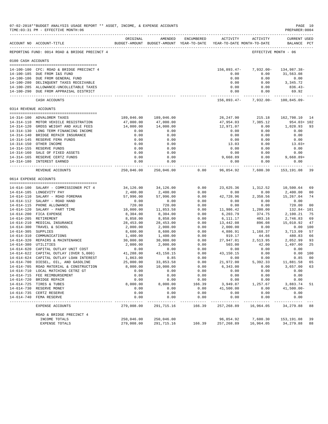|                     | 07-02-2018**BUDGET ANALYSIS USAGE REPORT ** ASSET, INCOME, & EXPENSE ACCOUNTS<br>TIME: 03:31 PM - EFFECTIVE MONTH: 06 |                        |                        |              |                                                                                                     |                                   | PAGE 10<br>PREPARER: 0004          |                      |
|---------------------|-----------------------------------------------------------------------------------------------------------------------|------------------------|------------------------|--------------|-----------------------------------------------------------------------------------------------------|-----------------------------------|------------------------------------|----------------------|
|                     | ACCOUNT NO ACCOUNT-TITLE                                                                                              | ORIGINAL               | AMENDED                |              | ENCUMBERED ACTIVITY ACTIVITY<br>BUDGET-AMOUNT BUDGET-AMOUNT YEAR-TO-DATE YEAR-TO-DATE MONTH-TO-DATE |                                   | <b>CURRENT USED</b><br>BALANCE PCT |                      |
|                     | _____________________________________<br>REPORTING FUND: 0014 ROAD & BRIDGE PRECINCT 4                                |                        |                        |              |                                                                                                     |                                   | EFFECTIVE MONTH - 06               |                      |
| 0100 CASH ACCOUNTS  |                                                                                                                       |                        |                        |              |                                                                                                     |                                   |                                    |                      |
|                     | --------------------------------------                                                                                |                        |                        |              |                                                                                                     |                                   |                                    |                      |
|                     | 14-100-100 CFC: ROAD & BRIDGE PRECINCT 4<br>14-100-185 DUE FROM I&S FUND                                              |                        |                        |              | 156,893.47-<br>0.00                                                                                 | $7,932.00 -$<br>0.00              | 134,987.38-<br>31,563.08           |                      |
|                     | 14-100-186 DUE FROM GENERAL FUND                                                                                      |                        |                        |              | 0.00                                                                                                | 0.00                              | 0.00                               |                      |
|                     | 14-100-280 DELINQUENT TAXES RECEIVABLE                                                                                |                        |                        |              | 0.00                                                                                                | 0.00                              | 3,345.72                           |                      |
|                     | 14-100-285 ALLOWANCE-UNCOLLETABLE TAXES                                                                               |                        |                        |              | 0.00                                                                                                | 0.00                              | 836.43-                            |                      |
|                     | 14-100-290 DUE FROM APPRAISAL DISTRICT                                                                                |                        |                        |              | 0.00                                                                                                | 0.00                              | 69.92                              |                      |
|                     | CASH ACCOUNTS                                                                                                         |                        |                        |              |                                                                                                     | 156,893.47- 7,932.00- 100,845.09- |                                    |                      |
|                     | 0314 REVENUE ACCOUNTS                                                                                                 |                        |                        |              |                                                                                                     |                                   |                                    |                      |
|                     | --------------------------------------                                                                                |                        |                        |              |                                                                                                     |                                   |                                    |                      |
|                     | 14-314-100 ADVALOREM TAXES                                                                                            | 189,046.00             | 189,046.00             |              | 26,247.90                                                                                           | 215.18<br>7,385.12                | 162,798.10 14                      |                      |
|                     | 14-314-110 MOTOR VEHICLE REGISTRATION<br>14-314-120 GROSS WEIGHT AND AXLE FEES                                        | 47,000.00<br>14,000.00 | 47,000.00<br>14,000.00 |              | 47,954.03<br>12,971.07                                                                              | 0.00                              | 954.03+ 102<br>1,028.93            | 93                   |
|                     | 14-314-130 LONG TERM FINANCING INCOME                                                                                 | 0.00                   | 0.00                   |              | 0.00                                                                                                | 0.00                              | 0.00                               |                      |
|                     | 14-314-140 BRIDGE REPAIR INSURANCE                                                                                    | 0.00                   | 0.00                   |              | 0.00                                                                                                | 0.00                              | 0.00                               |                      |
|                     | 14-314-145 RESERVE FEMA FUNDS                                                                                         | 0.00                   | 0.00                   |              | 0.00                                                                                                | 0.00                              | 0.00                               |                      |
|                     | 14-314-150 OTHER INCOME                                                                                               | 0.00                   | 0.00                   |              | 13.03                                                                                               | 0.00                              | $13.03+$                           |                      |
|                     | 14-314-155 RESERVE FUNDS                                                                                              | 0.00                   | 0.00                   |              | 0.00                                                                                                | 0.00                              | 0.00                               |                      |
|                     | 14-314-160 SALE OF FIXED ASSETS                                                                                       | 0.00                   | 0.00                   |              | 0.00                                                                                                | 0.00                              | 0.00                               |                      |
|                     | 14-314-165 RESERVE CERTZ FUNDS                                                                                        | 0.00                   | 0.00                   |              | 9,668.89                                                                                            | 0.00                              | $9,668.89+$                        |                      |
|                     | 14-314-180 INTEREST EARNED                                                                                            | 0.00<br>----------- -  | 0.00<br>------------   |              | 0.00                                                                                                | 0.00                              | 0.00<br>-------------              |                      |
|                     | REVENUE ACCOUNTS                                                                                                      | 250,046.00             | 250,046.00             | 0.00         | 96,854.92                                                                                           | 7,600.30                          | 153,191.08                         | 39                   |
|                     | 0614 EXPENSE ACCOUNTS                                                                                                 |                        |                        |              |                                                                                                     |                                   |                                    |                      |
|                     |                                                                                                                       |                        |                        |              |                                                                                                     |                                   |                                    |                      |
|                     | 14-614-100 SALARY - COMMISSIONER PCT 4<br>14-614-105 LONGEVITY PAY                                                    | 34,126.00<br>2,400.00  | 34,126.00<br>2,400.00  | 0.00<br>0.00 | 23,625.36<br>0.00                                                                                   | 1,312.52<br>0.00                  | 10,500.64<br>2,400.00              | 69<br>0 <sub>0</sub> |
|                     | 14-614-110 SALARY - ROAD FOREMAN                                                                                      | 57,996.00              | 57,996.00              | 0.00         | 42,728.96                                                                                           | 2,358.56                          | 15,267.04                          | 74                   |
|                     | 14-614-112 SALARY - ROAD HAND                                                                                         | 0.00                   | 0.00                   | 0.00         | 0.00                                                                                                | 0.00                              | 0.00                               |                      |
|                     | 14-614-115 PHONE ALLOWANCE                                                                                            | 720.00                 | 720.00                 | 0.00         | 0.00                                                                                                | 0.00                              | 720.00                             | 0 <sub>0</sub>       |
|                     | 14-614-120 SALARY - PART TIME                                                                                         | 10,000.00              | 11,853.58              | 0.00         | 11,986.42                                                                                           | 1,200.00                          | 132.84- 101                        |                      |
|                     | 14-614-200 FICA EXPENSE                                                                                               | 8,304.00               | 8,304.00               | 0.00         | 6,203.79                                                                                            | 374.75                            | 2,100.21                           | 75                   |
|                     | 14-614-205 RETIREMENT                                                                                                 | 8,858.00               | 8,858.00               | 0.00         | 6,111.17                                                                                            | 403.16                            | 2,746.83                           | 69                   |
|                     | 14-614-210 MEDICAL INSURANCE                                                                                          | 28,453.00              | 28,453.00              | 0.00         | 13,442.08                                                                                           | 896.08                            | 15,010.92                          | 47                   |
|                     | 14-614-300 TRAVEL & SCHOOL                                                                                            | 2,000.00               | 2,000.00               | 0.00         | 2,000.00                                                                                            | 0.00                              |                                    | 0.00 100             |
| 14-614-305 SUPPLIES |                                                                                                                       | 8,600.00               | 8,600.00               | 0.00         | 4,886.91                                                                                            | 1,168.37                          | 3,713.09                           | 57                   |
|                     | 14-614-310 COMMUNICATIONS                                                                                             | 1,400.00               | 1,400.00               | 0.00         | 919.17                                                                                              | 44.66                             | 480.83                             | 66                   |
|                     | 14-614-320 REPAIRS & MAINTENANCE 30,000.00                                                                            |                        | 30,000.00              | 0.00         | 27,947.01                                                                                           | 2,513.95                          | 2,052.99                           | 93                   |
|                     | 14-614-380 UTILITIES                                                                                                  | 2,000.00               | 2,000.00               | 0.00         | 503.00                                                                                              | 42.00                             | 1,497.00                           | 25                   |
|                     | 14-614-620 CAPITAL OUTLAY UNIT COST<br>14-614-622 CAPITAL OUTLAY (OVER 5,000)                                         | 0.00<br>41,288.00      | 0.00                   | 0.00         | 0.00                                                                                                | 0.00                              | 0.00                               | 0.00 100             |
|                     | 14-614-624 CAPITAL OUTLAY LOAN INTEREST                                                                               | 1,863.00               | 43,150.15<br>0.85      | 0.00<br>0.00 | 43,150.15<br>0.00                                                                                   | 0.00<br>0.00                      | 0.85                               | 00                   |
|                     | 14-614-700 DIESEL, OIL, AND GASOLINE                                                                                  | 25,000.00              | 33,853.58              | 0.00         | 21,972.00                                                                                           | 5,392,33                          | 11,881.58                          | 65                   |
|                     | 14-614-705 ROAD MATERIAL & CONSTRUCTION                                                                               | 8,000.00               | 10,000.00              | 0.00         | 6,343.00                                                                                            | 0.00                              | 3,657.00                           | 63                   |
|                     | 14-614-710 LOCAL MATCHING CETRZ GT                                                                                    | 0.00                   | 0.00                   | 0.00         | 0.00                                                                                                | 0.00                              | 0.00                               |                      |
|                     | 14-614-715 FEE REIMBURSEMENT                                                                                          | 0.00                   | 0.00                   | 0.00         | 0.00                                                                                                | 0.00                              | 0.00                               |                      |
|                     | 14-614-720 BRIDGE REPAIR                                                                                              | 0.00                   | 0.00                   | 0.00         | 0.00                                                                                                | 0.00                              | 0.00                               |                      |
|                     | 14-614-725 TIRES & TUBES                                                                                              | 8,000.00               | 8,000.00               | 166.39       | 3,949.87                                                                                            | 1,257.67                          | 3,883.74                           | -51                  |
|                     | 14-614-730 RESERVE MONEY                                                                                              | 0.00                   | 0.00                   | 0.00         | 41,500.00                                                                                           | 0.00                              | $41,500.00-$                       |                      |
|                     | 14-614-735 CERTZ RESERVE                                                                                              | 0.00                   | 0.00                   | 0.00         | 0.00                                                                                                | 0.00                              | 0.00                               |                      |
|                     | 14-614-740 FEMA RESERVE                                                                                               | 0.00                   | 0.00                   | 0.00         | 0.00                                                                                                | 0.00                              | 0.00                               |                      |
|                     | EXPENSE ACCOUNTS                                                                                                      | 279,008.00             | 291,715.16             | 166.39       | 257,268.89                                                                                          | 16,964.05                         | 34,279.88                          | 88                   |
|                     | ROAD & BRIDGE PRECINCT 4                                                                                              |                        |                        |              |                                                                                                     |                                   |                                    |                      |
|                     | INCOME TOTALS                                                                                                         | 250,046.00             | 250,046.00             |              | 96,854.92                                                                                           | 7,600.30                          | 153,191.08                         | 39                   |
|                     | <b>EXPENSE TOTALS</b>                                                                                                 | 279,008.00             | 291,715.16             | 166.39       | 257,268.89                                                                                          | 16,964.05                         | 34,279.88                          | 88                   |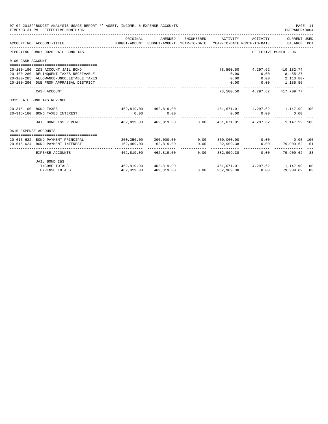|                       | 07-02-2018**BUDGET ANALYSIS USAGE REPORT ** ASSET, INCOME, & EXPENSE ACCOUNTS<br>TIME: 03:31 PM - EFFECTIVE MONTH: 06                                           |                                                      |                                                                                |            |                                   |                                  | PREPARER: 0004                                                                    | PAGE 11 |
|-----------------------|-----------------------------------------------------------------------------------------------------------------------------------------------------------------|------------------------------------------------------|--------------------------------------------------------------------------------|------------|-----------------------------------|----------------------------------|-----------------------------------------------------------------------------------|---------|
|                       | ACCOUNT NO ACCOUNT-TITLE                                                                                                                                        | ORIGINAL                                             | AMENDED<br>BUDGET-AMOUNT BUDGET-AMOUNT YEAR-TO-DATE YEAR-TO-DATE MONTH-TO-DATE | ENCUMBERED | ACTIVITY                          | ACTIVITY                         | CURRENT USED<br>BALANCE PCT                                                       |         |
|                       | REPORTING FUND: 0020 JAIL BOND I&S                                                                                                                              |                                                      |                                                                                |            |                                   |                                  | EFFECTIVE MONTH - 06                                                              |         |
| 0100 CASH ACCOUNT     |                                                                                                                                                                 |                                                      |                                                                                |            |                                   |                                  |                                                                                   |         |
|                       | 20-100-190 I&S ACCOUNT JAIL BOND<br>20-100-280 DELINQUENT TAXES RECEIVABLE<br>20-100-285 ALLOWANCE-UNCOLLETABLE TAXES<br>20-100-290 DUE FROM APPRAISAL DISTRICT |                                                      |                                                                                |            | 78,500.50<br>0.00<br>0.00<br>0.00 |                                  | 4,297.62 410,182.74<br>$0.00$ $8,455.27$<br>$0.00$ $2,113.80-$<br>$0.00$ 1,185.56 |         |
|                       | CASH ACCOUNT                                                                                                                                                    |                                                      |                                                                                |            | 78,500.50                         |                                  | 4, 297.62 417, 709.77                                                             |         |
|                       | 0315 JAIL BOND I&S REVENUE                                                                                                                                      |                                                      |                                                                                |            |                                   |                                  |                                                                                   |         |
|                       | 20-315-100 BOND TAXES<br>20-315-180 BOND TAXES INTEREST                                                                                                         | 0.00                                                 | 462,819.00 462,819.00<br>0.00                                                  |            | 0.00                              | 461,671.01 4,297.62 1,147.99 100 | 0.00<br>0.00                                                                      |         |
|                       | JAIL BOND I&S REVENUE                                                                                                                                           |                                                      | 462,819.00  462,819.00  0.00  461,671.01  4,297.62  1,147.99  100              |            |                                   | .                                |                                                                                   |         |
| 0615 EXPENSE ACCOUNTS |                                                                                                                                                                 |                                                      |                                                                                |            |                                   |                                  |                                                                                   |         |
|                       | -------------------------------------<br>20-615-622 BOND PAYMENT PRINCIPAL                                                                                      | $300,350.00$ $300,000.00$ $0.00$ $300,000.00$ $0.00$ |                                                                                |            |                                   |                                  | 0.00 100                                                                          |         |
|                       | 20-615-624 BOND PAYMENT INTEREST                                                                                                                                | 162,469.00                                           | 162,819.00<br>______________                                                   | 0.00       | 82,909.38                         |                                  | $0.00$ 79,909.62 51                                                               |         |
|                       | EXPENSE ACCOUNTS                                                                                                                                                |                                                      | 462.819.00 462.819.00                                                          |            | $0.00$ 382,909.38                 | 0.00                             | 79,909.62 83                                                                      |         |
|                       | JAIL BOND I&S                                                                                                                                                   |                                                      |                                                                                |            |                                   |                                  |                                                                                   |         |
|                       | INCOME TOTALS                                                                                                                                                   |                                                      | 462,819.00 462,819.00                                                          |            |                                   | 461,671.01 4,297.62 1,147.99 100 |                                                                                   |         |
|                       | <b>EXPENSE TOTALS</b>                                                                                                                                           | 462,819.00                                           | 462,819.00                                                                     |            | $0.00$ 382,909.38                 | 0.00                             | 79,909.62 83                                                                      |         |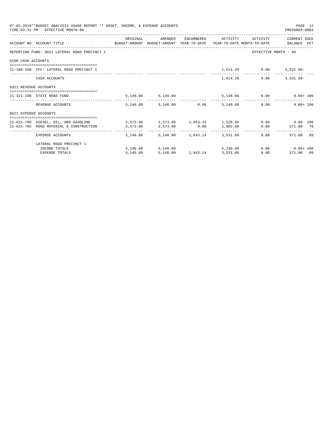|                       | 07-02-2018**BUDGET ANALYSIS USAGE REPORT ** ASSET, INCOME, & EXPENSE ACCOUNTS<br>TIME: 03:31 PM - EFFECTIVE MONTH: 06   |                                                                             |                                             |                                   |            |      | PAGE 12<br>PREPARER: 0004                         |  |
|-----------------------|-------------------------------------------------------------------------------------------------------------------------|-----------------------------------------------------------------------------|---------------------------------------------|-----------------------------------|------------|------|---------------------------------------------------|--|
|                       | ACCOUNT NO ACCOUNT-TITLE CONTROLLER THE BUDGET-AMOUNT BUDGET-AMOUNT YEAR-TO-DATE YEAR-TO-DATE MONTH-TO-DATE BALANCE PCT | ORIGINAL                                                                    |                                             |                                   |            |      | AMENDED ENCUMBERED ACTIVITY ACTIVITY CURRENT_USED |  |
|                       | REPORTING FUND: 0021 LATERAL ROAD PRECINCT 1                                                                            |                                                                             |                                             |                                   |            |      | EFFECTIVE MONTH - 06                              |  |
| 0100 CASH ACCOUNTS    |                                                                                                                         |                                                                             |                                             |                                   |            |      |                                                   |  |
|                       | 21-100-100 CFC: LATERAL ROAD PRECINCT 1                                                                                 |                                                                             |                                             |                                   |            |      | 1,614.20 0.00 3,531.86-                           |  |
|                       | CASH ACCOUNTS                                                                                                           |                                                                             |                                             |                                   | 1,614.20   | 0.00 | $3.531.86 -$                                      |  |
| 0321 REVENUE ACCOUNTS |                                                                                                                         |                                                                             |                                             |                                   |            |      |                                                   |  |
|                       | 21-321-190 STATE ROAD FUND                                                                                              |                                                                             | 5,146.00 5,146.00                           |                                   |            |      | 5,146.06 0.00 0.06+100                            |  |
|                       | REVENUE ACCOUNTS                                                                                                        |                                                                             | 5,146,00 5,146,00 0.00 5,146,06             |                                   |            |      | 0.00<br>$0.06 + 100$                              |  |
| 0621 EXPENSE ACCOUNTS |                                                                                                                         |                                                                             |                                             |                                   |            |      |                                                   |  |
|                       | 21-621-700 DIESEL, OIL, AND GASOLINE<br>21-621-705 ROAD MATERIAL & CONSTRUCTION                                         | $2,573.00$ $2,573.00$ $1,043.14$ $1,529.86$ $0.00$ $0.00$ $100$<br>2,573.00 |                                             |                                   |            |      | $2,573.00$ $0.00$ $2,002.00$ $0.00$ $571.00$ $78$ |  |
|                       | EXPENSE ACCOUNTS                                                                                                        |                                                                             | 5, 146, 00 5, 146, 00 1, 043, 14 3, 531, 86 |                                   |            |      | 571.00 89<br>$0.00$ and $0.00$                    |  |
|                       | LATERAL ROAD PRECINCT 1                                                                                                 |                                                                             |                                             |                                   |            |      |                                                   |  |
|                       | INCOME TOTALS                                                                                                           |                                                                             | 5,146.00 5,146.00                           |                                   | 5, 146, 06 |      | $0.00$ $0.06 + 100$                               |  |
|                       | <b>EXPENSE TOTALS</b>                                                                                                   | 5,146.00                                                                    |                                             | 5, 146.00   1, 043.14   3, 531.86 |            |      | 0.00<br>571.00 89                                 |  |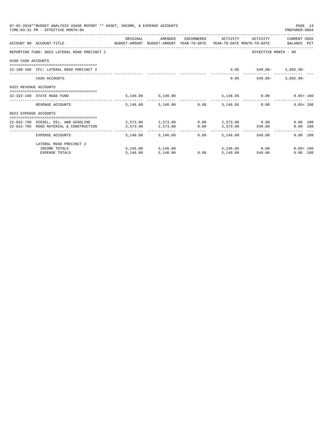|                       | 07-02-2018**BUDGET ANALYSIS USAGE REPORT ** ASSET, INCOME, & EXPENSE ACCOUNTS<br>TIME: 03:31 PM - EFFECTIVE MONTH: 06 |                                                |                        |                                           |                     |                            | PAGE 13<br>PREPARER: 0004 |  |
|-----------------------|-----------------------------------------------------------------------------------------------------------------------|------------------------------------------------|------------------------|-------------------------------------------|---------------------|----------------------------|---------------------------|--|
|                       |                                                                                                                       | ORIGINAL                                       | AMENDED                |                                           | ENCUMBERED ACTIVITY | ACTIVITY                   | CURRENT USED              |  |
|                       | ACCOUNT NO ACCOUNT-TITLE<br>BUDGET-AMOUNT BUDGET-AMOUNT YEAR-TO-DATE YEAR-TO-DATE MONTH-TO-DATE BALANCE PCT           |                                                |                        |                                           |                     |                            |                           |  |
|                       | REPORTING FUND: 0022 LATERAL ROAD PRECINCT 2                                                                          |                                                |                        |                                           |                     | EFFECTIVE MONTH - 06       |                           |  |
| 0100 CASH ACCOUNTS    |                                                                                                                       |                                                |                        |                                           |                     |                            |                           |  |
|                       | 22-100-100 CFC: LATERAL ROAD PRECINCT 2                                                                               |                                                |                        |                                           |                     | $0.05$ 549.00- 3,892.98-   |                           |  |
|                       | CASH ACCOUNTS                                                                                                         |                                                |                        |                                           |                     | 0.05<br>549.00-            | $3.892.98 -$              |  |
| 0322 REVENUE ACCOUNTS |                                                                                                                       |                                                |                        |                                           |                     |                            |                           |  |
|                       | 22-322-190 STATE ROAD FUND                                                                                            |                                                | 5, 146.00 5, 146.00    |                                           |                     | 5,146.05   0.00   0.05+100 |                           |  |
|                       | REVENUE ACCOUNTS                                                                                                      |                                                | 5,146.00 5,146.00 0.00 |                                           | 5,146.05            | 0.00                       | $0.05 + 100$              |  |
| 0622 EXPENSE ACCOUNTS |                                                                                                                       |                                                |                        |                                           |                     |                            |                           |  |
|                       | 22-622-700 DIESEL, OIL, AND GASOLINE                                                                                  | $2.573.00$ $2.573.00$ $0.00$ $2.573.00$ $0.00$ |                        |                                           |                     |                            | $0.00$ 100                |  |
|                       | 22-622-705 ROAD MATERIAL & CONSTRUCTION                                                                               | 2,573.00                                       | 2,573.00               | 0.00                                      |                     | 2,573.00 549.00            | 0.00 100                  |  |
|                       | EXPENSE ACCOUNTS                                                                                                      | ---------                                      | 5,146.00 5,146.00      | -------------      --------------<br>0.00 | 5,146,00            | 549.00                     | 0.00 100                  |  |
|                       | LATERAL ROAD PRECINCT 2                                                                                               |                                                |                        |                                           |                     |                            |                           |  |
|                       | INCOME TOTALS                                                                                                         |                                                | 5, 146, 00 5, 146, 00  |                                           |                     | 5, 146.05 0.00             | $0.05 + 100$              |  |
|                       | <b>EXPENSE TOTALS</b>                                                                                                 | 5,146.00                                       | 5,146.00               | 0.00                                      | 5,146.00            | 549.00                     | 0.00 100                  |  |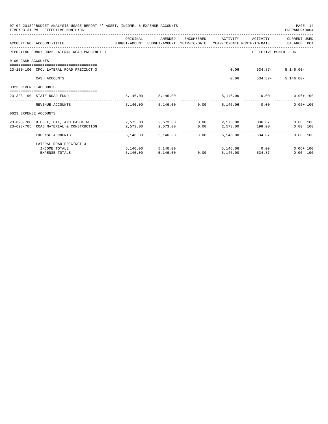|                       | 07-02-2018**BUDGET ANALYSIS USAGE REPORT ** ASSET, INCOME, & EXPENSE ACCOUNTS<br>TIME: 03:31 PM - EFFECTIVE MONTH: 06 |                                           |                        |                                           |                     |                            | PAGE 14<br>PREPARER: 0004 |  |
|-----------------------|-----------------------------------------------------------------------------------------------------------------------|-------------------------------------------|------------------------|-------------------------------------------|---------------------|----------------------------|---------------------------|--|
|                       |                                                                                                                       | ORIGINAL                                  | AMENDED                |                                           | ENCUMBERED ACTIVITY | ACTIVITY                   | CURRENT USED              |  |
|                       | ACCOUNT NO ACCOUNT-TITLE<br>BUDGET-AMOUNT BUDGET-AMOUNT YEAR-TO-DATE YEAR-TO-DATE MONTH-TO-DATE BALANCE PCT           |                                           |                        |                                           |                     |                            |                           |  |
|                       | REPORTING FUND: 0023 LATERAL ROAD PRECINCT 3                                                                          |                                           |                        |                                           |                     | EFFECTIVE MONTH - 06       |                           |  |
| 0100 CASH ACCOUNTS    |                                                                                                                       |                                           |                        |                                           |                     |                            |                           |  |
|                       | 23-100-100 CFC: LATERAL ROAD PRECINCT 3                                                                               |                                           |                        |                                           |                     | $0.06$ 534.87- 5,146.00-   |                           |  |
|                       | CASH ACCOUNTS                                                                                                         |                                           |                        |                                           |                     | $0.06$ 534.87-             | $5.146.00 -$              |  |
| 0323 REVENUE ACCOUNTS |                                                                                                                       |                                           |                        |                                           |                     |                            |                           |  |
|                       | 23-323-190 STATE ROAD FUND                                                                                            |                                           | 5, 146.00 5, 146.00    |                                           |                     | 5,146.06   0.00   0.06+100 |                           |  |
|                       | REVENUE ACCOUNTS                                                                                                      |                                           | 5,146.00 5,146.00 0.00 |                                           | 5,146.06            | $0.00$ and $0.00$          | $0.06 + 100$              |  |
| 0623 EXPENSE ACCOUNTS |                                                                                                                       |                                           |                        |                                           |                     |                            |                           |  |
|                       | 23-623-700 DIESEL, OIL, AND GASOLINE                                                                                  | $2,573.00$ $2,573.00$ $2,573.00$ $336.87$ |                        |                                           |                     |                            | $0.00$ 100                |  |
|                       | 23-623-705 ROAD MATERIAL & CONSTRUCTION                                                                               | 2,573.00                                  | 2,573.00               | 0.00                                      |                     | 2,573.00 198.00            | 0.00 100                  |  |
|                       | EXPENSE ACCOUNTS                                                                                                      | --------                                  | 5, 146.00 5, 146.00    | -------------      --------------<br>0.00 | 5,146.00            | 534.87                     | $0.00$ 100                |  |
|                       | LATERAL ROAD PRECINCT 3                                                                                               |                                           |                        |                                           |                     |                            |                           |  |
|                       | INCOME TOTALS                                                                                                         |                                           | 5,146.00 5,146.00      |                                           |                     | 5.146.06 0.00              | $0.06 + 100$              |  |
|                       | <b>EXPENSE TOTALS</b>                                                                                                 | 5,146.00                                  | 5,146.00               | 0.00                                      | 5,146.00            | 534.87                     | 0.00 100                  |  |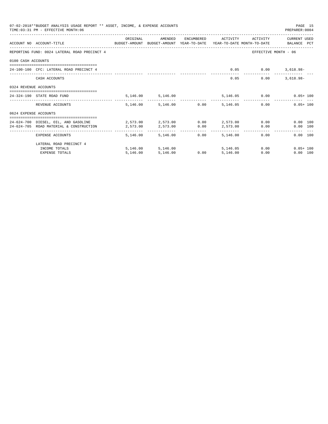|                       | 07-02-2018**BUDGET ANALYSIS USAGE REPORT ** ASSET, INCOME, & EXPENSE ACCOUNTS<br>TIME: 03:31 PM - EFFECTIVE MONTH: 06 |                                         |                        |                                           |                           |                           | PAGE 15<br>PREPARER: 0004         |
|-----------------------|-----------------------------------------------------------------------------------------------------------------------|-----------------------------------------|------------------------|-------------------------------------------|---------------------------|---------------------------|-----------------------------------|
|                       |                                                                                                                       | ORIGINAL                                | AMENDED                |                                           | ENCUMBERED ACTIVITY       | ACTIVITY                  | CURRENT USED                      |
|                       | ACCOUNT NO ACCOUNT-TITLE<br>BUDGET-AMOUNT BUDGET-AMOUNT YEAR-TO-DATE YEAR-TO-DATE MONTH-TO-DATE BALANCE PCT           |                                         |                        |                                           |                           |                           |                                   |
|                       | REPORTING FUND: 0024 LATERAL ROAD PRECINCT 4                                                                          |                                         |                        |                                           |                           |                           | EFFECTIVE MONTH - 06              |
| 0100 CASH ACCOUNTS    |                                                                                                                       |                                         |                        |                                           |                           |                           |                                   |
|                       | 24-100-100 CFC: LATERAL ROAD PRECINCT 4                                                                               |                                         |                        |                                           |                           | $0.05$ $0.00$ $3,618.98-$ |                                   |
|                       | CASH ACCOUNTS                                                                                                         |                                         |                        |                                           | 0.05                      | 0.00                      | $3.618.98 -$                      |
| 0324 REVENUE ACCOUNTS |                                                                                                                       |                                         |                        |                                           |                           |                           |                                   |
|                       | 24-324-190 STATE ROAD FUND                                                                                            |                                         | 5, 146.00 5, 146.00    |                                           |                           |                           | 5,146.05   0.00   0.05+100        |
|                       | REVENUE ACCOUNTS                                                                                                      |                                         | 5,146.00 5,146.00 0.00 |                                           | 5,146.05                  |                           | $0.05 + 100$<br>0.00              |
| 0624 EXPENSE ACCOUNTS |                                                                                                                       |                                         |                        |                                           |                           |                           |                                   |
|                       | 24-624-700 DIESEL, OIL, AND GASOLINE                                                                                  | $2.573.00$ $2.573.00$ $0.00$ $2.573.00$ |                        |                                           |                           |                           | $0.00$ and $0.00$<br>$0.00$ 100   |
|                       | 24-624-705 ROAD MATERIAL & CONSTRUCTION                                                                               | 2,573.00                                | 2,573.00               | 0.00                                      | 2,573.00                  |                           | 0.00<br>0.00 100                  |
|                       | EXPENSE ACCOUNTS                                                                                                      | ---------                               | 5, 146.00 5, 146.00    | -------------      --------------<br>0.00 | -------------<br>5,146,00 | 0.00                      | 0.00 100                          |
|                       | LATERAL ROAD PRECINCT 4                                                                                               |                                         |                        |                                           |                           |                           |                                   |
|                       | INCOME TOTALS                                                                                                         |                                         | 5, 146, 00 5, 146, 00  |                                           | 5, 146, 05                |                           | $0.00$ and $0.00$<br>$0.05 + 100$ |
|                       | <b>EXPENSE TOTALS</b>                                                                                                 | 5,146.00                                | 5,146.00               | 0.00                                      | 5,146.00                  | 0.00                      | 0.00 100                          |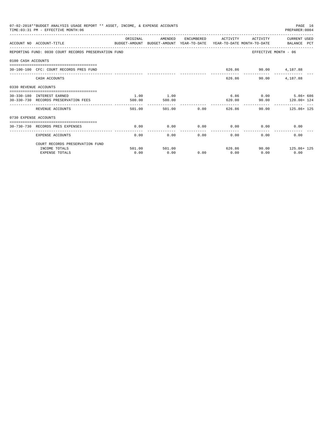|                       | 07-02-2018**BUDGET ANALYSIS USAGE REPORT ** ASSET, INCOME, & EXPENSE ACCOUNTS<br>TIME: 03:31 PM - EFFECTIVE MONTH: 06 |          |               |        |                |                             | PAGE 16<br>PREPARER: 0004                 |
|-----------------------|-----------------------------------------------------------------------------------------------------------------------|----------|---------------|--------|----------------|-----------------------------|-------------------------------------------|
|                       | ACCOUNT NO ACCOUNT-TITLE<br>BUDGET-AMOUNT BUDGET-AMOUNT YEAR-TO-DATE YEAR-TO-DATE MONTH-TO-DATE     BALANCE PCT       | ORIGINAL | AMENDED       |        |                |                             | ENCUMBERED ACTIVITY ACTIVITY CURRENT USED |
|                       | REPORTING FUND: 0030 COURT RECORDS PRESERVATION FUND                                                                  |          |               |        |                |                             | EFFECTIVE MONTH - 06                      |
| 0100 CASH ACCOUNTS    |                                                                                                                       |          |               |        |                |                             |                                           |
|                       | 30-100-100 CFC: COURT RECORDS PRES FUND                                                                               |          |               |        |                | 626.86 90.00 4,187.88       |                                           |
|                       | CASH ACCOUNTS                                                                                                         |          |               |        |                | 626.86<br>90.00             | 4,187.88                                  |
| 0330 REVENUE ACCOUNTS |                                                                                                                       |          |               |        |                |                             |                                           |
|                       | 30-330-180 INTEREST EARNED                                                                                            | 1.00     | 1.00          |        |                |                             | $6.86$ $0.00$ $5.86+686$                  |
|                       | 30-330-730 RECORDS PRESERVATION FEES                                                                                  | 500.00   | 500.00        |        |                |                             | 620.00 90.00 120.00 124                   |
|                       | REVENUE ACCOUNTS                                                                                                      | 501.00   |               | 501.00 |                |                             | $0.00$ 626.86 90.00 125.86+125            |
| 0730 EXPENSE ACCOUNTS |                                                                                                                       |          |               |        |                |                             |                                           |
|                       | . =============================                                                                                       |          |               |        |                |                             |                                           |
|                       | 30-730-730 RECORDS PRES EXPENSES                                                                                      | 0.00     | 0.00          |        | -------------- | $0.00$ $0.00$ $0.00$ $0.00$ | 0.00                                      |
|                       | EXPENSE ACCOUNTS                                                                                                      | 0.00     | 0.00          |        | 0.00           | 0.00                        | 0.00<br>0.00                              |
|                       | COURT RECORDS PRESERVATION FUND                                                                                       |          |               |        |                |                             |                                           |
|                       | INCOME TOTALS                                                                                                         |          | 501.00 501.00 |        |                |                             | 626.86 90.00 125.86+ 125                  |
|                       | <b>EXPENSE TOTALS</b>                                                                                                 | 0.00     | 0.00          | 0.00   | 0.00           | 0.00                        | 0.00                                      |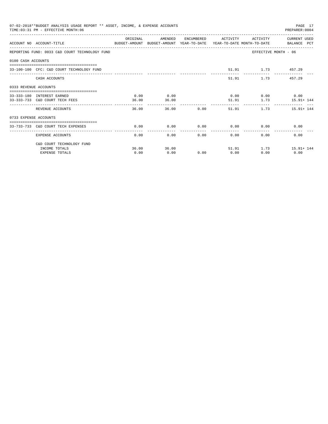| 07-02-2018**BUDGET ANALYSIS USAGE REPORT ** ASSET, INCOME, & EXPENSE ACCOUNTS<br>PAGE 17<br>TIME: 03:31 PM - EFFECTIVE MONTH: 06<br>PREPARER: 0004<br>ORIGINAL<br>AMENDED<br>ENCUMBERED ACTIVITY<br>ACTIVITY CURRENT USED<br>ACCOUNT NO ACCOUNT-TITLE<br>BUDGET-AMOUNT BUDGET-AMOUNT YEAR-TO-DATE YEAR-TO-DATE MONTH-TO-DATE BALANCE PCT<br>REPORTING FUND: 0033 C&D COURT TECHNOLOGY FUND<br>EFFECTIVE MONTH - 06<br>0100 CASH ACCOUNTS<br>51.91 1.73 457.29<br>33-100-100 CEC: C&D COURT TECHNOLOGY FUND<br>51.91<br>1.73 457.29<br>CASH ACCOUNTS<br>0333 REVENUE ACCOUNTS<br>0.00<br>$0.00$ $0.00$ $0.00$ $0.00$<br>0.00<br>33-333-180 INTEREST EARNED<br>36.00<br>51.91 1.73 15.91+144<br>33-333-733 C&D COURT TECH FEES<br>36.00<br>0.00<br>$1.73$ $15.91 + 144$<br>REVENUE ACCOUNTS<br>36.00<br>36.00<br>51.91<br>0733 EXPENSE ACCOUNTS<br>===============================<br>0.00<br>$0.00$ $0.00$ $0.00$ $0.00$<br>0.00<br>0.00<br>33-733-733 C&D COURT TECH EXPENSES<br>-------------------------<br>---------------<br>0.00<br>0.00<br>0.00<br>0.00<br>0.00<br>0.00<br>EXPENSE ACCOUNTS |       |       |      |      |       |                      |  |  |
|---------------------------------------------------------------------------------------------------------------------------------------------------------------------------------------------------------------------------------------------------------------------------------------------------------------------------------------------------------------------------------------------------------------------------------------------------------------------------------------------------------------------------------------------------------------------------------------------------------------------------------------------------------------------------------------------------------------------------------------------------------------------------------------------------------------------------------------------------------------------------------------------------------------------------------------------------------------------------------------------------------------------------------------------------------------------------------------------------|-------|-------|------|------|-------|----------------------|--|--|
|                                                                                                                                                                                                                                                                                                                                                                                                                                                                                                                                                                                                                                                                                                                                                                                                                                                                                                                                                                                                                                                                                                   |       |       |      |      |       |                      |  |  |
|                                                                                                                                                                                                                                                                                                                                                                                                                                                                                                                                                                                                                                                                                                                                                                                                                                                                                                                                                                                                                                                                                                   |       |       |      |      |       |                      |  |  |
|                                                                                                                                                                                                                                                                                                                                                                                                                                                                                                                                                                                                                                                                                                                                                                                                                                                                                                                                                                                                                                                                                                   |       |       |      |      |       |                      |  |  |
|                                                                                                                                                                                                                                                                                                                                                                                                                                                                                                                                                                                                                                                                                                                                                                                                                                                                                                                                                                                                                                                                                                   |       |       |      |      |       |                      |  |  |
|                                                                                                                                                                                                                                                                                                                                                                                                                                                                                                                                                                                                                                                                                                                                                                                                                                                                                                                                                                                                                                                                                                   |       |       |      |      |       |                      |  |  |
|                                                                                                                                                                                                                                                                                                                                                                                                                                                                                                                                                                                                                                                                                                                                                                                                                                                                                                                                                                                                                                                                                                   |       |       |      |      |       |                      |  |  |
|                                                                                                                                                                                                                                                                                                                                                                                                                                                                                                                                                                                                                                                                                                                                                                                                                                                                                                                                                                                                                                                                                                   |       |       |      |      |       |                      |  |  |
|                                                                                                                                                                                                                                                                                                                                                                                                                                                                                                                                                                                                                                                                                                                                                                                                                                                                                                                                                                                                                                                                                                   |       |       |      |      |       |                      |  |  |
|                                                                                                                                                                                                                                                                                                                                                                                                                                                                                                                                                                                                                                                                                                                                                                                                                                                                                                                                                                                                                                                                                                   |       |       |      |      |       |                      |  |  |
|                                                                                                                                                                                                                                                                                                                                                                                                                                                                                                                                                                                                                                                                                                                                                                                                                                                                                                                                                                                                                                                                                                   |       |       |      |      |       |                      |  |  |
|                                                                                                                                                                                                                                                                                                                                                                                                                                                                                                                                                                                                                                                                                                                                                                                                                                                                                                                                                                                                                                                                                                   |       |       |      |      |       |                      |  |  |
|                                                                                                                                                                                                                                                                                                                                                                                                                                                                                                                                                                                                                                                                                                                                                                                                                                                                                                                                                                                                                                                                                                   |       |       |      |      |       |                      |  |  |
| C&D COURT TECHNOLOGY FUND                                                                                                                                                                                                                                                                                                                                                                                                                                                                                                                                                                                                                                                                                                                                                                                                                                                                                                                                                                                                                                                                         |       |       |      |      |       |                      |  |  |
| INCOME TOTALS                                                                                                                                                                                                                                                                                                                                                                                                                                                                                                                                                                                                                                                                                                                                                                                                                                                                                                                                                                                                                                                                                     | 36.00 | 36.00 |      |      | 51.91 | $1.73$ $15.91 + 144$ |  |  |
| <b>EXPENSE TOTALS</b>                                                                                                                                                                                                                                                                                                                                                                                                                                                                                                                                                                                                                                                                                                                                                                                                                                                                                                                                                                                                                                                                             | 0.00  | 0.00  | 0.00 | 0.00 | 0.00  | 0.00                 |  |  |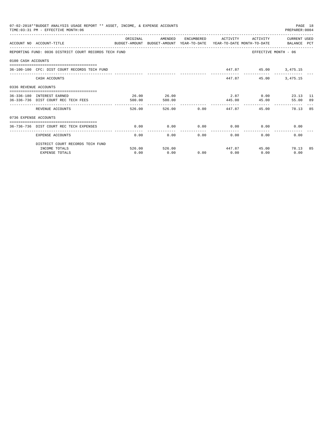|                       | 07-02-2018**BUDGET ANALYSIS USAGE REPORT ** ASSET, INCOME, & EXPENSE ACCOUNTS<br>TIME: 03:31 PM - EFFECTIVE MONTH: 06 |          |               |        |                       |                                        | PAGE 18<br>PREPARER: 0004 |  |
|-----------------------|-----------------------------------------------------------------------------------------------------------------------|----------|---------------|--------|-----------------------|----------------------------------------|---------------------------|--|
|                       | ACCOUNT NO ACCOUNT-TITLE<br>BUDGET-AMOUNT BUDGET-AMOUNT YEAR-TO-DATE YEAR-TO-DATE MONTH-TO-DATE BALANCE PCT           | ORIGINAL | AMENDED       |        | ENCUMBERED ACTIVITY   | ACTIVITY                               | CURRENT USED              |  |
|                       | REPORTING FUND: 0036 DISTRICT COURT RECORDS TECH FUND                                                                 |          |               |        |                       | EFFECTIVE MONTH - 06                   |                           |  |
| 0100 CASH ACCOUNTS    |                                                                                                                       |          |               |        |                       |                                        |                           |  |
|                       | 36-100-100 CFC: DIST COURT RECORDS TECH FUND                                                                          |          |               |        |                       | 447.87 45.00 3,475.15                  |                           |  |
|                       | CASH ACCOUNTS                                                                                                         |          |               |        | 447.87                | 45.00                                  | 3,475.15                  |  |
| 0336 REVENUE ACCOUNTS |                                                                                                                       |          |               |        |                       |                                        |                           |  |
|                       | 36-336-180 INTEREST EARNED                                                                                            | 26.00    | 26.00         |        |                       | 2.87 0.00 23.13 11                     |                           |  |
|                       | 36-336-736 DIST COURT REC TECH FEES                                                                                   | 500.00   | 500.00        |        | ------------          | 445.00 45.00                           | 55.00 89                  |  |
|                       | REVENUE ACCOUNTS                                                                                                      | 526.00   |               | 526.00 | $0.00$ 447.87         | 45.00                                  | 78.13 85                  |  |
| 0736 EXPENSE ACCOUNTS |                                                                                                                       |          |               |        |                       |                                        |                           |  |
|                       | 36-736-736 DIST COURT REC TECH EXPENSES                                                                               | 0.00     | 0.00          |        |                       | $0.00$ $0.00$ $0.00$ $0.00$            | 0.00                      |  |
|                       | EXPENSE ACCOUNTS                                                                                                      | 0.00     |               | 0.00   | -------------<br>0.00 | $0.00$ and $0.00$<br>$0.00$ and $0.00$ | 0.00                      |  |
|                       | DISTRICT COURT RECORDS TECH FUND                                                                                      |          |               |        |                       |                                        |                           |  |
|                       | INCOME TOTALS                                                                                                         |          | 526.00 526.00 |        |                       | 447.87 45.00 78.13 85                  |                           |  |
|                       | <b>EXPENSE TOTALS</b>                                                                                                 | 0.00     | 0.00          | 0.00   | 0.00                  | 0.00                                   | 0.00                      |  |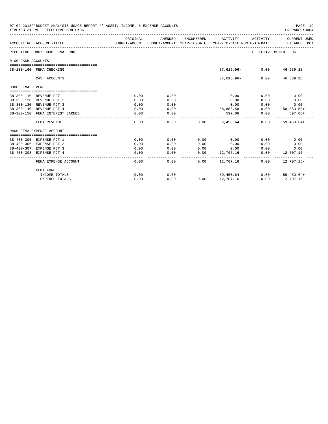| 07-02-2018**BUDGET ANALYSIS USAGE REPORT ** ASSET, INCOME, & EXPENSE ACCOUNTS<br>TIME: 03:31 PM - EFFECTIVE MONTH: 06<br>PREPARER: 0004 |                                 |                                                                                             |                     |      |                              |                      |                                     |  |
|-----------------------------------------------------------------------------------------------------------------------------------------|---------------------------------|---------------------------------------------------------------------------------------------|---------------------|------|------------------------------|----------------------|-------------------------------------|--|
|                                                                                                                                         | ACCOUNT NO ACCOUNT-TITLE        | ORIGINAL<br>BUDGET-AMOUNT BUDGET-AMOUNT YEAR-TO-DATE YEAR-TO-DATE MONTH-TO-DATE BALANCE PCT | AMENDED             |      | ENCUMBERED ACTIVITY ACTIVITY |                      | CURRENT USED                        |  |
|                                                                                                                                         | REPORTING FUND: 0038 FEMA FUND  |                                                                                             |                     |      |                              | EFFECTIVE MONTH - 06 |                                     |  |
| 0100 CASH ACCOUNTS                                                                                                                      |                                 |                                                                                             |                     |      |                              |                      |                                     |  |
|                                                                                                                                         | 38-100-160 FEMA CHECKING        |                                                                                             |                     |      | 37,615.96- 0.00 46,539.28    |                      |                                     |  |
|                                                                                                                                         | CASH ACCOUNTS                   |                                                                                             |                     |      | 37,615.96 - 0.00 46,539.28   |                      |                                     |  |
| 0300 FEMA REVENUE                                                                                                                       |                                 |                                                                                             |                     |      |                              |                      |                                     |  |
|                                                                                                                                         | 38-300-110 REVENUE PCT1         | 0.00                                                                                        | 0.00                |      | 0.00                         | 0.00                 | 0.00                                |  |
|                                                                                                                                         | 38-300-120 REVENUE PCT 2        | 0.00                                                                                        | 0.00                |      | 0.00                         | 0.00                 | 0.00                                |  |
|                                                                                                                                         | 38-300-130 REVENUE PCT 3        | 0.00                                                                                        | 0.00                |      | 0.00                         | 0.00                 | 0.00                                |  |
|                                                                                                                                         | 38-300-140 REVENUE PCT 4        | 0.00                                                                                        | 0.00                |      | 58,853.58                    |                      | $0.00$ 58,853.58+                   |  |
|                                                                                                                                         | 38-300-150 FEMA INTEREST EARNED | 0.00                                                                                        | 0.00                |      |                              |                      | 597.06 0.00 597.06+                 |  |
|                                                                                                                                         | FEMA REVENUE                    | 0.00                                                                                        | -----------<br>0.00 |      | $0.00$ 59.450.64             |                      | --------------<br>$0.00$ 59,450.64+ |  |
|                                                                                                                                         | 0400 FEMA EXPENSE ACCOUNT       |                                                                                             |                     |      |                              |                      |                                     |  |
|                                                                                                                                         | 38-400-305 EXPENSE PCT 1        | 0.00                                                                                        | 0.00                | 0.00 | 0.00                         | 0.00                 | 0.00                                |  |
|                                                                                                                                         | 38-400-306 EXPENSE PCT 2        | 0.00                                                                                        | 0.00                | 0.00 | 0.00                         | 0.00                 | 0.00                                |  |
|                                                                                                                                         | 38-400-307 EXPENSE PCT 3        | 0.00                                                                                        | 0.00                | 0.00 | 0.00                         | 0.00                 | 0.00                                |  |
|                                                                                                                                         | 38-400-308 EXPENSE PCT 4        | 0.00                                                                                        | 0.00                | 0.00 | 12,707.16                    | 0.00                 | 12,707.16-                          |  |
|                                                                                                                                         | FEMA EXPENSE ACCOUNT            | ----------<br>0.00                                                                          | -----------<br>0.00 | 0.00 | 12,707.16                    | 0.00                 | 12,707.16-                          |  |
|                                                                                                                                         | FEMA FUND                       |                                                                                             |                     |      |                              |                      |                                     |  |
|                                                                                                                                         | INCOME TOTALS                   | 0.00                                                                                        | 0.00                |      | 59,450.64                    |                      | $0.00$ 59,450.64+                   |  |
|                                                                                                                                         | <b>EXPENSE TOTALS</b>           | 0.00                                                                                        | 0.00                |      | $0.00$ 12,707.16             | 0.00                 | 12,707.16-                          |  |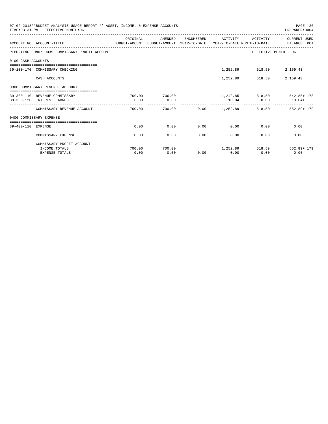|                    | 07-02-2018**BUDGET ANALYSIS USAGE REPORT ** ASSET, INCOME, & EXPENSE ACCOUNTS<br>TIME: 03:31 PM - EFFECTIVE MONTH: 06 |                        |         |              |                      |                          | PAGE 20<br>PREPARER: 0004        |
|--------------------|-----------------------------------------------------------------------------------------------------------------------|------------------------|---------|--------------|----------------------|--------------------------|----------------------------------|
|                    |                                                                                                                       | ORIGINAL               | AMENDED |              | ENCUMBERED ACTIVITY  | ACTIVITY                 | CURRENT USED                     |
|                    | ACCOUNT NO ACCOUNT-TITLE<br>BUDGET-AMOUNT BUDGET-AMOUNT YEAR-TO-DATE YEAR-TO-DATE MONTH-TO-DATE BALANCE PCT           |                        |         |              |                      |                          |                                  |
|                    | REPORTING FUND: 0039 COMMISSARY PROFIT ACCOUNT                                                                        |                        |         |              |                      |                          | EFFECTIVE MONTH - 06             |
| 0100 CASH ACCOUNTS |                                                                                                                       |                        |         |              |                      |                          |                                  |
|                    | 39-100-170 COMMISSARY CHECKING                                                                                        |                        |         |              |                      | 1,252.89 518.50 2,159.43 |                                  |
|                    | CASH ACCOUNTS                                                                                                         |                        |         |              |                      | 1,252.89 518.50          | 2,159.43                         |
|                    | 0300 COMMISSARY REVENUE ACCOUNT                                                                                       |                        |         |              |                      |                          |                                  |
|                    | 39-300-110 REVENUE COMMISSARY                                                                                         | 700.00                 | 700.00  |              |                      |                          | 1,242.85 518.50 542.85+178       |
|                    | 39-300-120 INTEREST EARNED                                                                                            | 0.00                   | 0.00    |              |                      | 10.04 0.00               | $10.04+$                         |
|                    | COMMISSARY REVENUE ACCOUNT                                                                                            | 700.00                 |         |              |                      |                          |                                  |
|                    | 0400 COMMISSARY EXPENSE                                                                                               |                        |         |              |                      |                          |                                  |
| 39-400-110 EXPENSE | ===================================                                                                                   | 0.00                   | 0.00    | 0.00         |                      | $0.00$ 0.00              | 0.00                             |
|                    | COMMISSARY EXPENSE                                                                                                    | ______________<br>0.00 | 0.00    | ------------ | ------------<br>0.00 | 0.00                     | 0.00<br>0.00                     |
|                    | COMMISSARY PROFIT ACCOUNT                                                                                             |                        |         |              |                      |                          |                                  |
|                    | INCOME TOTALS                                                                                                         | 700.00                 | 700.00  |              |                      |                          | $1,252.89$ $518.50$ $552.89+179$ |
|                    | <b>EXPENSE TOTALS</b>                                                                                                 | 0.00                   | 0.00    | 0.00         | 0.00                 | 0.00                     | 0.00                             |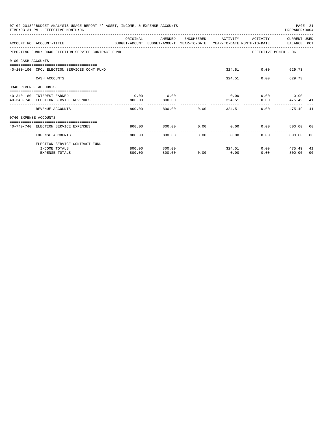|                       | 07-02-2018**BUDGET ANALYSIS USAGE REPORT ** ASSET, INCOME, & EXPENSE ACCOUNTS<br>TIME: 03:31 PM - EFFECTIVE MONTH: 06 |          |         |             |                                      |                                                  | PREPARER: 0004       | PAGE 21 |
|-----------------------|-----------------------------------------------------------------------------------------------------------------------|----------|---------|-------------|--------------------------------------|--------------------------------------------------|----------------------|---------|
|                       | ACCOUNT NO ACCOUNT-TITLE<br>BUDGET-AMOUNT BUDGET-AMOUNT YEAR-TO-DATE YEAR-TO-DATE MONTH-TO-DATE   BALANCE PCT         | ORIGINAL | AMENDED |             | ENCUMBERED ACTIVITY                  | ACTIVITY                                         | CURRENT USED         |         |
|                       | REPORTING FUND: 0040 ELECTION SERVICE CONTRACT FUND                                                                   |          |         |             |                                      |                                                  | EFFECTIVE MONTH - 06 |         |
| 0100 CASH ACCOUNTS    |                                                                                                                       |          |         |             |                                      |                                                  |                      |         |
|                       | 40-100-100 CFC: ELECTION SERVICES CONT FUND                                                                           |          |         |             |                                      | 324.51 0.00 629.73                               |                      |         |
|                       | CASH ACCOUNTS                                                                                                         |          |         |             |                                      | 324.51                                           | $0.00$ 629.73        |         |
| 0340 REVENUE ACCOUNTS |                                                                                                                       |          |         |             |                                      |                                                  |                      |         |
|                       | 40-340-180 INTEREST EARNED                                                                                            | 0.00     | 0.00    |             |                                      | $0.00$ $0.00$ $0.00$ $0.00$                      |                      |         |
|                       | 40-340-740 ELECTION SERVICE REVENUES                                                                                  | 800.00   | 800.00  |             |                                      | 324.51                                           | $0.00$ $475.49$ $41$ |         |
|                       | REVENUE ACCOUNTS                                                                                                      | 800.00   |         | 800.00 0.00 |                                      | 324.51                                           | 0.00<br>475.49       | -41     |
| 0740 EXPENSE ACCOUNTS |                                                                                                                       |          |         |             |                                      |                                                  |                      |         |
|                       | 40-740-740 ELECTION SERVICE EXPENSES                                                                                  | 800.00   | 800.00  |             |                                      | $0.00$ $0.00$ $0.00$ $0.00$ $0.00$ $0.00$ $0.00$ |                      |         |
|                       | EXPENSE ACCOUNTS                                                                                                      | 800.00   | 800.00  |             | ---------------<br>$0.00$ and $0.00$ | 0.00<br>$0.00 -$                                 | 800.00 00            |         |
|                       | ELECTION SERVICE CONTRACT FUND                                                                                        |          |         |             |                                      |                                                  |                      |         |
|                       | INCOME TOTALS                                                                                                         | 800.00   | 800.00  |             |                                      | 324.51                                           | $0.00$ 475.49        | 41      |
|                       | <b>EXPENSE TOTALS</b>                                                                                                 | 800.00   | 800.00  | 0.00        | 0.00                                 | 0.00                                             | 800.00               | 00      |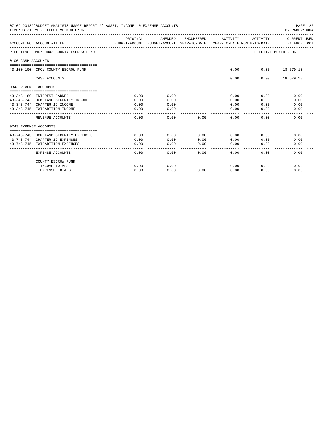|                       | 07-02-2018**BUDGET ANALYSIS USAGE REPORT ** ASSET, INCOME, & EXPENSE ACCOUNTS<br>PREPARER: 0004<br>TIME: 03:31 PM - EFFECTIVE MONTH: 06 |          |           |                        |                       |                      |                             |  |  |
|-----------------------|-----------------------------------------------------------------------------------------------------------------------------------------|----------|-----------|------------------------|-----------------------|----------------------|-----------------------------|--|--|
|                       | ACCOUNT NO ACCOUNT-TITLE<br>BUDGET-AMOUNT BUDGET-AMOUNT YEAR-TO-DATE YEAR-TO-DATE MONTH-TO-DATE                                         | ORIGINAL | AMENDED   | ENCUMBERED             | ACTIVITY              | ACTIVITY             | CURRENT USED<br>BALANCE PCT |  |  |
|                       | REPORTING FUND: 0043 COUNTY ESCROW FUND                                                                                                 |          |           |                        |                       | EFFECTIVE MONTH - 06 |                             |  |  |
| 0100 CASH ACCOUNTS    |                                                                                                                                         |          |           |                        |                       |                      |                             |  |  |
|                       | 43-100-100 CFC: COUNTY ESCROW FUND                                                                                                      |          |           |                        | 0.00                  | $0.00$ 18,679.18     |                             |  |  |
|                       | CASH ACCOUNTS                                                                                                                           |          |           |                        | 0.00                  |                      | $0.00$ 18,679.18            |  |  |
| 0343 REVENUE ACCOUNTS |                                                                                                                                         |          |           |                        |                       |                      |                             |  |  |
|                       | 43-343-180 INTEREST EARNED                                                                                                              | 0.00     | 0.00      |                        | 0.00                  | 0.00                 | 0.00                        |  |  |
|                       | 43-343-743 HOMELAND SECURITY INCOME                                                                                                     | 0.00     | 0.00      |                        | 0.00                  | 0.00                 | 0.00                        |  |  |
|                       | 43-343-744 CHAPTER 19 INCOME                                                                                                            | 0.00     | 0.00      |                        | 0.00                  | 0.00                 | 0.00                        |  |  |
|                       | 43-343-745 EXTRADITION INCOME                                                                                                           | 0.00     | 0.00      |                        | 0.00                  | 0.00                 | 0.00                        |  |  |
|                       | REVENUE ACCOUNTS                                                                                                                        | 0.00     | 0.00      | 0.00                   | 0.00                  | 0.00                 | 0.00                        |  |  |
| 0743 EXPENSE ACCOUNTS |                                                                                                                                         |          |           |                        |                       |                      |                             |  |  |
|                       | 43-743-743 HOMELAND SECURITY EXPENSES                                                                                                   | 0.00     | 0.00      | 0.00                   | 0.00                  | 0.00                 | 0.00                        |  |  |
|                       | 43-743-744 CHAPTER 19 EXPENSES                                                                                                          | 0.00     | 0.00      | 0.00                   | 0.00                  | 0.00                 | 0.00                        |  |  |
|                       | 43-743-745 EXTRADITION EXPENSES                                                                                                         | 0.00     | 0.00<br>. | 0.00<br>المامات ماليات | 0.00<br>$\frac{1}{2}$ | 0.00                 | 0.00                        |  |  |
|                       | EXPENSE ACCOUNTS                                                                                                                        | 0.00     | 0.00      | 0.00                   | 0.00                  | 0.00                 | 0.00                        |  |  |
|                       | COUNTY ESCROW FUND                                                                                                                      |          |           |                        |                       |                      |                             |  |  |
|                       | INCOME TOTALS                                                                                                                           | 0.00     | 0.00      |                        | 0.00                  | 0.00                 | 0.00                        |  |  |
|                       | <b>EXPENSE TOTALS</b>                                                                                                                   | 0.00     | 0.00      | 0.00                   | 0.00                  | 0.00                 | 0.00                        |  |  |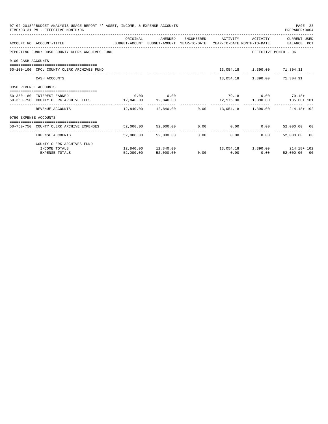|                       | 07-02-2018**BUDGET ANALYSIS USAGE REPORT ** ASSET, INCOME, & EXPENSE ACCOUNTS<br>TIME: 03:31 PM - EFFECTIVE MONTH: 06 |           |             |                                      |                              | PAGE 23<br>PREPARER: 0004                                          |  |
|-----------------------|-----------------------------------------------------------------------------------------------------------------------|-----------|-------------|--------------------------------------|------------------------------|--------------------------------------------------------------------|--|
|                       | ACCOUNT NO ACCOUNT-TITLE COMPUTE SUDGET-AMOUNT BUDGET-AMOUNT YEAR-TO-DATE YEAR-TO-DATE MONTH-TO-DATE BALANCE PCT      | ORIGINAL  | AMENDED     |                                      | ENCUMBERED ACTIVITY ACTIVITY | CURRENT USED                                                       |  |
|                       | REPORTING FUND: 0050 COUNTY CLERK ARCHIVES FUND                                                                       |           |             |                                      |                              | EFFECTIVE MONTH - 06                                               |  |
| 0100 CASH ACCOUNTS    |                                                                                                                       |           |             |                                      |                              |                                                                    |  |
|                       | 50-100-100 CFC: COUNTY CLERK ARCHIVES FUND                                                                            |           |             |                                      | 13,054.18 1,390.00 71,304.31 |                                                                    |  |
|                       | CASH ACCOUNTS                                                                                                         |           |             |                                      | 13,054.18 1,390.00 71,304.31 |                                                                    |  |
| 0350 REVENUE ACCOUNTS |                                                                                                                       |           |             |                                      |                              |                                                                    |  |
|                       | 50-350-180 INTEREST EARNED                                                                                            |           | $0.00$ 0.00 |                                      |                              | $79.18$ 0.00 $79.18$                                               |  |
|                       | 50-350-750 COUNTY CLERK ARCHIVE FEES 12,840.00 12,840.00                                                              |           |             |                                      |                              | $12,975.00$ $1,390.00$ $135.00+101$                                |  |
|                       | REVENUE ACCOUNTS                                                                                                      |           |             |                                      |                              | $12,840.00$ $12,840.00$ $0.00$ $13,054.18$ $1,390.00$ $214.18+102$ |  |
| 0750 EXPENSE ACCOUNTS |                                                                                                                       |           |             |                                      |                              |                                                                    |  |
|                       | --------------------------------------<br>50-750-750 COUNTY CLERK ARCHIVE EXPENSES                                    |           |             |                                      |                              | 52,000.00 52,000.00 0.00 0.00 0.00 0.00 52,000.00 00               |  |
|                       | EXPENSE ACCOUNTS                                                                                                      | 52,000.00 | 52,000.00   | ---------------<br>$0.00$ and $0.00$ | 0.00<br>$0.00 -$             | ------------------------------<br>52,000.00 00                     |  |
|                       | COUNTY CLERK ARCHIVES FUND                                                                                            |           |             |                                      |                              |                                                                    |  |
|                       | INCOME TOTALS                                                                                                         |           |             |                                      |                              | $12,840.00 \t 12,840.00 \t 13,054.18 \t 1,390.00 \t 214.18 \t 102$ |  |
|                       | <b>EXPENSE TOTALS</b>                                                                                                 | 52,000.00 | 52,000.00   | $0.00$ 0.00                          | 0.00                         | 52,000.00 00                                                       |  |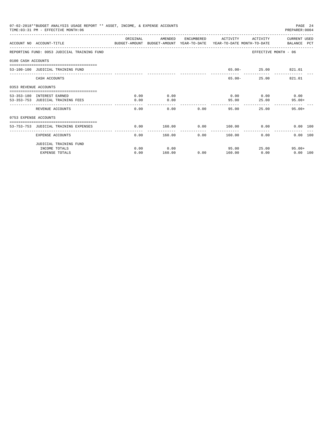|                       | 07-02-2018**BUDGET ANALYSIS USAGE REPORT ** ASSET, INCOME, & EXPENSE ACCOUNTS<br>TIME: 03:31 PM - EFFECTIVE MONTH: 06 |           |                         |                |                                  |                     | PAGE 24<br>PREPARER: 0004   |  |
|-----------------------|-----------------------------------------------------------------------------------------------------------------------|-----------|-------------------------|----------------|----------------------------------|---------------------|-----------------------------|--|
|                       | ACCOUNT NO ACCOUNT-TITLE CONTROL SUDGET-AMOUNT BUDGET-AMOUNT YEAR-TO-DATE YEAR-TO-DATE MONTH-TO-DATE BALANCE PCT      | OR TGTNAL | AMENDED                 | ENCUMBERED     | ACTIVITY                         | ACTIVITY            | CURRENT USED                |  |
|                       | REPORTING FUND: 0053 JUDICIAL TRAINING FUND                                                                           |           |                         |                |                                  |                     | EFFECTIVE MONTH - 06        |  |
| 0100 CASH ACCOUNTS    |                                                                                                                       |           |                         |                |                                  |                     |                             |  |
|                       | 53-100-100 JUDICIAL TRAINING FUND                                                                                     |           |                         |                |                                  | 65.00- 25.00 821.01 |                             |  |
|                       | CASH ACCOUNTS                                                                                                         |           |                         |                | 65.00-                           |                     | 25.00<br>821.01             |  |
| 0353 REVENUE ACCOUNTS |                                                                                                                       |           |                         |                |                                  |                     |                             |  |
|                       | 53-353-180 INTEREST EARNED                                                                                            | 0.00      | 0.00                    |                |                                  |                     | $0.00$ $0.00$ $0.00$ $0.00$ |  |
|                       | 53-353-753 JUDICIAL TRAINING FEES                                                                                     | 0.00      | 0.00                    |                | 95.00                            | 25.00               | $95.00+$                    |  |
|                       | REVENUE ACCOUNTS                                                                                                      | 0.00      | 0.00                    | 0.00           | 95.00                            | 25.00               | $95.00+$                    |  |
| 0753 EXPENSE ACCOUNTS |                                                                                                                       |           |                         |                |                                  |                     |                             |  |
|                       | -------------------------------------<br>53-753-753 JUDICIAL TRAINING EXPENSES                                        | 0.00      | 160.00                  | 0.00           | $160.00$ 0.00                    |                     | 0.00 100                    |  |
|                       | ----------<br>EXPENSE ACCOUNTS                                                                                        | 0.00      | -------------<br>160.00 | -------------- | --------------<br>0.00<br>160.00 | 0.00                | 0.00 100                    |  |
|                       | JUDICIAL TRAINING FUND                                                                                                |           |                         |                |                                  |                     |                             |  |
|                       | INCOME TOTALS                                                                                                         | 0.00      | 0.00                    |                |                                  | 95.00               | 25.00<br>$95.00+$           |  |
|                       | <b>EXPENSE TOTALS</b>                                                                                                 | 0.00      | 160.00                  | 0.00           | 160.00                           | 0.00                | $0.00$ 100                  |  |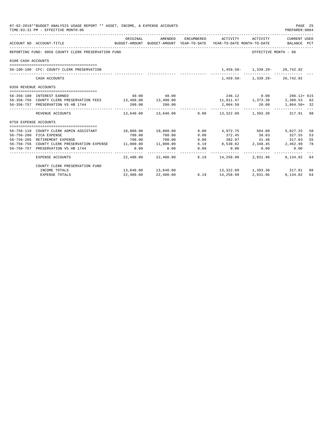|                       | 07-02-2018**BUDGET ANALYSIS USAGE REPORT ** ASSET, INCOME, & EXPENSE ACCOUNTS<br>TIME: 03:31 PM - EFFECTIVE MONTH: 06 |                       |                      |      |                                                                                                        |                                 | PAGE 25<br>PREPARER: 0004 |    |
|-----------------------|-----------------------------------------------------------------------------------------------------------------------|-----------------------|----------------------|------|--------------------------------------------------------------------------------------------------------|---------------------------------|---------------------------|----|
|                       | ACCOUNT NO ACCOUNT-TITLE                                                                                              | ORIGINAL              | AMENDED              |      | ENCUMBERED ACTIVITY<br>BUDGET-AMOUNT BUDGET-AMOUNT YEAR-TO-DATE YEAR-TO-DATE MONTH-TO-DATE BALANCE PCT | ACTIVITY                        | CURRENT USED              |    |
|                       | REPORTING FUND: 0056 COUNTY CLERK PRESERVATION FUND                                                                   |                       |                      |      |                                                                                                        | EFFECTIVE MONTH - 06            |                           |    |
| 0100 CASH ACCOUNTS    |                                                                                                                       |                       |                      |      |                                                                                                        |                                 |                           |    |
|                       |                                                                                                                       |                       |                      |      |                                                                                                        |                                 |                           |    |
|                       | 56-100-100 CFC: COUNTY CLERK PRESERVATION                                                                             |                       |                      |      |                                                                                                        | 1,459.50- 1,339.29- 26,742.92   |                           |    |
|                       | CASH ACCOUNTS                                                                                                         |                       |                      |      |                                                                                                        | 1,459.50 - 1,339.29 - 26,742.92 |                           |    |
| 0356 REVENUE ACCOUNTS |                                                                                                                       |                       |                      |      |                                                                                                        |                                 |                           |    |
|                       | 56-356-180 INTEREST EARNED                                                                                            |                       | 40.00 40.00          |      | 246.12 0.00 206.12+ 615                                                                                |                                 |                           |    |
|                       | 56-356-756 COUNTY CLERK PRESERVATION FEES 13,400.00 13,400.00                                                         |                       |                      |      | $11,011.47$ $1,373.30$ $2,388.53$ 82                                                                   |                                 |                           |    |
|                       | 56-356-757 PRESERVATION VS HB 1744                                                                                    | 200.00                | 200.00               |      | 2,064.50 20.00 1,864.50+ 32                                                                            |                                 |                           |    |
|                       | REVENUE ACCOUNTS                                                                                                      |                       |                      |      | $13,640.00$ $13,640.00$ $0.00$ $13,322.09$ $1,393.30$ $317.91$ 98                                      |                                 |                           |    |
| 0756 EXPENSE ACCOUNTS |                                                                                                                       |                       |                      |      |                                                                                                        |                                 |                           |    |
|                       |                                                                                                                       |                       |                      |      |                                                                                                        |                                 |                           |    |
|                       | 56-756-110 COUNTY CLERK ADMIN ASSISTANT                                                                               | 10.000.0000010.000000 |                      |      | $0.00$ $4.972.75$ $504.00$                                                                             |                                 | 5,027.25                  | 50 |
|                       | 56-756-200 FICA EXPENSE                                                                                               | 700.00                | 700.00               | 0.00 | 372.45                                                                                                 | 38.03 327.55                    |                           | 53 |
|                       | 56-756-205 RETIREMENT EXPENSE                                                                                         | 700.00                | 700.00               | 0.00 | 382.97 41.48 317.03                                                                                    |                                 |                           | 55 |
|                       | 56-756-756 COUNTY CLERK PRESERVATION EXPENSE 11,000.00 11,000.00                                                      |                       |                      |      | $6.19$ $8,530.82$ $2,348.45$ $2,462.99$                                                                |                                 |                           | 78 |
|                       | 56-756-757 PRESERVATION VS HB 1744                                                                                    | 0.00                  | 0.00                 | 0.00 | 0.00                                                                                                   | 0.00                            | 0.00                      |    |
|                       | EXPENSE ACCOUNTS                                                                                                      |                       | 22.400.00 22.400.00  |      | 6.19 14,258.99                                                                                         | 2,931.96                        | 8,134.82 64               |    |
|                       | COUNTY CLERK PRESERVATION FUND                                                                                        |                       |                      |      |                                                                                                        |                                 |                           |    |
|                       | INCOME TOTALS                                                                                                         |                       | 13,640.00  13,640.00 |      | 13,322.09 1,393.30 317.91 98                                                                           |                                 |                           |    |
|                       | EXPENSE TOTALS                                                                                                        | 22,400.00             | 22,400.00            |      | 6.19 14,258.99 2,931.96                                                                                |                                 | 8,134.82 64               |    |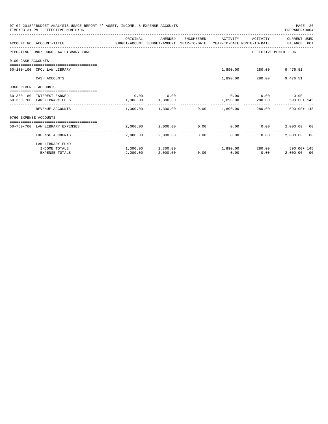|                       | 07-02-2018**BUDGET ANALYSIS USAGE REPORT ** ASSET, INCOME, & EXPENSE ACCOUNTS<br>TIME: 03:31 PM - EFFECTIVE MONTH: 06 |                   |                                                        |            |                      |                             | PREPARER: 0004       | PAGE 26 |
|-----------------------|-----------------------------------------------------------------------------------------------------------------------|-------------------|--------------------------------------------------------|------------|----------------------|-----------------------------|----------------------|---------|
|                       |                                                                                                                       | ORIGINAL          | AMENDED                                                | ENCUMBERED | ACTIVITY             | ACTIVITY                    | CURRENT USED         |         |
|                       | ACCOUNT NO ACCOUNT-TITLE COMPUTE BUDGET-AMOUNT BUDGET-AMOUNT YEAR-TO-DATE YEAR-TO-DATE MONTH-TO-DATE BALANCE PCT      |                   |                                                        |            |                      |                             |                      |         |
|                       | REPORTING FUND: 0060 LAW LIBRARY FUND                                                                                 |                   |                                                        |            |                      |                             | EFFECTIVE MONTH - 06 |         |
| 0100 CASH ACCOUNTS    |                                                                                                                       |                   |                                                        |            |                      |                             |                      |         |
|                       | 60-100-100 CFC: LAW LIBRARY                                                                                           |                   |                                                        |            |                      | 1,890.00 280.00 9,476.51    |                      |         |
|                       | CASH ACCOUNTS                                                                                                         |                   |                                                        |            |                      | 1,890.00 280.00             | 9,476.51             |         |
| 0360 REVENUE ACCOUNTS |                                                                                                                       |                   |                                                        |            |                      |                             |                      |         |
|                       | 60-360-180 INTEREST EARNED                                                                                            |                   | $0.00$ 0.00                                            |            |                      | $0.00$ $0.00$ $0.00$ $0.00$ |                      |         |
|                       | 60-360-760 LAW LIBRARY FEES                                                                                           | 1,300.00 1,300.00 |                                                        |            |                      | 1,890.00 280.00             | 590.00+ 145          |         |
|                       | REVENUE ACCOUNTS                                                                                                      |                   | $1.300.00$ $1.300.00$ $0.00$ $1.890.00$ $280.00$       |            |                      |                             | $590.00 + 145$       |         |
| 0760 EXPENSE ACCOUNTS |                                                                                                                       |                   |                                                        |            |                      |                             |                      |         |
|                       | =================================<br>60-760-760 LAW LIBRARY EXPENSES                                                  |                   | $2,000.00$ $2,000.00$ $0.00$ $0.00$ $0.00$ $0.00$      |            |                      |                             | 2,000.00 00          |         |
|                       | EXPENSE ACCOUNTS                                                                                                      |                   | 2,000.00 2,000.00                                      |            | ------------<br>0.00 | 0.00<br>0.00                | 2,000.00 00          |         |
|                       | LAW LIBRARY FUND                                                                                                      |                   |                                                        |            |                      |                             |                      |         |
|                       | INCOME TOTALS                                                                                                         |                   | $1,300.00$ $1,300.00$ $1,890.00$ $280.00$ $590.00+145$ |            |                      |                             |                      |         |
|                       | <b>EXPENSE TOTALS</b>                                                                                                 | 2,000.00          | 2,000.00                                               |            | $0.00$ 0.00          | 0.00                        | 2,000.00 00          |         |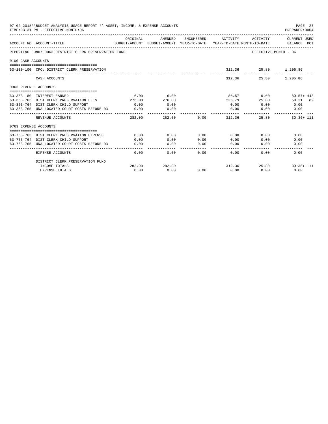|                       | 07-02-2018**BUDGET ANALYSIS USAGE REPORT ** ASSET, INCOME, & EXPENSE ACCOUNTS<br>TIME: 03:31 PM - EFFECTIVE MONTH: 06 |          |         |                 |                             |                       | PAGE 27<br>PREPARER: 0004                                                                       |
|-----------------------|-----------------------------------------------------------------------------------------------------------------------|----------|---------|-----------------|-----------------------------|-----------------------|-------------------------------------------------------------------------------------------------|
|                       | ACCOUNT NO ACCOUNT-TITLE                                                                                              | ORIGINAL | AMENDED |                 | ENCUMBERED ACTIVITY         | ACTIVITY              | CURRENT USED<br>BUDGET-AMOUNT BUDGET-AMOUNT YEAR-TO-DATE YEAR-TO-DATE MONTH-TO-DATE BALANCE PCT |
|                       | REPORTING FUND: 0063 DISTRICT CLERK PRESERVATION FUND                                                                 |          |         |                 |                             | EFFECTIVE MONTH - 06  |                                                                                                 |
| 0100 CASH ACCOUNTS    |                                                                                                                       |          |         |                 |                             |                       |                                                                                                 |
|                       | 63-100-100 CFC: DISTRICT CLERK PRESERVATION                                                                           |          |         |                 |                             | 312.36 25.80 1,205.86 |                                                                                                 |
|                       | CASH ACCOUNTS                                                                                                         |          |         |                 | --------------              | 312.36 25.80 1,205.86 |                                                                                                 |
| 0363 REVENUE ACCOUNTS |                                                                                                                       |          |         |                 |                             |                       |                                                                                                 |
|                       | 63-363-180 INTEREST EARNED                                                                                            | 6.00     | 6.00    |                 |                             |                       | 86.57 0.00 80.57+443                                                                            |
|                       | 63-363-763 DIST CLERK PRESERVATION FEES 276.00                                                                        |          | 276.00  |                 | 225.79                      | 25.80                 | 50.21 82                                                                                        |
|                       | 63-363-764 DIST CLERK CHILD SUPPORT                                                                                   | 0.00     | 0.00    |                 | 0.00                        | 0.00                  | 0.00                                                                                            |
|                       | 63-363-765 UNALLOCATED COURT COSTS BEFORE 03                                                                          | 0.00     | 0.00    |                 | 0.00                        | 0.00                  | 0.00                                                                                            |
|                       | REVENUE ACCOUNTS                                                                                                      | 282.00   | 282.00  |                 | $0.00$ and $0.00$<br>312.36 | 25.80                 | $30.36 + 111$                                                                                   |
| 0763 EXPENSE ACCOUNTS |                                                                                                                       |          |         |                 |                             |                       |                                                                                                 |
|                       |                                                                                                                       |          |         |                 |                             |                       |                                                                                                 |
|                       | 63-763-763 DIST CLERK PRESERVATION EXPENSE                                                                            | 0.00     | 0.00    | 0.00            | 0.00                        | 0.00                  | 0.00                                                                                            |
|                       | 63-763-764 DIST CLERK CHILD SUPPORT                                                                                   | 0.00     | 0.00    | 0.00            | 0.00                        | 0.00                  | 0.00                                                                                            |
|                       | 63-763-765 UNALLOCATED COURT COSTS BEFORE 03                                                                          | 0.00     | 0.00    | 0.00<br>------- | 0.00<br>-----------         | 0.00                  | 0.00                                                                                            |
|                       | <b>EXPENSE ACCOUNTS</b>                                                                                               | 0.00     |         | 0.00            | 0.00<br>$0.00$ and $0.00$   | 0.00                  | 0.00                                                                                            |
|                       | DISTRICT CLERK PRESERVATION FUND                                                                                      |          |         |                 |                             |                       |                                                                                                 |
|                       | INCOME TOTALS                                                                                                         | 282.00   | 282.00  |                 |                             |                       | 312.36 25.80 30.36+ 111                                                                         |
|                       | <b>EXPENSE TOTALS</b>                                                                                                 | 0.00     | 0.00    | 0.00            | 0.00                        | 0.00                  | 0.00                                                                                            |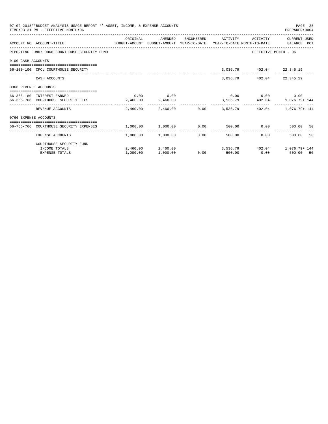|                       | 07-02-2018**BUDGET ANALYSIS USAGE REPORT ** ASSET, INCOME, & EXPENSE ACCOUNTS<br>TIME: 03:31 PM - EFFECTIVE MONTH: 06 |                                              |                       |                       |                     |                           | PAGE 28<br>PREPARER: 0004                           |    |
|-----------------------|-----------------------------------------------------------------------------------------------------------------------|----------------------------------------------|-----------------------|-----------------------|---------------------|---------------------------|-----------------------------------------------------|----|
|                       | BUDGET-AMOUNT BUDGET-AMOUNT YEAR-TO-DATE YEAR-TO-DATE MONTH-TO-DATE BALANCE PCT<br>ACCOUNT NO ACCOUNT-TITLE           | ORIGINAL                                     | AMENDED               |                       | ENCUMBERED ACTIVITY | ACTIVITY                  | CURRENT USED                                        |    |
|                       | REPORTING FUND: 0066 COURTHOUSE SECURITY FUND                                                                         |                                              |                       |                       |                     |                           | EFFECTIVE MONTH - 06                                |    |
| 0100 CASH ACCOUNTS    |                                                                                                                       |                                              |                       |                       |                     |                           |                                                     |    |
|                       | 66-100-100 CFC: COURTHOUSE SECURITY                                                                                   |                                              |                       |                       |                     | 3,036.79 402.04 22,345.19 |                                                     |    |
|                       | CASH ACCOUNTS                                                                                                         |                                              |                       |                       |                     | 3,036.79 402.04 22,345.19 |                                                     |    |
| 0366 REVENUE ACCOUNTS |                                                                                                                       |                                              |                       |                       |                     |                           |                                                     |    |
|                       | 66-366-180 INTEREST EARNED                                                                                            |                                              | $0.00$ 0.00           |                       |                     |                           | $0.00$ $0.00$ $0.00$ $0.00$                         |    |
|                       | 66-366-766 COURTHOUSE SECURITY FEES                                                                                   | 2,460.00 2,460.00                            |                       |                       |                     |                           | 3,536.79   402.04   1,076.79+ 144                   |    |
|                       | REVENUE ACCOUNTS                                                                                                      |                                              |                       |                       |                     |                           | 2,460.00 2,460.00 0.00 3,536.79 402.04 1,076.79+144 |    |
| 0766 EXPENSE ACCOUNTS |                                                                                                                       |                                              |                       |                       |                     |                           |                                                     |    |
|                       | 66-766-766 COURTHOUSE SECURITY EXPENSES                                                                               | $1,000.00$ $1,000.00$ $0.00$ $500.00$ $0.00$ |                       |                       |                     |                           | 500.00 50                                           |    |
|                       | EXPENSE ACCOUNTS                                                                                                      |                                              | $1.000.00$ $1.000.00$ | -------------<br>0.00 |                     | 500.00                    | 0.00<br>500.00                                      | 50 |
|                       | COURTHOUSE SECURITY FUND                                                                                              |                                              |                       |                       |                     |                           |                                                     |    |
|                       | INCOME TOTALS                                                                                                         |                                              |                       |                       |                     |                           | 2,460.00 2,460.00 3,536.79 402.04 1,076.79 144      |    |
|                       | <b>EXPENSE TOTALS</b>                                                                                                 | 1,000.00                                     | 1,000.00              |                       | $0.00$ 500.00       | 0.00                      | 500.00 50                                           |    |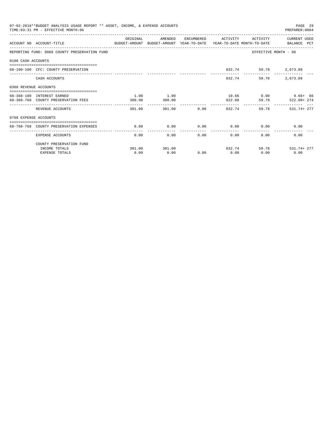|                       | 07-02-2018**BUDGET ANALYSIS USAGE REPORT ** ASSET, INCOME, & EXPENSE ACCOUNTS<br>TIME: 03:31 PM - EFFECTIVE MONTH: 06 |          |         |      |                       |                             | PAGE 29<br>PREPARER: 0004 |
|-----------------------|-----------------------------------------------------------------------------------------------------------------------|----------|---------|------|-----------------------|-----------------------------|---------------------------|
|                       | ACCOUNT NO ACCOUNT-TITLE<br>BUDGET-AMOUNT BUDGET-AMOUNT YEAR-TO-DATE YEAR-TO-DATE MONTH-TO-DATE BALANCE PCT           | ORIGINAL | AMENDED |      | ENCUMBERED ACTIVITY   | ACTIVITY                    | CURRENT USED              |
|                       | REPORTING FUND: 0068 COUNTY PRESERVATION FUND                                                                         |          |         |      |                       | EFFECTIVE MONTH - 06        |                           |
| 0100 CASH ACCOUNTS    |                                                                                                                       |          |         |      |                       |                             |                           |
|                       | 68-100-100 CFC: COUNTY PRESERVATION                                                                                   |          |         |      |                       | 832.74 59.78 2,673.89       |                           |
|                       | CASH ACCOUNTS                                                                                                         |          |         |      | 832.74                | 59.78                       | 2,673.89                  |
| 0368 REVENUE ACCOUNTS |                                                                                                                       |          |         |      |                       |                             |                           |
|                       | 68-368-180 INTEREST EARNED                                                                                            | 1.00     | 1.00    |      |                       |                             | $10.66$ $0.00$ $9.66+66$  |
|                       | 68-368-768 COUNTY PRESERVATION FEES                                                                                   | 300.00   | 300.00  |      | 822.08                | 59.78                       | 522.08+ 274               |
|                       | REVENUE ACCOUNTS                                                                                                      | 301.00   | 301.00  |      | $0.00$ 832.74         |                             | 59.78 531.74+277          |
| 0768 EXPENSE ACCOUNTS |                                                                                                                       |          |         |      |                       |                             |                           |
|                       | 68-768-768 COUNTY PRESERVATION EXPENSES                                                                               | 0.00     | 0.00    |      |                       | $0.00$ $0.00$ $0.00$ $0.00$ | 0.00                      |
|                       | EXPENSE ACCOUNTS                                                                                                      | 0.00     |         | 0.00 | -------------<br>0.00 | $0.00$ and $0.00$           | 0.00<br>0.00              |
|                       | COUNTY PRESERVATION FUND                                                                                              |          |         |      |                       |                             |                           |
|                       | INCOME TOTALS                                                                                                         | 301.00   | 301.00  |      | 832.74                |                             | 59.78 531.74+277          |
|                       | <b>EXPENSE TOTALS</b>                                                                                                 | 0.00     | 0.00    | 0.00 | 0.00                  | 0.00                        | 0.00                      |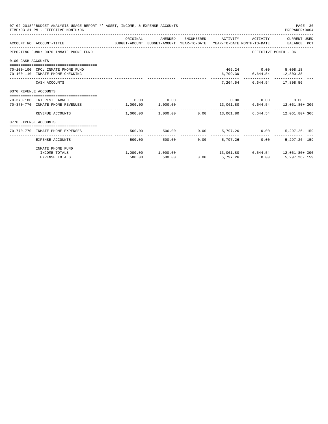|                       | 07-02-2018**BUDGET ANALYSIS USAGE REPORT ** ASSET, INCOME, & EXPENSE ACCOUNTS<br>TIME: 03:31 PM - EFFECTIVE MONTH: 06 |          |                                                                       |      |                     |                                                     | PAGE 30<br>PREPARER: 0004                                    |
|-----------------------|-----------------------------------------------------------------------------------------------------------------------|----------|-----------------------------------------------------------------------|------|---------------------|-----------------------------------------------------|--------------------------------------------------------------|
|                       | ACCOUNT NO ACCOUNT-TITLE CONTROL SUDGET-AMOUNT BUDGET-AMOUNT YEAR-TO-DATE YEAR-TO-DATE MONTH-TO-DATE BALANCE PCT      | ORIGINAL | AMENDED                                                               |      | ENCUMBERED ACTIVITY |                                                     | ACTIVITY CURRENT USED                                        |
|                       | REPORTING FUND: 0070 INMATE PHONE FUND                                                                                |          |                                                                       |      |                     | EFFECTIVE MONTH - 06                                |                                                              |
| 0100 CASH ACCOUNTS    |                                                                                                                       |          |                                                                       |      |                     |                                                     |                                                              |
|                       | 70-100-100 CFC: INMATE PHONE FUND<br>70-100-110 INMATE PHONE CHECKING                                                 |          |                                                                       |      |                     | 465.24 0.00 5,008.18<br>6,799.30 6,644.54 12,800.38 |                                                              |
|                       | CASH ACCOUNTS                                                                                                         |          |                                                                       |      | 7,264.54            |                                                     | 6,644.54 17,808.56                                           |
| 0370 REVENUE ACCOUNTS |                                                                                                                       |          |                                                                       |      |                     |                                                     |                                                              |
|                       | 70-370-180 INTEREST EARNED<br>70-370-770 INMATE PHONE REVENUES                                                        |          | $0.00$ 0.00<br>1,000.00 1,000.00                                      |      |                     | $0.00$ 0.00 0.00 0.00                               | 13,061.80 6,644.54 12,061.80+306                             |
|                       | REVENUE ACCOUNTS                                                                                                      |          | _________________________<br>$1.000.00$ $1.000.00$ $0.00$ $13.061.80$ |      |                     | ----------- ------------ ------------               | 6,644.54 12,061.80+306                                       |
| 0770 EXPENSE ACCOUNTS |                                                                                                                       |          |                                                                       |      |                     |                                                     |                                                              |
|                       | 70-770-770 INMATE PHONE EXPENSES                                                                                      | 500.00   | 500.00                                                                | 0.00 |                     | 5,797.26 0.00                                       | $5,297.26 - 159$                                             |
|                       | EXPENSE ACCOUNTS                                                                                                      | 500.00   | 500.00                                                                | 0.00 | 5,797,26            | 0.00                                                | $5.297.26 - 159$                                             |
|                       | INMATE PHONE FUND<br>INCOME TOTALS                                                                                    |          |                                                                       |      |                     |                                                     | $1,000.00$ $1,000.00$ $13,061.80$ $6,644.54$ $12,061.80+306$ |
|                       | <b>EXPENSE TOTALS</b>                                                                                                 | 500.00   | 500.00                                                                |      | $0.00$ 5,797.26     | 0.00                                                | $5,297.26 - 159$                                             |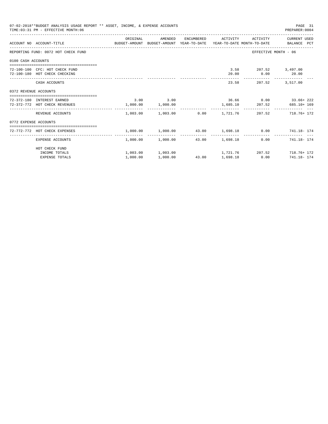|                       | 07-02-2018**BUDGET ANALYSIS USAGE REPORT ** ASSET, INCOME, & EXPENSE ACCOUNTS<br>TIME: 03:31 PM - EFFECTIVE MONTH: 06 |          |                                    |       |                |                                                | PAGE 31<br>PREPARER: 0004                                                       |
|-----------------------|-----------------------------------------------------------------------------------------------------------------------|----------|------------------------------------|-------|----------------|------------------------------------------------|---------------------------------------------------------------------------------|
|                       | ACCOUNT NO ACCOUNT-TITLE COMPUTE BUDGET-AMOUNT BUDGET-AMOUNT YEAR-TO-DATE YEAR-TO-DATE MONTH-TO-DATE BALANCE PCT      | ORIGINAL | AMENDED                            |       |                |                                                | ENCUMBERED ACTIVITY ACTIVITY CURRENT USED                                       |
|                       | REPORTING FUND: 0072 HOT CHECK FUND                                                                                   |          |                                    |       |                |                                                | EFFECTIVE MONTH - 06                                                            |
| 0100 CASH ACCOUNTS    |                                                                                                                       |          |                                    |       |                |                                                |                                                                                 |
|                       | 72-100-100 CFC: HOT CHECK FUND<br>72-100-180 HOT CHECK CHECKING                                                       |          |                                    |       |                | 3.58 207.52 3,497.00<br>$20.00$ $0.00$ $20.00$ |                                                                                 |
|                       | CASH ACCOUNTS                                                                                                         |          |                                    |       |                | 23.58 207.52 3.517.00                          |                                                                                 |
| 0372 REVENUE ACCOUNTS |                                                                                                                       |          |                                    |       |                |                                                |                                                                                 |
|                       | 72-372-180 INTEREST EARNED<br>72-372-772 HOT CHECK REVENUES                                                           |          | $3.00$ $3.00$<br>1,000.00 1,000.00 |       |                |                                                | $36.66$ $0.00$ $33.66 + 222$<br>1,685.10 207.52 685.10+169                      |
|                       | REVENUE ACCOUNTS                                                                                                      |          |                                    |       |                |                                                | $1,003.00$ $1,003.00$ $0.00$ $1,721.76$ $207.52$ $718.76+172$                   |
| 0772 EXPENSE ACCOUNTS |                                                                                                                       |          |                                    |       |                |                                                |                                                                                 |
|                       | 72-772-772 HOT CHECK EXPENSES                                                                                         |          |                                    |       |                |                                                | $1,000.00$ $1,000.00$ $43.00$ $1,698.18$ $0.00$ $741.18 - 174$                  |
|                       | EXPENSE ACCOUNTS                                                                                                      |          | 1,000.00 1,000.00                  | 43.00 | 1,698.18       |                                                | $0.00$ $741.18 - 174$                                                           |
|                       | HOT CHECK FUND                                                                                                        |          |                                    |       |                |                                                |                                                                                 |
|                       | INCOME TOTALS<br><b>EXPENSE TOTALS</b>                                                                                | 1,000.00 | 1,000.00                           |       | 43.00 1,698.18 |                                                | $1,003.00$ $1,003.00$ $1,721.76$ $207.52$ $718.76+172$<br>$0.00$ $741.18 - 174$ |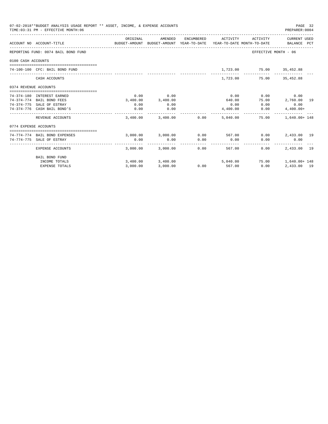|                       | 07-02-2018**BUDGET ANALYSIS USAGE REPORT ** ASSET, INCOME, & EXPENSE ACCOUNTS<br>TIME: 03:31 PM - EFFECTIVE MONTH: 06 |          |                       |            |                                                                                 |                             | PAGE 32<br>PREPARER: 0004        |  |
|-----------------------|-----------------------------------------------------------------------------------------------------------------------|----------|-----------------------|------------|---------------------------------------------------------------------------------|-----------------------------|----------------------------------|--|
|                       | ACCOUNT NO ACCOUNT-TITLE                                                                                              | ORIGINAL | AMENDED               | ENCUMBERED | ACTIVITY<br>BUDGET-AMOUNT BUDGET-AMOUNT YEAR-TO-DATE YEAR-TO-DATE MONTH-TO-DATE | ACTIVITY                    | CURRENT USED<br>BALANCE PCT      |  |
|                       | REPORTING FUND: 0074 BAIL BOND FUND                                                                                   |          |                       |            |                                                                                 | EFFECTIVE MONTH - 06        |                                  |  |
| 0100 CASH ACCOUNTS    |                                                                                                                       |          |                       |            |                                                                                 |                             |                                  |  |
|                       | 74-100-100 CFC: BAIL BOND FUND                                                                                        |          |                       |            |                                                                                 | 1,723.00 75.00 35,452.88    |                                  |  |
|                       | CASH ACCOUNTS                                                                                                         |          |                       |            |                                                                                 | 1,723.00 75.00 35,452.88    |                                  |  |
| 0374 REVENUE ACCOUNTS |                                                                                                                       |          |                       |            |                                                                                 |                             |                                  |  |
|                       | 74-374-180 INTEREST EARNED                                                                                            | 0.00     | 0.00                  |            | 0.00                                                                            | 0.00                        | 0.00                             |  |
|                       | 74-374-774 BAIL BOND FEES                                                                                             | 3.400.00 | 3,400.00              |            | 640.00                                                                          | 75.00                       | 2,760.00 19                      |  |
|                       | 74-374-775 SALE OF ESTRAY                                                                                             | 0.00     | 0.00                  |            | 0.00                                                                            | 0.00                        | 0.00                             |  |
|                       | 74-374-776 CASH BAIL BOND'S                                                                                           | 0.00     | 0.00<br>------------- |            | 4,400.00                                                                        | 0.00                        | $4,400.00+$<br>------------- --- |  |
|                       | REVENUE ACCOUNTS                                                                                                      |          | 3,400.00 3,400.00     | 0.00       | 5,040.00                                                                        | 75.00                       | $1.640.00 + 148$                 |  |
| 0774 EXPENSE ACCOUNTS |                                                                                                                       |          |                       |            |                                                                                 |                             |                                  |  |
|                       | 74-774-774 BAIL BOND EXPENSES                                                                                         |          | 3,000.00 3,000.00     |            | $0.00$ 567.00                                                                   |                             | $0.00$ 2,433.00 19               |  |
|                       | 74-774-775 SALE OF ESTRAY                                                                                             | 0.00     | 0.00                  | 0.00       | 0.00                                                                            | 0.00                        | 0.00                             |  |
|                       | EXPENSE ACCOUNTS                                                                                                      |          | 3,000.00 3,000.00     | 0.00       | 567.00                                                                          | 0.00                        | 2,433,00 19                      |  |
|                       | <b>BAIL BOND FUND</b>                                                                                                 |          |                       |            |                                                                                 |                             |                                  |  |
|                       | INCOME TOTALS                                                                                                         |          | 3,400.00 3,400.00     |            |                                                                                 | 5,040.00 75.00 1,640.00+148 |                                  |  |
|                       | <b>EXPENSE TOTALS</b>                                                                                                 | 3,000.00 | 3,000.00              | 0.00       | 567.00                                                                          | 0.00                        | 2,433.00 19                      |  |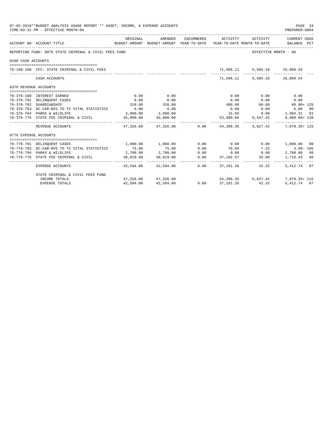|                       | 07-02-2018**BUDGET ANALYSIS USAGE REPORT ** ASSET, INCOME, & EXPENSE ACCOUNTS<br>TIME: 03:31 PM - EFFECTIVE MONTH: 06 |               |                                   |      |             |                              | PAGE 33<br>PREPARER:0004                                                                                                     |  |
|-----------------------|-----------------------------------------------------------------------------------------------------------------------|---------------|-----------------------------------|------|-------------|------------------------------|------------------------------------------------------------------------------------------------------------------------------|--|
|                       | ACCOUNT NO ACCOUNT-TITLE                                                                                              | ORIGINAL      | AMENDED                           |      |             |                              | ENCUMBERED ACTIVITY ACTIVITY CURRENT USED<br>BUDGET-AMOUNT BUDGET-AMOUNT YEAR-TO-DATE YEAR-TO-DATE MONTH-TO-DATE BALANCE PCT |  |
|                       | REPORTING FUND: 0076 STATE CRIMINAL & CIVIL FEES FUND                                                                 |               |                                   |      |             | EFFECTIVE MONTH - 06         |                                                                                                                              |  |
| 0100 CASH ACCOUNTS    |                                                                                                                       |               |                                   |      |             |                              |                                                                                                                              |  |
|                       | 76-100-100 CFC: STATE CRIMINAL & CIVIL FEES                                                                           |               |                                   |      |             | 71,506.11 6,585.10 16,068.54 |                                                                                                                              |  |
|                       | CASH ACCOUNTS                                                                                                         |               |                                   |      |             | 71,506.11 6,585.10 16,068.54 |                                                                                                                              |  |
| 0376 REVENUE ACCOUNTS |                                                                                                                       |               |                                   |      |             |                              |                                                                                                                              |  |
|                       |                                                                                                                       |               |                                   |      |             |                              |                                                                                                                              |  |
|                       | 76-376-180 INTEREST EARNED                                                                                            | 0.00          | 0.00                              |      | 0.00        | 0.00                         | 0.00                                                                                                                         |  |
|                       | 76-376-701 DELINQUENT CASES                                                                                           | 0.00          | 0.00                              |      | 0.00        | 0.00                         | 0.00                                                                                                                         |  |
|                       | 76-376-702 GUARDIANSHIP                                                                                               |               | 320.00 320.00                     |      | 400.00      | 80.00                        | $80.00 + 125$                                                                                                                |  |
|                       | 76-376-703 DC-CAR-BVS TO TX VITAL STATISTICS 6.00 6.00 6.00                                                           |               | 2,000.00 2,000.00                 |      | 0.00        | 0.00                         | 6.00 00<br>15.69   0.00   1,984.31   01                                                                                      |  |
|                       | 76-376-704 PARKS & WILDLIFE<br>76-376-776 STATE FEE CRIMINAL & CIVIL                                                  |               | 45,000.00 45,000.00               |      |             | 53,980.66 6,547.42           | 8,980.66+ 120                                                                                                                |  |
|                       |                                                                                                                       | ----------- - |                                   |      |             |                              |                                                                                                                              |  |
|                       | REVENUE ACCOUNTS                                                                                                      |               |                                   |      |             |                              | 47,326.00 47,326.00 0.00 54,396.35 6,627.42 7,070.35+ 115                                                                    |  |
| 0776 EXPENSE ACCOUNTS |                                                                                                                       |               |                                   |      |             |                              |                                                                                                                              |  |
|                       | 76-776-701 DELINQUENT CASES                                                                                           |               | 1,000.00 1,000.00                 |      | $0.00$ 0.00 |                              | $0.00$ 1,000.00 00                                                                                                           |  |
|                       | 76-776-703 DC-CAR-BVS TO TX VITAL STATISTICS                                                                          | 75.00         | 75.00                             | 0.00 | 78.69       | 7.32                         | $3.69 - 105$                                                                                                                 |  |
|                       | 76-776-704 PARKS & WILDLIFE                                                                                           |               | $2,700.00$ $2,700.00$             | 0.00 |             |                              |                                                                                                                              |  |
|                       | 76-776-776 STATE FEE CRIMINAL & CIVIL                                                                                 |               | $2,700.00$<br>38,819.00 38,819.00 | 0.00 |             | ____________________________ | $0.00$ $0.00$ $0.00$ $0.700.00$ $0.00$<br>37,102.57 35.00 1,716.43 96<br>.                                                   |  |
|                       | EXPENSE ACCOUNTS                                                                                                      |               | 42.594.00 42.594.00               | 0.00 | 37, 181, 26 | 42.32                        | 5.412.74 87                                                                                                                  |  |
|                       | STATE CRIMINAL & CIVIL FEES FUND                                                                                      |               |                                   |      |             |                              |                                                                                                                              |  |
|                       | INCOME TOTALS                                                                                                         |               | 47,326.00 47,326.00               | 0.00 |             |                              | 54,396.35 6,627.42 7,070.35+ 115                                                                                             |  |
|                       | <b>EXPENSE TOTALS</b>                                                                                                 | 42,594.00     | 42,594.00                         | 0.00 | 37,181.26   | 42.32                        | 5,412,74 87                                                                                                                  |  |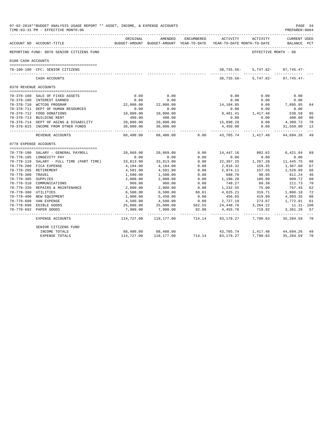|                       | 07-02-2018**BUDGET ANALYSIS USAGE REPORT ** ASSET, INCOME, & EXPENSE ACCOUNTS<br>TIME: 03:31 PM - EFFECTIVE MONTH: 06 |                         |                          |                         |                                                                                 |                      | PAGE 34<br>PREPARER: 0004          |                |
|-----------------------|-----------------------------------------------------------------------------------------------------------------------|-------------------------|--------------------------|-------------------------|---------------------------------------------------------------------------------|----------------------|------------------------------------|----------------|
|                       | ------------------------------<br>ACCOUNT NO ACCOUNT-TITLE                                                            | ORIGINAL                | AMENDED                  | ENCUMBERED              | ACTIVITY<br>BUDGET-AMOUNT BUDGET-AMOUNT YEAR-TO-DATE YEAR-TO-DATE MONTH-TO-DATE | ACTIVITY             | <b>CURRENT USED</b><br>BALANCE PCT |                |
|                       | REPORTING FUND: 0078 SENIOR CITIZENS FUND                                                                             |                         |                          |                         |                                                                                 | EFFECTIVE MONTH - 06 |                                    |                |
| 0100 CASH ACCOUNTS    |                                                                                                                       |                         |                          |                         |                                                                                 |                      |                                    |                |
|                       |                                                                                                                       |                         |                          |                         |                                                                                 |                      |                                    |                |
|                       | 78-100-100 CFC: SENIOR CITIZENS                                                                                       |                         |                          |                         | 38,735.56-                                                                      | 5,747.82-            | 97,745.47-                         |                |
|                       | CASH ACCOUNTS                                                                                                         |                         |                          |                         | 38,735.56-                                                                      | 5,747.82-            | 97,745.47-                         |                |
| 0378 REVENUE ACCOUNTS |                                                                                                                       |                         |                          |                         |                                                                                 |                      |                                    |                |
|                       |                                                                                                                       |                         |                          |                         |                                                                                 |                      |                                    |                |
|                       | 78-378-160 SALE OF FIXED ASSETS                                                                                       | 0.00                    | 0.00                     |                         | 0.00                                                                            | 0.00                 | 0.00                               |                |
|                       | 78-378-180 INTEREST EARNED                                                                                            | 0.00                    | 0.00                     |                         | 0.00                                                                            | 0.00                 | 0.00                               |                |
|                       | 78-378-710 WCTCOG PROGRAM                                                                                             | 22,000.00               | 22,000.00                |                         | 14,104.05                                                                       | 0.00                 | 7,895.95                           | 64             |
|                       | 78-378-711 DEPT OF HUMAN RESOURCES                                                                                    | 0.00                    | 0.00                     |                         | 0.00                                                                            | 0.00                 | 0.00                               |                |
|                       | 78-378-712 FOOD DONATIONS                                                                                             | 10,000.00               | 10,000.00                |                         | 9,461.41                                                                        | $1\,,\,417\,. \,48$  | 538.59                             | 95             |
|                       | 78-378-713 BUILDING RENT                                                                                              | 400.00                  | 400.00                   |                         | 0.00                                                                            | 0.00                 | 400.00                             | 0 <sub>0</sub> |
|                       | 78-378-714 DEPT OF AGING & DISABILITY                                                                                 | 20,000.00               | 20,000.00                |                         | 15,690.28                                                                       | 0.00                 | 4,309.72                           | 78             |
|                       | 78-378-815 INCOME FROM OTHER FUNDS                                                                                    | 36,000.00<br>---------- | 36,000.00<br>.           |                         | 4,450.00                                                                        | 0.00                 | 31,550.00                          | 12             |
|                       | REVENUE ACCOUNTS                                                                                                      | 88,400.00               | 88,400.00                | 0.00                    | 43,705.74                                                                       | 1,417.48             | 44,694.26                          | 49             |
| 0778 EXPENSE ACCOUNTS |                                                                                                                       |                         |                          |                         |                                                                                 |                      |                                    |                |
|                       |                                                                                                                       |                         |                          |                         |                                                                                 |                      |                                    |                |
|                       | 78-778-100 SALARY - GENERAL PAYROLL                                                                                   | 20,869.00               | 20,869.00                | 0.00                    | 14,447.16                                                                       | 802.62               | 6,421.84                           | 69             |
|                       | 78-778-105 LONGEVITY PAY                                                                                              | 0.00                    | 0.00                     | 0.00                    | 0.00                                                                            | 0.00                 | 0.00                               |                |
|                       | 78-778-110 SALARY - FULL TIME (PART TIME)                                                                             | 33,813.00               | 33,813.00                | 0.00                    | 22,367.25                                                                       | 1,267.28             | 11,445.75                          | 66             |
|                       | 78-778-200 FICA EXPENSE                                                                                               | 4,184.00                | 4,184.00                 | 0.00                    | 2,816.32                                                                        | 158.35               | 1,367.68                           | 67             |
|                       | 78-778-205 RETIREMENT                                                                                                 | 4,501.00                | 4,501.00                 | 0.00                    | 2,974.11                                                                        | 157.55               | 1,526.89                           | 66             |
| 78-778-300 TRAVEL     |                                                                                                                       | 1,500.00                | 1,500.00                 | 0.00                    | 688.76                                                                          | 90.95                | 811.24                             | 46             |
| 78-778-305 SUPPLIES   |                                                                                                                       | 2,000.00                | 2,000.00                 | 0.00                    | 1,190.28                                                                        | 180.99               | 809.72                             | 60             |
|                       | 78-778-310 COMMUNICATIONS                                                                                             | 960.00                  | 960.00                   | 0.00                    | 748.27                                                                          | 60.38                | 211.73                             | 78             |
|                       | 78-778-320 REPAIRS & MAINTENANCE                                                                                      | 2,000.00                | 2,000.00                 | 0.00                    | 1,232.55                                                                        | 75.00                | 767.45                             | 62             |
| 78-778-380 UTILITIES  |                                                                                                                       | 6,500.00                | 6,500.00                 | 68.61                   | 4,625.21                                                                        | 319.71               | 1,806.18                           | 72             |
|                       | 78-778-400 NEW EQUIPMENT                                                                                              | 1,000.00                | 5,450.00                 | 0.00                    | 456.65                                                                          | 419.99               | 4,993.35                           | 08             |
|                       | 78-778-680 VAN EXPENSE                                                                                                | 4,500.00                | 4,500.00                 | 0.00                    | 2,727.19                                                                        | 273.67               | 1,772.81                           | 61             |
|                       | 78-778-690 EDIBLE GOODS                                                                                               | 25,000.00               | 25,000.00                | 562.55                  | 24,448.76                                                                       | 3, 264. 22           | $11.31 - 100$                      |                |
|                       | 78-778-692 PAPER GOODS                                                                                                | 7,900.00                | 7,900.00<br>------------ | 82.98<br>______________ | 4,455.76                                                                        | 719.92               | 3,361.26                           | 57             |
|                       | EXPENSE ACCOUNTS                                                                                                      | 114,727.00              | 119,177.00               | 714.14                  | 83,178.27                                                                       | 7,790.63             | 35,284.59                          | 70             |
|                       | SENIOR CITIZENS FUND                                                                                                  |                         |                          |                         |                                                                                 |                      |                                    |                |
|                       | INCOME TOTALS                                                                                                         | 88,400.00               | 88,400.00                |                         | 43,705.74                                                                       | 1,417.48 44,694.26   |                                    | 49             |
|                       | <b>EXPENSE TOTALS</b>                                                                                                 | 114,727.00              | 119,177.00               | 714.14                  | 83,178.27                                                                       | 7,790.63             | 35,284.59                          | 70             |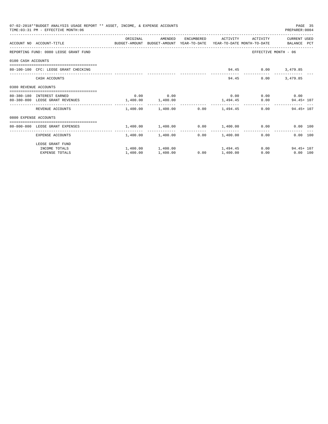|                       | 07-02-2018**BUDGET ANALYSIS USAGE REPORT ** ASSET, INCOME, & EXPENSE ACCOUNTS<br>TIME: 03:31 PM - EFFECTIVE MONTH: 06 |                       |                                                |      |                     |                             | PAGE 35<br>PREPARER: 0004   |  |
|-----------------------|-----------------------------------------------------------------------------------------------------------------------|-----------------------|------------------------------------------------|------|---------------------|-----------------------------|-----------------------------|--|
|                       |                                                                                                                       | ORIGINAL              | AMENDED                                        |      | ENCUMBERED ACTIVITY | ACTIVITY                    | CURRENT USED                |  |
|                       | ACCOUNT NO ACCOUNT-TITLE CONTROL SUDGET-AMOUNT BUDGET-AMOUNT YEAR-TO-DATE YEAR-TO-DATE MONTH-TO-DATE BALANCE PCT      |                       |                                                |      |                     |                             |                             |  |
|                       | REPORTING FUND: 0080 LEOSE GRANT FUND                                                                                 |                       |                                                |      |                     |                             | EFFECTIVE MONTH - 06        |  |
| 0100 CASH ACCOUNTS    |                                                                                                                       |                       |                                                |      |                     |                             |                             |  |
|                       | 80-100-100 CFC: LEOSE GRANT CHECKING                                                                                  |                       |                                                |      |                     | 94.45 0.00 3,479.85         |                             |  |
|                       | CASH ACCOUNTS                                                                                                         |                       |                                                |      |                     | 94.45<br>0.00               | 3,479.85                    |  |
| 0380 REVENUE ACCOUNTS |                                                                                                                       |                       |                                                |      |                     |                             |                             |  |
|                       | 80-380-180 INTEREST EARNED                                                                                            |                       | $0.00$ 0.00                                    |      |                     | $0.00$ $0.00$ $0.00$ $0.00$ |                             |  |
|                       | 80-380-800 LEOSE GRANT REVENUES                                                                                       | $1,400.00$ $1,400.00$ |                                                |      |                     |                             | $1,494.45$ 0.00 94.45 + 107 |  |
|                       | REVENUE ACCOUNTS                                                                                                      |                       | $1,400.00$ $1,400.00$ $0.00$ $1,494.45$        |      |                     |                             | $0.00$ 94.45+107            |  |
| 0800 EXPENSE ACCOUNTS |                                                                                                                       |                       |                                                |      |                     |                             |                             |  |
|                       | -----------------------------------<br>80-800-800 LEOSE GRANT EXPENSES                                                |                       | $1.400.00$ $1.400.00$ $0.00$ $1.400.00$ $0.00$ |      |                     |                             | 0.00 100                    |  |
|                       | EXPENSE ACCOUNTS                                                                                                      |                       | 1,400.00 1,400.00                              |      | $0.00$ 1,400.00     |                             | 0.00<br>0.00 100            |  |
|                       | LEOSE GRANT FUND                                                                                                      |                       |                                                |      |                     |                             |                             |  |
|                       | INCOME TOTALS                                                                                                         |                       | $1,400.00$ $1,400.00$ $1,494.45$               |      |                     |                             | 0.00<br>$94.45 + 107$       |  |
|                       | <b>EXPENSE TOTALS</b>                                                                                                 | 1,400.00              | 1,400.00                                       | 0.00 | 1,400.00            | 0.00                        | $0.00$ 100                  |  |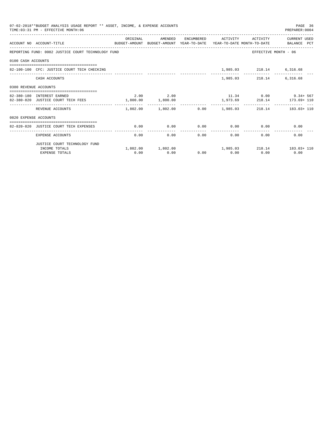| 07-02-2018**BUDGET ANALYSIS USAGE REPORT ** ASSET, INCOME, & EXPENSE ACCOUNTS<br>PAGE 36<br>TIME: 03:31 PM - EFFECTIVE MONTH: 06<br>PREPARER: 0004 |                                                                                                                   |                   |           |      |                |                                                  |                                                                 |  |  |
|----------------------------------------------------------------------------------------------------------------------------------------------------|-------------------------------------------------------------------------------------------------------------------|-------------------|-----------|------|----------------|--------------------------------------------------|-----------------------------------------------------------------|--|--|
|                                                                                                                                                    | ACCOUNT NO ACCOUNT-TITLE CONTROL PROTECT-AMOUNT BUDGET-AMOUNT YEAR-TO-DATE YEAR-TO-DATE MONTH-TO-DATE BALANCE PCT | ORIGINAL          | AMENDED   |      |                |                                                  | ENCUMBERED ACTIVITY ACTIVITY CURRENT USED                       |  |  |
|                                                                                                                                                    | REPORTING FUND: 0082 JUSTICE COURT TECHNOLOGY FUND                                                                |                   |           |      |                |                                                  | EFFECTIVE MONTH - 06                                            |  |  |
| 0100 CASH ACCOUNTS                                                                                                                                 |                                                                                                                   |                   |           |      |                |                                                  |                                                                 |  |  |
|                                                                                                                                                    | 82-100-100 CFC: JUSTICE COURT TECH CHECKING                                                                       |                   |           |      |                | 1,985.03 218.14 6,316.68                         |                                                                 |  |  |
|                                                                                                                                                    | CASH ACCOUNTS                                                                                                     |                   |           |      |                | 1,985.03 218.14 6,316.68                         |                                                                 |  |  |
| 0380 REVENUE ACCOUNTS                                                                                                                              |                                                                                                                   |                   |           |      |                |                                                  |                                                                 |  |  |
|                                                                                                                                                    |                                                                                                                   |                   |           |      |                |                                                  |                                                                 |  |  |
|                                                                                                                                                    | 82-380-180 INTEREST EARNED                                                                                        |                   | 2.00 2.00 |      |                |                                                  | $11.34$ 0.00 9.34 + 567                                         |  |  |
|                                                                                                                                                    | 82-380-820 JUSTICE COURT TECH FEES                                                                                | 1,800.00 1,800.00 |           |      |                |                                                  | $1,973.69$ $218.14$ $173.69 + 110$                              |  |  |
|                                                                                                                                                    | REVENUE ACCOUNTS                                                                                                  |                   |           |      |                |                                                  | $1,802.00$ $1,802.00$ $0.00$ $1,985.03$ $218.14$ $183.03 + 110$ |  |  |
| 0820 EXPENSE ACCOUNTS                                                                                                                              |                                                                                                                   |                   |           |      |                |                                                  |                                                                 |  |  |
|                                                                                                                                                    |                                                                                                                   |                   |           |      |                |                                                  |                                                                 |  |  |
|                                                                                                                                                    | 82-820-820 JUSTICE COURT TECH EXPENSES                                                                            | 0.00              |           |      | -------------- | $0.00$ $0.00$ $0.00$ $0.00$ $0.00$ $0.00$ $0.00$ |                                                                 |  |  |
|                                                                                                                                                    | EXPENSE ACCOUNTS                                                                                                  | 0.00              |           | 0.00 | 0.00           | 0.00                                             | 0.00<br>0.00                                                    |  |  |
|                                                                                                                                                    | JUSTICE COURT TECHNOLOGY FUND                                                                                     |                   |           |      |                |                                                  |                                                                 |  |  |
|                                                                                                                                                    | INCOME TOTALS                                                                                                     |                   |           |      |                |                                                  | $1,802.00$ $1,802.00$ $1,985.03$ $218.14$ $183.03+110$          |  |  |
|                                                                                                                                                    | <b>EXPENSE TOTALS</b>                                                                                             | 0.00              | 0.00      |      | $0.00$ 0.00    | 0.00                                             | 0.00                                                            |  |  |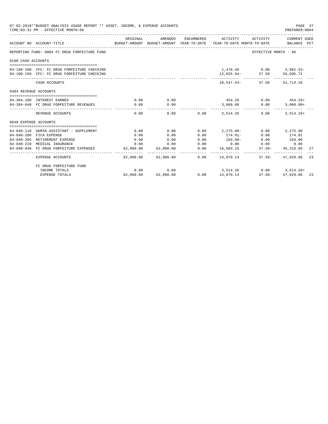| 07-02-2018**BUDGET ANALYSIS USAGE REPORT ** ASSET, INCOME, & EXPENSE ACCOUNTS<br>TIME: 03:31 PM - EFFECTIVE MONTH: 06 |                                                                                            |                       |                       |      |                                                                                            |                                                    |                                 | PAGE 37<br>PREPARER: 0004 |
|-----------------------------------------------------------------------------------------------------------------------|--------------------------------------------------------------------------------------------|-----------------------|-----------------------|------|--------------------------------------------------------------------------------------------|----------------------------------------------------|---------------------------------|---------------------------|
|                                                                                                                       | ACCOUNT NO ACCOUNT-TITLE                                                                   | ORIGINAL              | AMENDED               |      | ENCUMBERED ACTIVITY<br>BUDGET-AMOUNT BUDGET-AMOUNT YEAR-TO-DATE YEAR-TO-DATE MONTH-TO-DATE | ACTIVITY                                           | CURRENT USED<br>BALANCE PCT     |                           |
|                                                                                                                       | REPORTING FUND: 0084 FC DRUG FORFEITURE FUND                                               |                       |                       |      |                                                                                            | EFFECTIVE MONTH - 06                               |                                 |                           |
| 0100 CASH ACCOUNTS                                                                                                    |                                                                                            |                       |                       |      |                                                                                            |                                                    |                                 |                           |
|                                                                                                                       | 84-100-100 CFC: FC DRUG FORFEITURE CHECKING<br>84-100-150 CFC: FC DRUG FORFEITURE CHECKING |                       |                       |      |                                                                                            | 1,478.40   0.00   4,981.53-<br>$12,025.94 - 37.50$ | 56,695.71                       |                           |
|                                                                                                                       | CASH ACCOUNTS                                                                              |                       |                       |      |                                                                                            | $10,547.54 - 37.50$                                | 51,714.18                       |                           |
| 0384 REVENUE ACCOUNTS                                                                                                 |                                                                                            |                       |                       |      |                                                                                            |                                                    |                                 |                           |
|                                                                                                                       |                                                                                            |                       |                       |      |                                                                                            |                                                    |                                 |                           |
|                                                                                                                       | 84-384-180 INTEREST EARNED<br>84-384-840 FC DRUG FORFEITURE REVENUES                       | 0.00<br>0.00          | 0.00<br>0.00          |      | 454.26<br>3,060.00                                                                         | 0.00                                               | $0.00$ $454.26+$<br>$3,060.00+$ |                           |
|                                                                                                                       | REVENUE ACCOUNTS                                                                           | 0.00                  | -------------<br>0.00 |      | ------------<br>$0.00$ $3.514.26$                                                          | ------------<br>0.00                               | $3,514.26+$                     |                           |
| 0840 EXPENSE ACCOUNTS                                                                                                 |                                                                                            |                       |                       |      |                                                                                            |                                                    |                                 |                           |
|                                                                                                                       |                                                                                            |                       |                       |      |                                                                                            |                                                    |                                 |                           |
|                                                                                                                       | 84-840-110 ADMIN ASSISTANT - SUPPLEMENT                                                    | 0.00                  | 0.00                  | 0.00 | $2, 275.00 -$                                                                              |                                                    | $0.00$ 2,275.00                 |                           |
|                                                                                                                       | 84-840-200 FICA EXPENSE                                                                    | 0.00                  | 0.00                  | 0.00 | $174.01-$                                                                                  | 0.00                                               | 174.01                          |                           |
|                                                                                                                       | 84-840-205 RETIREMENT EXPENSE                                                              | 0.00                  | 0.00                  | 0.00 | $164.00 -$                                                                                 | 0.00                                               | 164.00                          |                           |
|                                                                                                                       | 84-840-210 MEDICAL INSURANCE                                                               | 0.00                  | 0.00                  | 0.00 |                                                                                            | $0.00$ 0.00                                        | 0.00                            |                           |
|                                                                                                                       | 84-840-840 FC DRUG FORFEITURE EXPENSES                                                     | 62,000.00<br>-------- | 62,000.00             | 0.00 | -------------                                                                              | 16,683.15 37.50-<br>----------- -                  | 45, 316, 85                     | 27                        |
|                                                                                                                       | <b>EXPENSE ACCOUNTS</b>                                                                    | 62,000.00             | 62,000.00             |      | $0.00$ $14.070.14$                                                                         |                                                    | $37.50 - 47.929.86$             | 23                        |
|                                                                                                                       | FC DRUG FORFEITURE FUND                                                                    |                       |                       |      |                                                                                            |                                                    |                                 |                           |
|                                                                                                                       | INCOME TOTALS                                                                              | 0.00                  | 0.00                  |      |                                                                                            | 3,514.26 0.00 3,514.26+                            |                                 |                           |
|                                                                                                                       | <b>EXPENSE TOTALS</b>                                                                      | 62,000.00             | 62,000.00             |      | $0.00$ 14,070.14                                                                           | $37.50 -$                                          | 47.929.86 23                    |                           |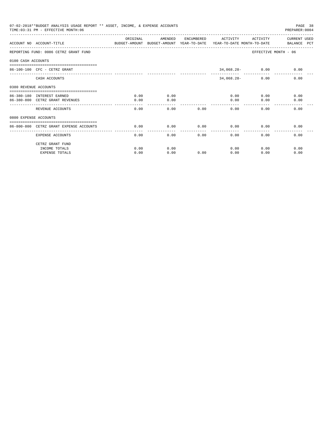| 07-02-2018**BUDGET ANALYSIS USAGE REPORT ** ASSET, INCOME, & EXPENSE ACCOUNTS<br>TIME: 03:31 PM - EFFECTIVE MONTH: 06<br>PREPARER: 0004 |                                                                                                                  |          |         |      |                     |                    |                      |  |
|-----------------------------------------------------------------------------------------------------------------------------------------|------------------------------------------------------------------------------------------------------------------|----------|---------|------|---------------------|--------------------|----------------------|--|
|                                                                                                                                         | ACCOUNT NO ACCOUNT-TITLE CONTROL SUDGET-AMOUNT BUDGET-AMOUNT YEAR-TO-DATE YEAR-TO-DATE MONTH-TO-DATE BALANCE PCT | ORIGINAL | AMENDED |      | ENCUMBERED ACTIVITY | ACTIVITY           | CURRENT USED         |  |
|                                                                                                                                         |                                                                                                                  |          |         |      |                     |                    |                      |  |
|                                                                                                                                         | REPORTING FUND: 0086 CETRZ GRANT FUND                                                                            |          |         |      |                     |                    | EFFECTIVE MONTH - 06 |  |
| 0100 CASH ACCOUNTS                                                                                                                      |                                                                                                                  |          |         |      |                     |                    |                      |  |
|                                                                                                                                         | $86 - 100 - 100$ CFC - CETRZ GRANT                                                                               |          |         |      |                     | $34,068.28 - 0.00$ | 0.00                 |  |
|                                                                                                                                         | CASH ACCOUNTS                                                                                                    |          |         |      | $34,068.28-$        | 0.00               | 0.00                 |  |
| 0380 REVENUE ACCOUNTS                                                                                                                   |                                                                                                                  |          |         |      |                     |                    |                      |  |
|                                                                                                                                         | 86-380-180 INTEREST EARNED                                                                                       | 0.00     | 0.00    |      |                     | 0.00               | 0.00<br>0.00         |  |
|                                                                                                                                         | 86-380-800 CETRZ GRANT REVENUES                                                                                  | 0.00     | 0.00    |      | 0.00                | 0.00               | 0.00                 |  |
|                                                                                                                                         | REVENUE ACCOUNTS                                                                                                 | 0.00     | 0.00    | 0.00 | 0.00                | 0.00               | 0.00                 |  |
| 0800 EXPENSE ACCOUNTS                                                                                                                   |                                                                                                                  |          |         |      |                     |                    |                      |  |
|                                                                                                                                         | ==============================                                                                                   |          |         |      |                     |                    |                      |  |
|                                                                                                                                         | 86-800-800 CETRZ GRANT EXPENSE ACCOUNTS                                                                          | 0.00     | 0.00    | 0.00 | 0.00<br>-------     | 0.00               | 0.00                 |  |
|                                                                                                                                         | EXPENSE ACCOUNTS                                                                                                 | 0.00     | 0.00    | 0.00 | 0.00                | 0.00               | 0.00                 |  |
|                                                                                                                                         | CETRZ GRANT FUND                                                                                                 |          |         |      |                     |                    |                      |  |
|                                                                                                                                         | INCOME TOTALS                                                                                                    | 0.00     | 0.00    |      | 0.00                | 0.00               | 0.00                 |  |
|                                                                                                                                         | <b>EXPENSE TOTALS</b>                                                                                            | 0.00     | 0.00    | 0.00 | 0.00                | 0.00               | 0.00                 |  |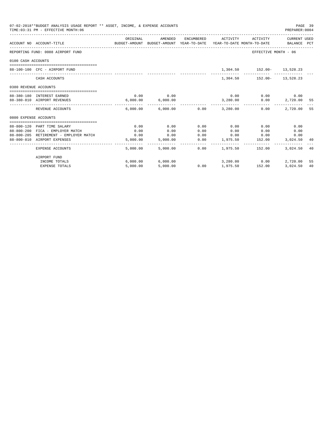| 07-02-2018**BUDGET ANALYSIS USAGE REPORT ** ASSET, INCOME, & EXPENSE ACCOUNTS<br>TIME: 03:31 PM - EFFECTIVE MONTH: 06 |                                                                                 |                                                                                             |                       |      |          |                                                |                     |     |
|-----------------------------------------------------------------------------------------------------------------------|---------------------------------------------------------------------------------|---------------------------------------------------------------------------------------------|-----------------------|------|----------|------------------------------------------------|---------------------|-----|
|                                                                                                                       | ACCOUNT NO ACCOUNT-TITLE                                                        | ORIGINAL<br>BUDGET-AMOUNT BUDGET-AMOUNT YEAR-TO-DATE YEAR-TO-DATE MONTH-TO-DATE BALANCE PCT | AMENDED               |      |          | ENCUMBERED ACTIVITY ACTIVITY CURRENT USED      |                     |     |
|                                                                                                                       | REPORTING FUND: 0088 AIRPORT FUND                                               |                                                                                             |                       |      |          | EFFECTIVE MONTH - 06                           |                     |     |
| 0100 CASH ACCOUNTS                                                                                                    |                                                                                 |                                                                                             |                       |      |          |                                                |                     |     |
|                                                                                                                       | 88-100-100 CFC - AIRPORT FUND                                                   |                                                                                             |                       |      |          | 1,304.50    152.00-    13,528.23               |                     |     |
|                                                                                                                       | CASH ACCOUNTS                                                                   |                                                                                             |                       |      |          | 1,304.50    152.00-    13,528.23               |                     |     |
| 0380 REVENUE ACCOUNTS                                                                                                 |                                                                                 |                                                                                             |                       |      |          |                                                |                     |     |
|                                                                                                                       | 88-380-180 INTEREST EARNED                                                      | 0.00                                                                                        | 0.00                  |      |          | $0.00$ $0.00$ $0.00$ $0.00$                    |                     |     |
|                                                                                                                       | 88-380-810 AIRPORT REVENUES                                                     |                                                                                             | 6,000.00 6,000.00     |      | 3,280.00 |                                                | $0.00$ 2,720.00     | -55 |
|                                                                                                                       | REVENUE ACCOUNTS                                                                |                                                                                             |                       |      |          | $6.000.00$ $6.000.00$ $0.00$ $3.280.00$ $0.00$ | 2,720.00            | 55  |
| 0800 EXPENSE ACCOUNTS                                                                                                 |                                                                                 |                                                                                             |                       |      |          |                                                |                     |     |
|                                                                                                                       |                                                                                 |                                                                                             |                       |      |          |                                                |                     |     |
|                                                                                                                       | 88-800-120 PART TIME SALARY                                                     | 0.00                                                                                        | 0.00                  | 0.00 | 0.00     | 0.00                                           | 0.00                |     |
|                                                                                                                       | 88-800-200 FICA - EMPLOYER MATCH<br>88-800-205 RETIREMENT - EMPLOYER MATCH 6.00 | 0.00                                                                                        | 0.00<br>0.00          | 0.00 | 0.00     | 0.00<br>$0.00$ $0.00$ $0.00$                   | 0.00                |     |
|                                                                                                                       | 88-800-810 AIRPORT EXPENSES                                                     |                                                                                             |                       |      |          | $0.00$ 1,975.50 152.00                         | 0.00<br>3,024.50 40 |     |
|                                                                                                                       |                                                                                 |                                                                                             | 5,000.00 5,000.00     |      |          |                                                |                     |     |
|                                                                                                                       | EXPENSE ACCOUNTS                                                                |                                                                                             |                       |      |          | 5,000.00 5,000.00 0.00 1,975.50 152.00         | 3,024.50 40         |     |
|                                                                                                                       | AIRPORT FUND                                                                    |                                                                                             |                       |      |          |                                                |                     |     |
|                                                                                                                       | INCOME TOTALS                                                                   |                                                                                             | $6,000.00$ $6,000.00$ |      |          | 3,280.00 0.00                                  | 2,720.00            | 55  |
|                                                                                                                       | <b>EXPENSE TOTALS</b>                                                           | 5,000.00                                                                                    | 5,000.00              |      |          | $0.00$ 1,975.50 152.00                         | 3,024.50            | 40  |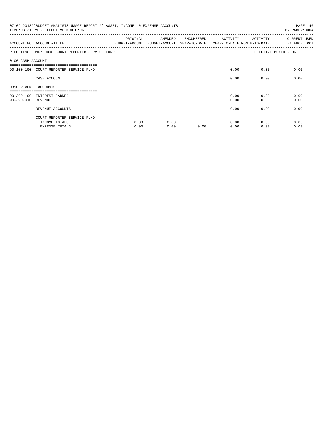| 07-02-2018**BUDGET ANALYSIS USAGE REPORT ** ASSET, INCOME, & EXPENSE ACCOUNTS<br>TIME: 03:31 PM - EFFECTIVE MONTH: 06<br>PREPARER: 0004 |                                                  |          |                                                                                |            |          |          |                                    |  |
|-----------------------------------------------------------------------------------------------------------------------------------------|--------------------------------------------------|----------|--------------------------------------------------------------------------------|------------|----------|----------|------------------------------------|--|
|                                                                                                                                         | ACCOUNT NO ACCOUNT-TITLE                         | ORIGINAL | AMENDED<br>BUDGET-AMOUNT BUDGET-AMOUNT YEAR-TO-DATE YEAR-TO-DATE MONTH-TO-DATE | ENCUMBERED | ACTIVITY | ACTIVITY | <b>CURRENT USED</b><br>BALANCE PCT |  |
|                                                                                                                                         | REPORTING FUND: 0090 COURT REPORTER SERVICE FUND |          |                                                                                |            |          |          | EFFECTIVE MONTH - 06               |  |
| 0100 CASH ACCOUNT                                                                                                                       |                                                  |          |                                                                                |            |          |          |                                    |  |
|                                                                                                                                         | 90-100-100 COURT REPORTER SERVICE FUND           |          |                                                                                |            | 0.00     | 0.00     | 0.00                               |  |
|                                                                                                                                         | CASH ACCOUNT                                     |          |                                                                                |            | 0.00     | 0.00     | 0.00                               |  |
| 0390 REVENUE ACCOUNTS                                                                                                                   |                                                  |          |                                                                                |            |          |          |                                    |  |
|                                                                                                                                         |                                                  |          |                                                                                |            |          |          |                                    |  |
|                                                                                                                                         | 90-390-190 INTEREST EARNED                       |          |                                                                                |            | 0.00     | 0.00     | 0.00                               |  |
| 90-390-910 REVENUE                                                                                                                      |                                                  |          |                                                                                |            | 0.00     | 0.00     | 0.00                               |  |
|                                                                                                                                         | REVENUE ACCOUNTS                                 |          |                                                                                |            | 0.00     | 0.00     | 0.00                               |  |
|                                                                                                                                         | COURT REPORTER SERVICE FUND                      |          |                                                                                |            |          |          |                                    |  |
|                                                                                                                                         | INCOME TOTALS                                    | 0.00     | 0.00                                                                           |            | 0.00     | 0.00     | 0.00                               |  |
|                                                                                                                                         | <b>EXPENSE TOTALS</b>                            | 0.00     | 0.00                                                                           | 0.00       | 0.00     | 0.00     | 0.00                               |  |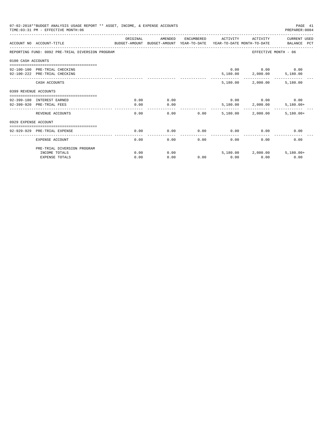|                       | 07-02-2018**BUDGET ANALYSIS USAGE REPORT ** ASSET, INCOME, & EXPENSE ACCOUNTS<br>TIME: 03:31 PM - EFFECTIVE MONTH: 06 |          |         |            |          |                             | PAGE 41<br>PREPARER: 0004   |
|-----------------------|-----------------------------------------------------------------------------------------------------------------------|----------|---------|------------|----------|-----------------------------|-----------------------------|
|                       | ACCOUNT NO ACCOUNT-TITLE<br>BUDGET-AMOUNT BUDGET-AMOUNT YEAR-TO-DATE YEAR-TO-DATE MONTH-TO-DATE                       | ORIGINAL | AMENDED | ENCUMBERED | ACTIVITY | ACTIVITY                    | CURRENT USED<br>BALANCE PCT |
|                       | REPORTING FUND: 0092 PRE-TRIAL DIVERSION PROGRAM                                                                      |          |         |            |          |                             | EFFECTIVE MONTH - 06        |
| 0100 CASH ACCOUNTS    |                                                                                                                       |          |         |            |          |                             |                             |
|                       | 92-100-100 PRE-TRIAL CHECKING                                                                                         |          |         |            |          | $0.00$ $0.00$ $0.00$        |                             |
|                       | 92-100-222 PRE-TRIAL CHECKING                                                                                         |          |         |            |          | 5,180.00 2,000.00 5,180.00  |                             |
|                       |                                                                                                                       |          |         |            |          |                             |                             |
|                       | CASH ACCOUNTS                                                                                                         |          |         |            | 5,180.00 | 2,000.00                    | 5,180.00                    |
| 0399 REVENUE ACCOUNTS |                                                                                                                       |          |         |            |          |                             |                             |
|                       | 92-399-180 INTEREST EARNED                                                                                            | 0.00     | 0.00    |            |          | $0.00$ $0.00$ $0.00$ $0.00$ |                             |
|                       | 92-399-920 PRE-TRIAL FEES                                                                                             | 0.00     | 0.00    |            |          | 5,180.00 2,000.00           | $5,180.00+$                 |
|                       |                                                                                                                       |          |         |            |          |                             |                             |
|                       | REVENUE ACCOUNTS                                                                                                      | 0.00     | 0.00    | 0.00       | 5,180.00 | 2,000.00                    | $5,180.00+$                 |
| 0929 EXPENSE ACCOUNT  |                                                                                                                       |          |         |            |          |                             |                             |
|                       |                                                                                                                       |          |         |            |          |                             |                             |
|                       | 92-929-929 PRE-TRIAL EXPENSE                                                                                          | 0.00     | 0.00    | 0.00       | 0.00     | 0.00                        | 0.00                        |
|                       | EXPENSE ACCOUNT                                                                                                       | 0.00     | 0.00    | 0.00       | 0.00     | 0.00                        | 0.00                        |
|                       | PRE-TRIAL DIVERSION PROGRAM                                                                                           |          |         |            |          |                             |                             |
|                       | INCOME TOTALS                                                                                                         | 0.00     | 0.00    |            |          | 5,180.00 2,000.00           | $5,180.00+$                 |
|                       | <b>EXPENSE TOTALS</b>                                                                                                 | 0.00     | 0.00    | 0.00       | 0.00     | 0.00                        | 0.00                        |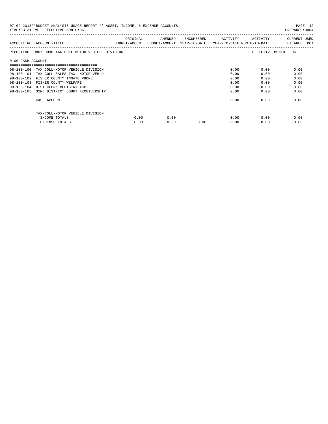| 07-02-2018**BUDGET ANALYSIS USAGE REPORT ** ASSET, INCOME, & EXPENSE ACCOUNTS<br>TIME: 03:31 PM - EFFECTIVE MONTH: 06 |                                             |          |                                                                                |            |          |          |                             |  |
|-----------------------------------------------------------------------------------------------------------------------|---------------------------------------------|----------|--------------------------------------------------------------------------------|------------|----------|----------|-----------------------------|--|
|                                                                                                                       | ACCOUNT NO ACCOUNT-TITLE                    | ORIGINAL | AMENDED<br>BUDGET-AMOUNT BUDGET-AMOUNT YEAR-TO-DATE YEAR-TO-DATE MONTH-TO-DATE | ENCUMBERED | ACTIVITY | ACTIVITY | CURRENT USED<br>BALANCE PCT |  |
| REPORTING FUND: 0098 TAX-COLL-MOTOR VEHICLE DIVISION                                                                  |                                             |          |                                                                                |            |          |          | EFFECTIVE MONTH - 06        |  |
| 0100 CASH ACCOUNT                                                                                                     |                                             |          |                                                                                |            |          |          |                             |  |
|                                                                                                                       |                                             |          |                                                                                |            |          |          |                             |  |
|                                                                                                                       | 98-100-100 TAX COLL-MOTOR VEHICLE DIVISION  |          |                                                                                |            | 0.00     | 0.00     | 0.00                        |  |
| 98-100-101                                                                                                            | TAX COLL-SALES TAX, MOTOR VEH D             |          |                                                                                |            | 0.00     | 0.00     | 0.00                        |  |
| $98 - 100 - 102$                                                                                                      | FISHER COUNTY INMATE PHONE                  |          |                                                                                |            | 0.00     | 0.00     | 0.00                        |  |
|                                                                                                                       | 98-100-103 FISHER COUNTY WELFARE            |          |                                                                                |            | 0.00     | 0.00     | 0.00                        |  |
| $98 - 100 - 104$                                                                                                      | DIST CLERK REGISTRY ACCT                    |          |                                                                                |            | 0.00     | 0.00     | 0.00                        |  |
|                                                                                                                       | 98-100-105 32ND DISTRICT COURT RECEIVERSHIP |          |                                                                                |            | 0.00     | 0.00     | 0.00                        |  |
|                                                                                                                       | CASH ACCOUNT                                |          |                                                                                |            | 0.00     | 0.00     | 0.00                        |  |
|                                                                                                                       | TAX-COLL-MOTOR VEHICLE DIVISION             |          |                                                                                |            |          |          |                             |  |
|                                                                                                                       | INCOME TOTALS                               | 0.00     | 0.00                                                                           |            | 0.00     | 0.00     | 0.00                        |  |
|                                                                                                                       | <b>EXPENSE TOTALS</b>                       | 0.00     | 0.00                                                                           | 0.00       | 0.00     | 0.00     | 0.00                        |  |